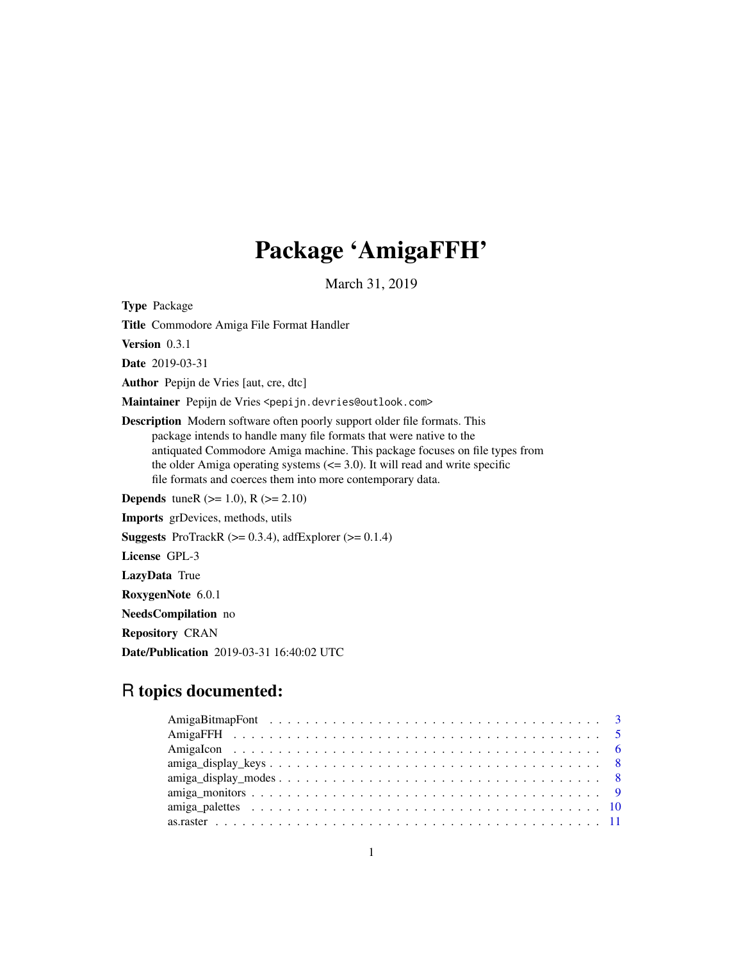# Package 'AmigaFFH'

March 31, 2019

<span id="page-0-0"></span>Type Package

Title Commodore Amiga File Format Handler

Version 0.3.1

Date 2019-03-31

Author Pepijn de Vries [aut, cre, dtc]

Maintainer Pepijn de Vries <pepijn.devries@outlook.com>

Description Modern software often poorly support older file formats. This package intends to handle many file formats that were native to the antiquated Commodore Amiga machine. This package focuses on file types from the older Amiga operating systems  $\left(\leq 3.0\right)$ . It will read and write specific file formats and coerces them into more contemporary data.

**Depends** tuneR ( $>= 1.0$ ), R ( $>= 2.10$ )

Imports grDevices, methods, utils

**Suggests** ProTrackR  $(>= 0.3.4)$ , adfExplorer  $(>= 0.1.4)$ 

License GPL-3

LazyData True

RoxygenNote 6.0.1

NeedsCompilation no

Repository CRAN

Date/Publication 2019-03-31 16:40:02 UTC

# R topics documented:

| $amiga\_display\_keys \dots \dots \dots \dots \dots \dots \dots \dots \dots \dots \dots \dots \dots \dots \dots \dots \dots \ 8$ |  |
|----------------------------------------------------------------------------------------------------------------------------------|--|
| $amiga\_display\_modes \dots \dots \dots \dots \dots \dots \dots \dots \dots \dots \dots \dots \dots \dots \dots \dots$          |  |
|                                                                                                                                  |  |
|                                                                                                                                  |  |
|                                                                                                                                  |  |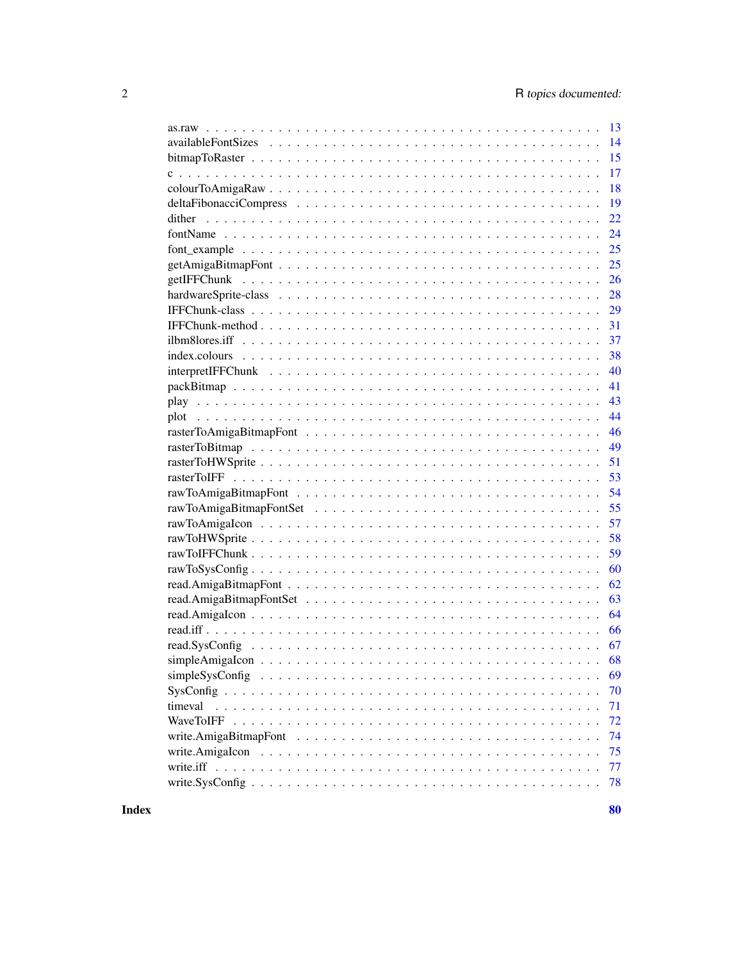| -13             |  |
|-----------------|--|
| 14              |  |
| 15              |  |
| 17              |  |
| 18              |  |
| 19              |  |
| 22              |  |
| 24              |  |
| 25              |  |
| 25              |  |
| 26              |  |
| 28              |  |
| 29              |  |
| 31              |  |
|                 |  |
| 38              |  |
| 40              |  |
| 41              |  |
| 43              |  |
| 44              |  |
| 46              |  |
| 49              |  |
| 51              |  |
| 53              |  |
| 54              |  |
| 55              |  |
| 57              |  |
| 58              |  |
| 59              |  |
| 60              |  |
| 62              |  |
| 63              |  |
| 64              |  |
| 66              |  |
| 67              |  |
|                 |  |
| 69              |  |
| 70              |  |
| 71<br>timeval   |  |
| WaveToIFF<br>72 |  |
| 74              |  |
| 75              |  |
| 77              |  |
| 78              |  |
|                 |  |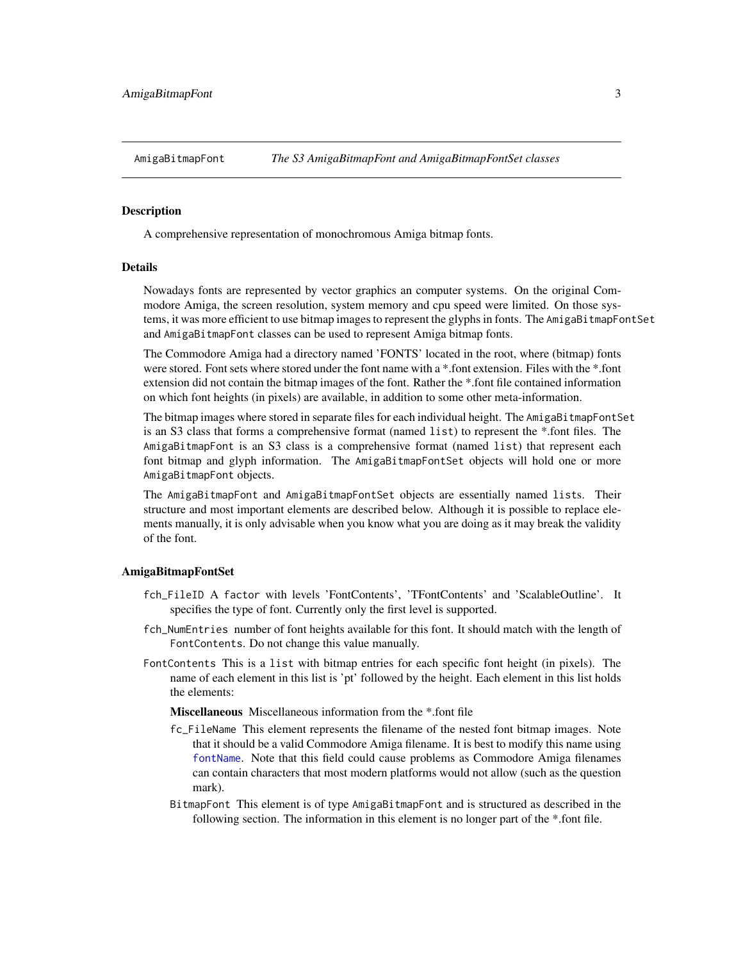<span id="page-2-1"></span><span id="page-2-0"></span>

#### <span id="page-2-2"></span>**Description**

A comprehensive representation of monochromous Amiga bitmap fonts.

# Details

Nowadays fonts are represented by vector graphics an computer systems. On the original Commodore Amiga, the screen resolution, system memory and cpu speed were limited. On those systems, it was more efficient to use bitmap images to represent the glyphs in fonts. The AmigaBitmapFontSet and AmigaBitmapFont classes can be used to represent Amiga bitmap fonts.

The Commodore Amiga had a directory named 'FONTS' located in the root, where (bitmap) fonts were stored. Font sets where stored under the font name with a \*.font extension. Files with the \*.font extension did not contain the bitmap images of the font. Rather the \*.font file contained information on which font heights (in pixels) are available, in addition to some other meta-information.

The bitmap images where stored in separate files for each individual height. The AmigaBitmapFontSet is an S3 class that forms a comprehensive format (named list) to represent the \*.font files. The AmigaBitmapFont is an S3 class is a comprehensive format (named list) that represent each font bitmap and glyph information. The AmigaBitmapFontSet objects will hold one or more AmigaBitmapFont objects.

The AmigaBitmapFont and AmigaBitmapFontSet objects are essentially named lists. Their structure and most important elements are described below. Although it is possible to replace elements manually, it is only advisable when you know what you are doing as it may break the validity of the font.

#### AmigaBitmapFontSet

- fch\_FileID A factor with levels 'FontContents', 'TFontContents' and 'ScalableOutline'. It specifies the type of font. Currently only the first level is supported.
- fch\_NumEntries number of font heights available for this font. It should match with the length of FontContents. Do not change this value manually.
- FontContents This is a list with bitmap entries for each specific font height (in pixels). The name of each element in this list is 'pt' followed by the height. Each element in this list holds the elements:

Miscellaneous Miscellaneous information from the \*.font file

- fc\_FileName This element represents the filename of the nested font bitmap images. Note that it should be a valid Commodore Amiga filename. It is best to modify this name using [fontName](#page-23-1). Note that this field could cause problems as Commodore Amiga filenames can contain characters that most modern platforms would not allow (such as the question mark).
- BitmapFont This element is of type AmigaBitmapFont and is structured as described in the following section. The information in this element is no longer part of the \*.font file.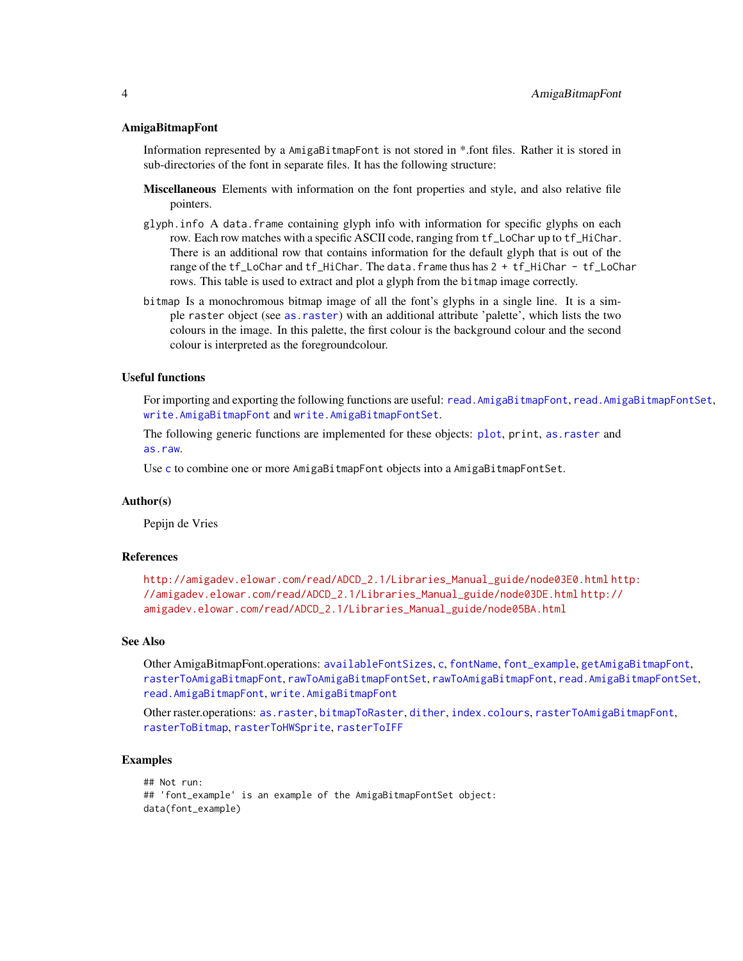#### AmigaBitmapFont

Information represented by a AmigaBitmapFont is not stored in \*.font files. Rather it is stored in sub-directories of the font in separate files. It has the following structure:

- Miscellaneous Elements with information on the font properties and style, and also relative file pointers.
- glyph.info A data.frame containing glyph info with information for specific glyphs on each row. Each row matches with a specific ASCII code, ranging from tf\_LoChar up to tf\_HiChar. There is an additional row that contains information for the default glyph that is out of the range of the tf\_LoChar and tf\_HiChar. The data.frame thus has 2 + tf\_HiChar - tf\_LoChar rows. This table is used to extract and plot a glyph from the bitmap image correctly.
- bitmap Is a monochromous bitmap image of all the font's glyphs in a single line. It is a simple raster object (see [as.raster](#page-10-1)) with an additional attribute 'palette', which lists the two colours in the image. In this palette, the first colour is the background colour and the second colour is interpreted as the foregroundcolour.

#### Useful functions

For importing and exporting the following functions are useful: [read.AmigaBitmapFont](#page-61-1), [read.AmigaBitmapFontSet](#page-62-1), [write.AmigaBitmapFont](#page-73-1) and [write.AmigaBitmapFontSet](#page-73-2).

The following generic functions are implemented for these objects: [plot](#page-43-1), print, [as.raster](#page-10-1) and [as.raw](#page-12-1).

Use [c](#page-16-1) to combine one or more AmigaBitmapFont objects into a AmigaBitmapFontSet.

#### Author(s)

Pepijn de Vries

#### References

[http://amigadev.elowar.com/read/ADCD\\_2.1/Libraries\\_Manual\\_guide/node03E0.html](http://amigadev.elowar.com/read/ADCD_2.1/Libraries_Manual_guide/node03E0.html) [ht](http://amigadev.elowar.com/read/ADCD_2.1/Libraries_Manual_guide/node03DE.html)tp: [//amigadev.elowar.com/read/ADCD\\_2.1/Libraries\\_Manual\\_guide/node03DE.html](http://amigadev.elowar.com/read/ADCD_2.1/Libraries_Manual_guide/node03DE.html) [http://](http://amigadev.elowar.com/read/ADCD_2.1/Libraries_Manual_guide/node05BA.html) [amigadev.elowar.com/read/ADCD\\_2.1/Libraries\\_Manual\\_guide/node05BA.html](http://amigadev.elowar.com/read/ADCD_2.1/Libraries_Manual_guide/node05BA.html)

#### See Also

Other AmigaBitmapFont.operations: [availableFontSizes](#page-13-1), [c](#page-16-1), [fontName](#page-23-1), [font\\_example](#page-24-1), [getAmigaBitmapFont](#page-24-2), [rasterToAmigaBitmapFont](#page-45-1), [rawToAmigaBitmapFontSet](#page-54-1), [rawToAmigaBitmapFont](#page-53-1), [read.AmigaBitmapFontSet](#page-62-1), [read.AmigaBitmapFont](#page-61-1), [write.AmigaBitmapFont](#page-73-1)

Other raster.operations: [as.raster](#page-10-1), [bitmapToRaster](#page-14-1), [dither](#page-21-1), [index.colours](#page-37-1), [rasterToAmigaBitmapFont](#page-45-1), [rasterToBitmap](#page-48-1), [rasterToHWSprite](#page-50-1), [rasterToIFF](#page-52-1)

#### Examples

```
## Not run:
## 'font_example' is an example of the AmigaBitmapFontSet object:
data(font_example)
```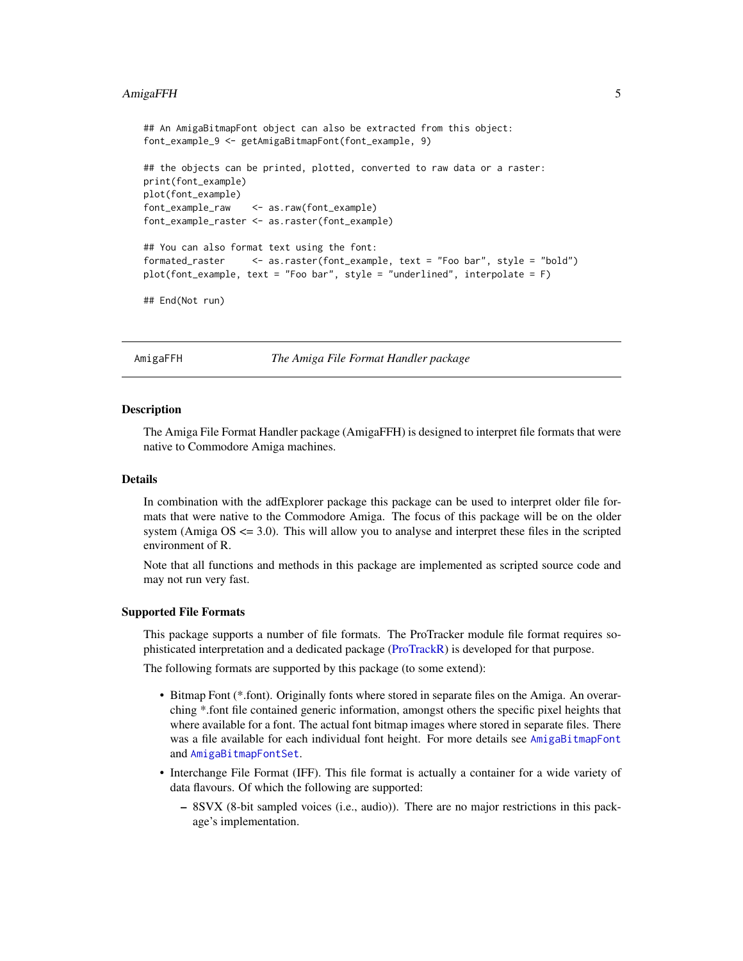# <span id="page-4-0"></span>AmigaFFH 5

```
## An AmigaBitmapFont object can also be extracted from this object:
font_example_9 <- getAmigaBitmapFont(font_example, 9)
## the objects can be printed, plotted, converted to raw data or a raster:
print(font_example)
plot(font_example)
font_example_raw <- as.raw(font_example)
font_example_raster <- as.raster(font_example)
## You can also format text using the font:
formated_raster <- as.raster(font_example, text = "Foo bar", style = "bold")
plot(font_example, text = "Foo bar", style = "underlined", interpolate = F)
## End(Not run)
```
AmigaFFH *The Amiga File Format Handler package*

#### **Description**

The Amiga File Format Handler package (AmigaFFH) is designed to interpret file formats that were native to Commodore Amiga machines.

#### Details

In combination with the adfExplorer package this package can be used to interpret older file formats that were native to the Commodore Amiga. The focus of this package will be on the older system (Amiga  $OS \le 3.0$ ). This will allow you to analyse and interpret these files in the scripted environment of R.

Note that all functions and methods in this package are implemented as scripted source code and may not run very fast.

## Supported File Formats

This package supports a number of file formats. The ProTracker module file format requires sophisticated interpretation and a dedicated package [\(ProTrackR\)](#page-0-0) is developed for that purpose.

The following formats are supported by this package (to some extend):

- Bitmap Font (\*.font). Originally fonts where stored in separate files on the Amiga. An overarching \*.font file contained generic information, amongst others the specific pixel heights that where available for a font. The actual font bitmap images where stored in separate files. There was a file available for each individual font height. For more details see [AmigaBitmapFont](#page-2-1) and [AmigaBitmapFontSet](#page-2-2).
- Interchange File Format (IFF). This file format is actually a container for a wide variety of data flavours. Of which the following are supported:
	- 8SVX (8-bit sampled voices (i.e., audio)). There are no major restrictions in this package's implementation.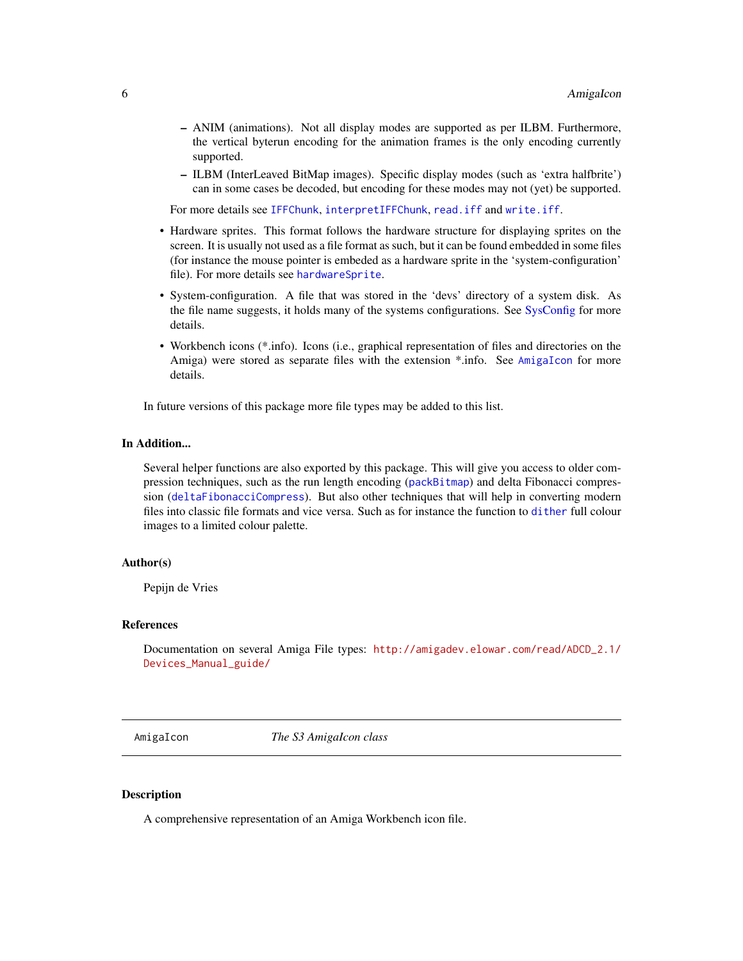- <span id="page-5-0"></span>– ANIM (animations). Not all display modes are supported as per ILBM. Furthermore, the vertical byterun encoding for the animation frames is the only encoding currently supported.
- ILBM (InterLeaved BitMap images). Specific display modes (such as 'extra halfbrite') can in some cases be decoded, but encoding for these modes may not (yet) be supported.

For more details see [IFFChunk](#page-30-1), [interpretIFFChunk](#page-39-1), [read.iff](#page-65-1) and [write.iff](#page-76-1).

- Hardware sprites. This format follows the hardware structure for displaying sprites on the screen. It is usually not used as a file format as such, but it can be found embedded in some files (for instance the mouse pointer is embeded as a hardware sprite in the 'system-configuration' file). For more details see [hardwareSprite](#page-27-1).
- System-configuration. A file that was stored in the 'devs' directory of a system disk. As the file name suggests, it holds many of the systems configurations. See [SysConfig](#page-69-1) for more details.
- Workbench icons (\*.info). Icons (i.e., graphical representation of files and directories on the Amiga) were stored as separate files with the extension \*.info. See [AmigaIcon](#page-5-1) for more details.

In future versions of this package more file types may be added to this list.

# In Addition...

Several helper functions are also exported by this package. This will give you access to older compression techniques, such as the run length encoding ([packBitmap](#page-40-1)) and delta Fibonacci compression ([deltaFibonacciCompress](#page-18-1)). But also other techniques that will help in converting modern files into classic file formats and vice versa. Such as for instance the function to [dither](#page-21-1) full colour images to a limited colour palette.

#### Author(s)

Pepijn de Vries

#### References

Documentation on several Amiga File types: [http://amigadev.elowar.com/read/ADCD\\_2.1/](http://amigadev.elowar.com/read/ADCD_2.1/Devices_Manual_guide/) [Devices\\_Manual\\_guide/](http://amigadev.elowar.com/read/ADCD_2.1/Devices_Manual_guide/)

<span id="page-5-1"></span>AmigaIcon *The S3 AmigaIcon class*

#### Description

A comprehensive representation of an Amiga Workbench icon file.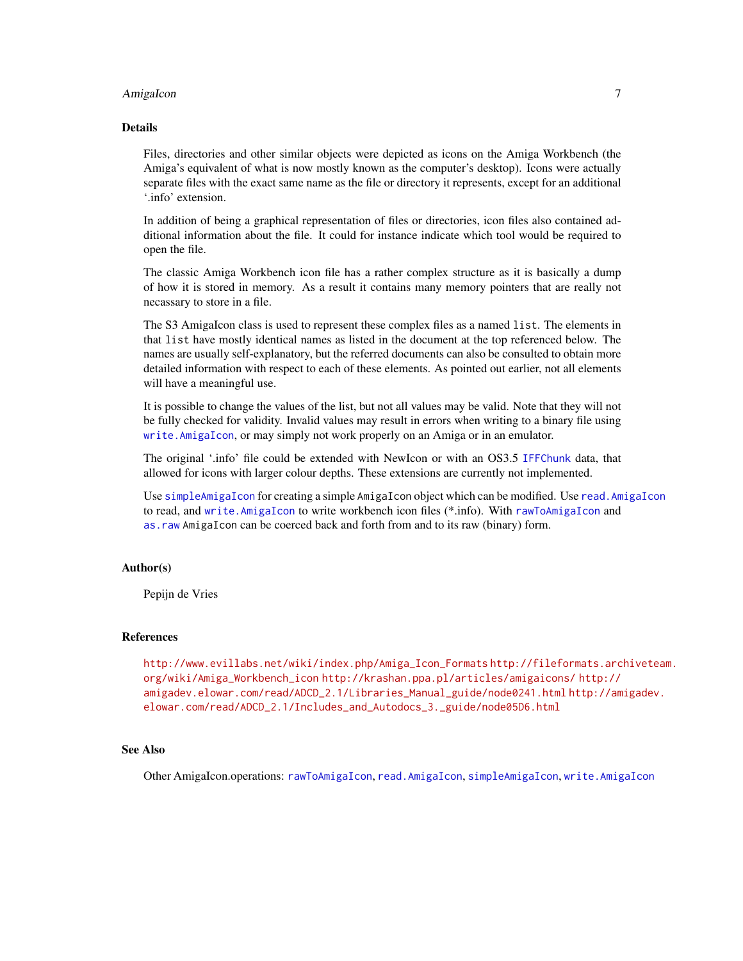# AmigaIcon 7

# Details

Files, directories and other similar objects were depicted as icons on the Amiga Workbench (the Amiga's equivalent of what is now mostly known as the computer's desktop). Icons were actually separate files with the exact same name as the file or directory it represents, except for an additional '.info' extension.

In addition of being a graphical representation of files or directories, icon files also contained additional information about the file. It could for instance indicate which tool would be required to open the file.

The classic Amiga Workbench icon file has a rather complex structure as it is basically a dump of how it is stored in memory. As a result it contains many memory pointers that are really not necassary to store in a file.

The S3 AmigaIcon class is used to represent these complex files as a named list. The elements in that list have mostly identical names as listed in the document at the top referenced below. The names are usually self-explanatory, but the referred documents can also be consulted to obtain more detailed information with respect to each of these elements. As pointed out earlier, not all elements will have a meaningful use.

It is possible to change the values of the list, but not all values may be valid. Note that they will not be fully checked for validity. Invalid values may result in errors when writing to a binary file using [write.AmigaIcon](#page-74-1), or may simply not work properly on an Amiga or in an emulator.

The original '.info' file could be extended with NewIcon or with an OS3.5 [IFFChunk](#page-30-1) data, that allowed for icons with larger colour depths. These extensions are currently not implemented.

Use [simpleAmigaIcon](#page-67-1) for creating a simple AmigaIcon object which can be modified. Use [read.AmigaIcon](#page-63-1) to read, and [write.AmigaIcon](#page-74-1) to write workbench icon files (\*.info). With [rawToAmigaIcon](#page-56-1) and [as.raw](#page-12-1) AmigaIcon can be coerced back and forth from and to its raw (binary) form.

# Author(s)

Pepijn de Vries

#### References

[http://www.evillabs.net/wiki/index.php/Amiga\\_Icon\\_Formats](http://www.evillabs.net/wiki/index.php/Amiga_Icon_Formats) [http://fileformats.arc](http://fileformats.archiveteam.org/wiki/Amiga_Workbench_icon)hiveteam. [org/wiki/Amiga\\_Workbench\\_icon](http://fileformats.archiveteam.org/wiki/Amiga_Workbench_icon) <http://krashan.ppa.pl/articles/amigaicons/> [http://](http://amigadev.elowar.com/read/ADCD_2.1/Libraries_Manual_guide/node0241.html) [amigadev.elowar.com/read/ADCD\\_2.1/Libraries\\_Manual\\_guide/node0241.html](http://amigadev.elowar.com/read/ADCD_2.1/Libraries_Manual_guide/node0241.html) [http://am](http://amigadev.elowar.com/read/ADCD_2.1/Includes_and_Autodocs_3._guide/node05D6.html)igadev. [elowar.com/read/ADCD\\_2.1/Includes\\_and\\_Autodocs\\_3.\\_guide/node05D6.html](http://amigadev.elowar.com/read/ADCD_2.1/Includes_and_Autodocs_3._guide/node05D6.html)

#### See Also

Other AmigaIcon.operations: [rawToAmigaIcon](#page-56-1), [read.AmigaIcon](#page-63-1), [simpleAmigaIcon](#page-67-1), [write.AmigaIcon](#page-74-1)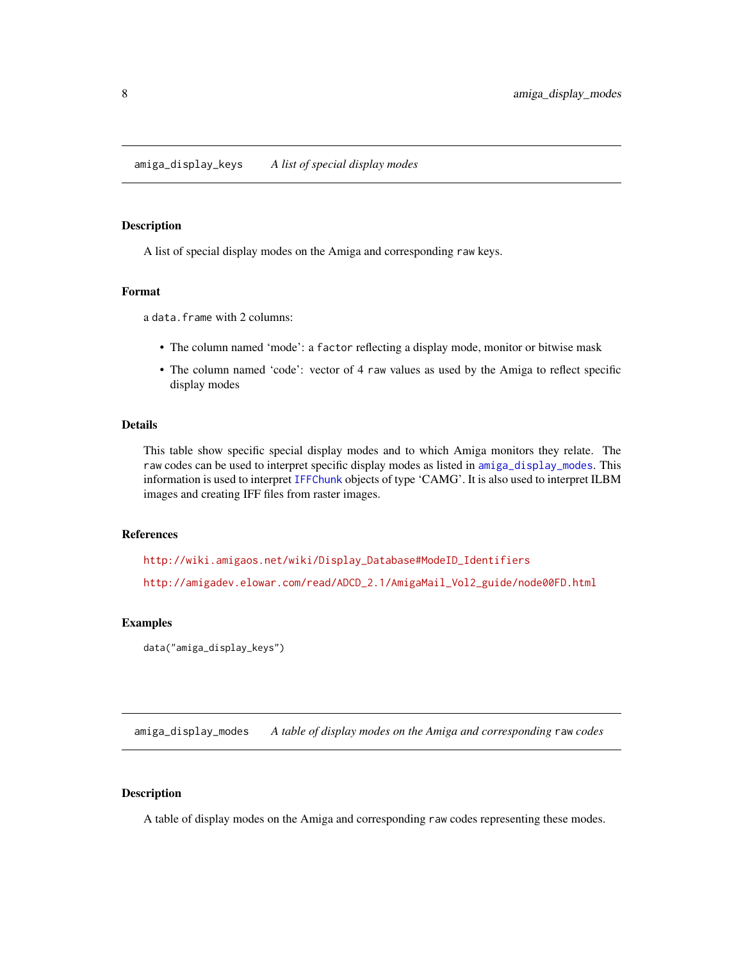# <span id="page-7-0"></span>Description

A list of special display modes on the Amiga and corresponding raw keys.

#### Format

a data.frame with 2 columns:

- The column named 'mode': a factor reflecting a display mode, monitor or bitwise mask
- The column named 'code': vector of 4 raw values as used by the Amiga to reflect specific display modes

#### Details

This table show specific special display modes and to which Amiga monitors they relate. The raw codes can be used to interpret specific display modes as listed in [amiga\\_display\\_modes](#page-7-1). This information is used to interpret [IFFChunk](#page-30-1) objects of type 'CAMG'. It is also used to interpret ILBM images and creating IFF files from raster images.

#### References

[http://wiki.amigaos.net/wiki/Display\\_Database#ModeID\\_Identifiers](http://wiki.amigaos.net/wiki/Display_Database#ModeID_Identifiers) [http://amigadev.elowar.com/read/ADCD\\_2.1/AmigaMail\\_Vol2\\_guide/node00FD.html](http://amigadev.elowar.com/read/ADCD_2.1/AmigaMail_Vol2_guide/node00FD.html)

# Examples

```
data("amiga_display_keys")
```
<span id="page-7-1"></span>amiga\_display\_modes *A table of display modes on the Amiga and corresponding* raw *codes*

# Description

A table of display modes on the Amiga and corresponding raw codes representing these modes.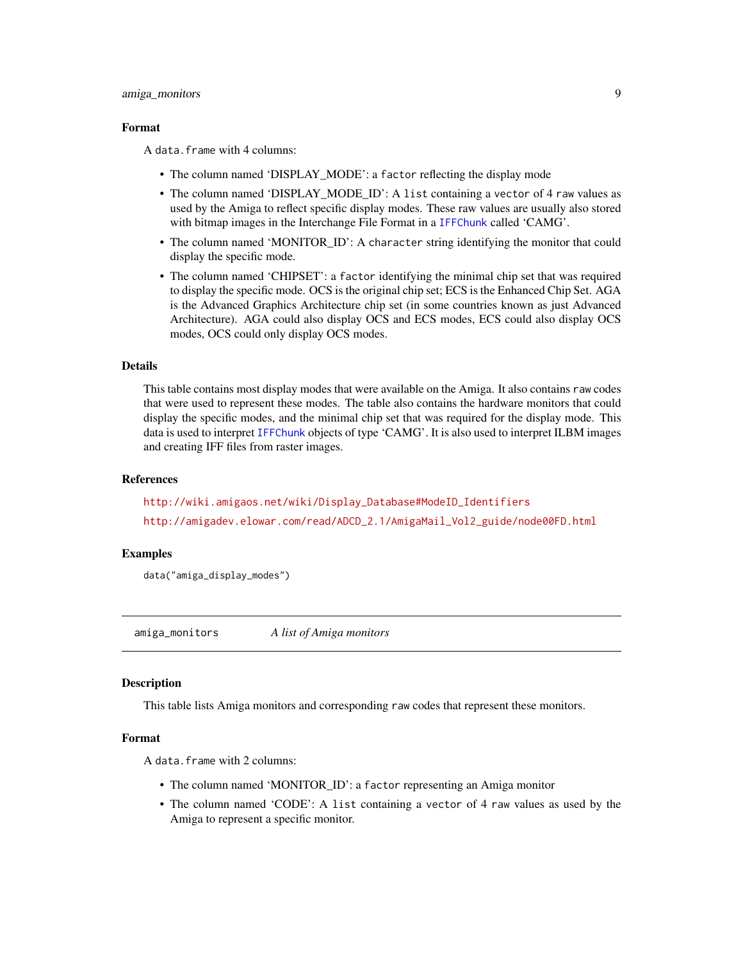#### <span id="page-8-0"></span>amiga\_monitors 9

#### Format

A data.frame with 4 columns:

- The column named 'DISPLAY\_MODE': a factor reflecting the display mode
- The column named 'DISPLAY\_MODE\_ID': A list containing a vector of 4 raw values as used by the Amiga to reflect specific display modes. These raw values are usually also stored with bitmap images in the Interchange File Format in a [IFFChunk](#page-30-1) called 'CAMG'.
- The column named 'MONITOR\_ID': A character string identifying the monitor that could display the specific mode.
- The column named 'CHIPSET': a factor identifying the minimal chip set that was required to display the specific mode. OCS is the original chip set; ECS is the Enhanced Chip Set. AGA is the Advanced Graphics Architecture chip set (in some countries known as just Advanced Architecture). AGA could also display OCS and ECS modes, ECS could also display OCS modes, OCS could only display OCS modes.

# Details

This table contains most display modes that were available on the Amiga. It also contains raw codes that were used to represent these modes. The table also contains the hardware monitors that could display the specific modes, and the minimal chip set that was required for the display mode. This data is used to interpret [IFFChunk](#page-30-1) objects of type 'CAMG'. It is also used to interpret ILBM images and creating IFF files from raster images.

#### References

[http://wiki.amigaos.net/wiki/Display\\_Database#ModeID\\_Identifiers](http://wiki.amigaos.net/wiki/Display_Database#ModeID_Identifiers) [http://amigadev.elowar.com/read/ADCD\\_2.1/AmigaMail\\_Vol2\\_guide/node00FD.html](http://amigadev.elowar.com/read/ADCD_2.1/AmigaMail_Vol2_guide/node00FD.html)

#### Examples

data("amiga\_display\_modes")

<span id="page-8-1"></span>amiga\_monitors *A list of Amiga monitors*

#### **Description**

This table lists Amiga monitors and corresponding raw codes that represent these monitors.

#### Format

A data.frame with 2 columns:

- The column named 'MONITOR\_ID': a factor representing an Amiga monitor
- The column named 'CODE': A list containing a vector of 4 raw values as used by the Amiga to represent a specific monitor.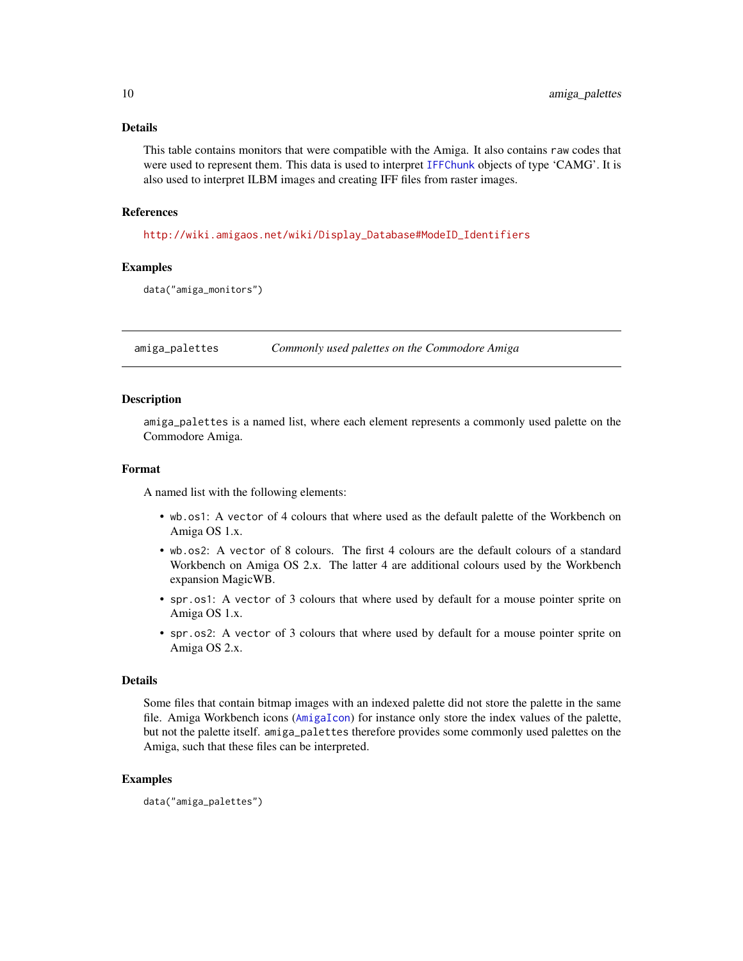# <span id="page-9-0"></span>Details

This table contains monitors that were compatible with the Amiga. It also contains raw codes that were used to represent them. This data is used to interpret [IFFChunk](#page-30-1) objects of type 'CAMG'. It is also used to interpret ILBM images and creating IFF files from raster images.

#### References

[http://wiki.amigaos.net/wiki/Display\\_Database#ModeID\\_Identifiers](http://wiki.amigaos.net/wiki/Display_Database#ModeID_Identifiers)

# Examples

data("amiga\_monitors")

amiga\_palettes *Commonly used palettes on the Commodore Amiga*

# Description

amiga\_palettes is a named list, where each element represents a commonly used palette on the Commodore Amiga.

# Format

A named list with the following elements:

- wb.os1: A vector of 4 colours that where used as the default palette of the Workbench on Amiga OS 1.x.
- wb.os2: A vector of 8 colours. The first 4 colours are the default colours of a standard Workbench on Amiga OS 2.x. The latter 4 are additional colours used by the Workbench expansion MagicWB.
- spr.os1: A vector of 3 colours that where used by default for a mouse pointer sprite on Amiga OS 1.x.
- spr.os2: A vector of 3 colours that where used by default for a mouse pointer sprite on Amiga OS 2.x.

#### Details

Some files that contain bitmap images with an indexed palette did not store the palette in the same file. Amiga Workbench icons ([AmigaIcon](#page-5-1)) for instance only store the index values of the palette, but not the palette itself. amiga\_palettes therefore provides some commonly used palettes on the Amiga, such that these files can be interpreted.

# Examples

data("amiga\_palettes")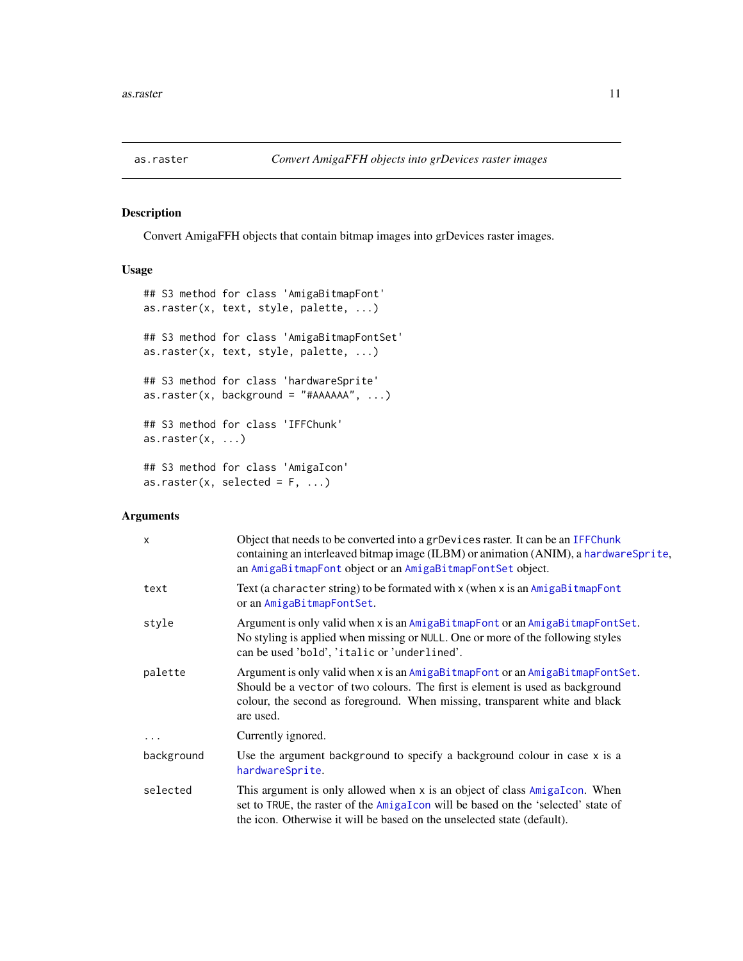<span id="page-10-1"></span><span id="page-10-0"></span>

# Description

Convert AmigaFFH objects that contain bitmap images into grDevices raster images.

# Usage

```
## S3 method for class 'AmigaBitmapFont'
as.raster(x, text, style, palette, ...)
## S3 method for class 'AmigaBitmapFontSet'
as.raster(x, text, style, palette, ...)
## S3 method for class 'hardwareSprite'
as.raster(x, background = "#AAAA", ...)## S3 method for class 'IFFChunk'
as.raster(x, \ldots)## S3 method for class 'AmigaIcon'
as.raster(x, selected = F, ...)
```
# Arguments

| $\boldsymbol{\mathsf{x}}$ | Object that needs to be converted into a grDevices raster. It can be an IFFChunk<br>containing an interleaved bitmap image (ILBM) or animation (ANIM), a hardware Sprite,<br>an AmigaBitmapFont object or an AmigaBitmapFontSet object.                    |
|---------------------------|------------------------------------------------------------------------------------------------------------------------------------------------------------------------------------------------------------------------------------------------------------|
| text                      | Text (a character string) to be formated with $x$ (when $x$ is an $AmigabitmapFont$<br>or an AmigaBitmapFontSet.                                                                                                                                           |
| style                     | Argument is only valid when x is an AmigaBitmapFont or an AmigaBitmapFontSet.<br>No styling is applied when missing or NULL. One or more of the following styles<br>can be used 'bold', 'italic or 'underlined'.                                           |
| palette                   | Argument is only valid when x is an AmigaBitmapFont or an AmigaBitmapFontSet.<br>Should be a vector of two colours. The first is element is used as background<br>colour, the second as foreground. When missing, transparent white and black<br>are used. |
| $\cdots$                  | Currently ignored.                                                                                                                                                                                                                                         |
| background                | Use the argument background to specify a background colour in case x is a<br>hardwareSprite.                                                                                                                                                               |
| selected                  | This argument is only allowed when x is an object of class AmigaIcon. When<br>set to TRUE, the raster of the AmigaIcon will be based on the 'selected' state of<br>the icon. Otherwise it will be based on the unselected state (default).                 |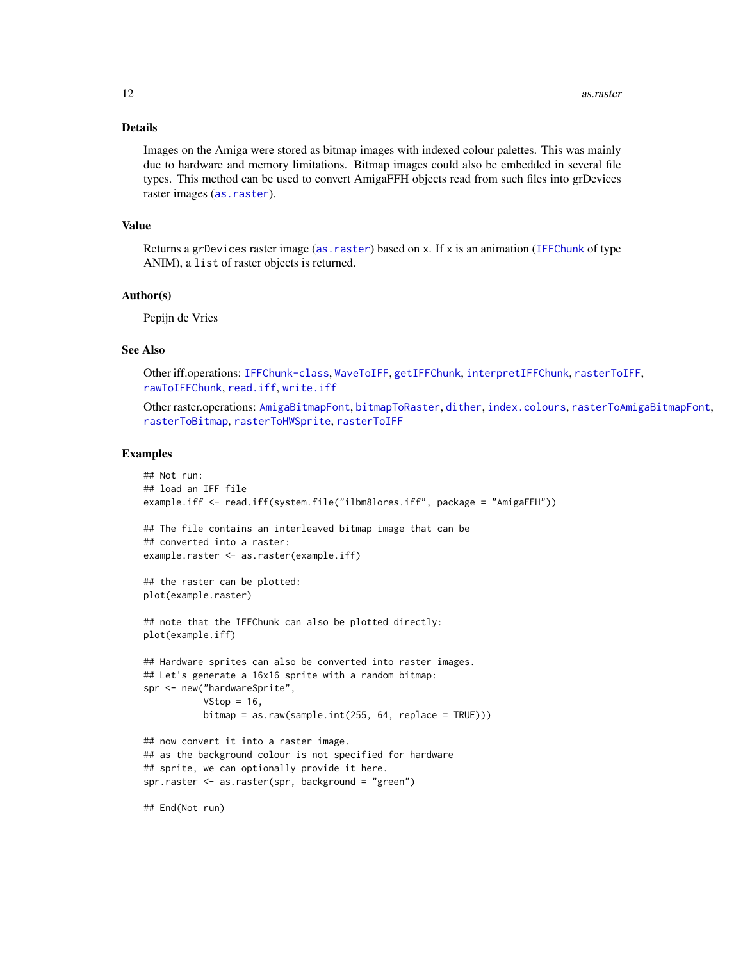# Details

Images on the Amiga were stored as bitmap images with indexed colour palettes. This was mainly due to hardware and memory limitations. Bitmap images could also be embedded in several file types. This method can be used to convert AmigaFFH objects read from such files into grDevices raster images ([as.raster](#page-10-1)).

#### Value

Returns a grDevices raster image ([as.raster](#page-10-1)) based on x. If x is an animation ([IFFChunk](#page-30-1) of type ANIM), a list of raster objects is returned.

#### Author(s)

Pepijn de Vries

## See Also

Other iff.operations: [IFFChunk-class](#page-28-1), [WaveToIFF](#page-71-1), [getIFFChunk](#page-25-1), [interpretIFFChunk](#page-39-1), [rasterToIFF](#page-52-1), [rawToIFFChunk](#page-58-1), [read.iff](#page-65-1), [write.iff](#page-76-1)

Other raster.operations: [AmigaBitmapFont](#page-2-1), [bitmapToRaster](#page-14-1), [dither](#page-21-1), [index.colours](#page-37-1), [rasterToAmigaBitmapFont](#page-45-1), [rasterToBitmap](#page-48-1), [rasterToHWSprite](#page-50-1), [rasterToIFF](#page-52-1)

#### Examples

```
## Not run:
## load an IFF file
example.iff <- read.iff(system.file("ilbm8lores.iff", package = "AmigaFFH"))
## The file contains an interleaved bitmap image that can be
## converted into a raster:
example.raster <- as.raster(example.iff)
## the raster can be plotted:
plot(example.raster)
## note that the IFFChunk can also be plotted directly:
plot(example.iff)
## Hardware sprites can also be converted into raster images.
## Let's generate a 16x16 sprite with a random bitmap:
spr <- new("hardwareSprite",
           VStop = 16,
           bitemap = as raw(sample.int(255, 64, replace = TRUE)))## now convert it into a raster image.
## as the background colour is not specified for hardware
## sprite, we can optionally provide it here.
spr.raster <- as.raster(spr, background = "green")
```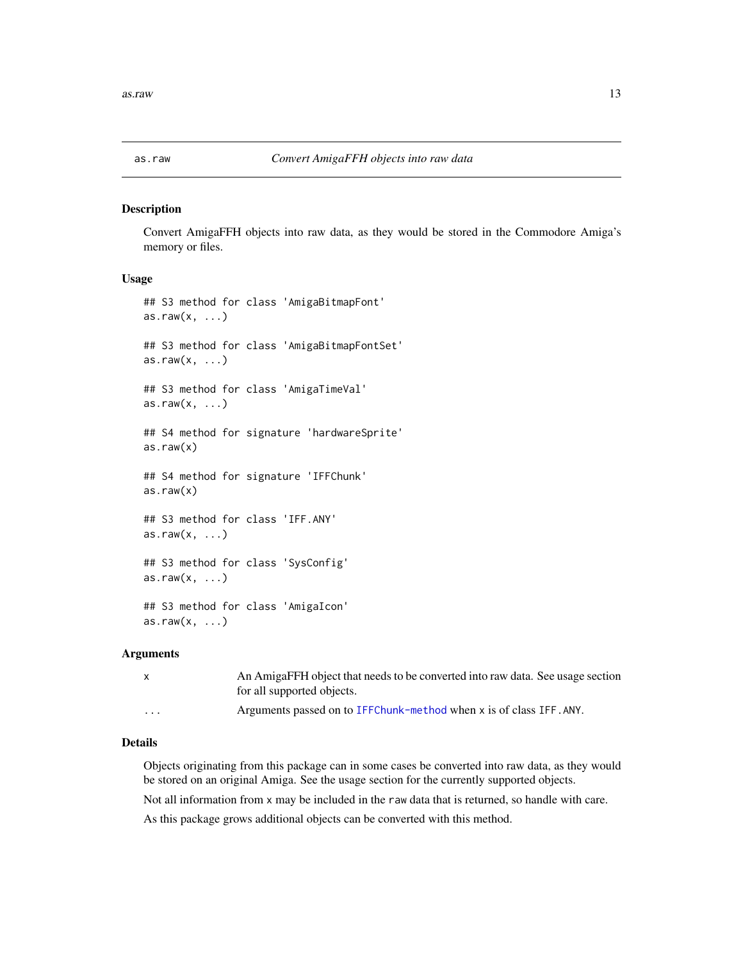<span id="page-12-1"></span><span id="page-12-0"></span>

#### Description

Convert AmigaFFH objects into raw data, as they would be stored in the Commodore Amiga's memory or files.

# Usage

```
## S3 method for class 'AmigaBitmapFont'
as.raw(x, \ldots)## S3 method for class 'AmigaBitmapFontSet'
as.raw(x, \ldots)## S3 method for class 'AmigaTimeVal'
as.raw(x, \ldots)## S4 method for signature 'hardwareSprite'
as.raw(x)## S4 method for signature 'IFFChunk'
as.raw(x)
## S3 method for class 'IFF.ANY'
as.raw(x, \ldots)## S3 method for class 'SysConfig'
as.raw(x, \ldots)## S3 method for class 'AmigaIcon'
as.raw(x, \ldots)
```
#### Arguments

| $\mathsf{x}$            | An AmigaFFH object that needs to be converted into raw data. See usage section |
|-------------------------|--------------------------------------------------------------------------------|
|                         | for all supported objects.                                                     |
| $\cdot$ $\cdot$ $\cdot$ | Arguments passed on to IFFChunk-method when x is of class IFF.ANY.             |

# Details

Objects originating from this package can in some cases be converted into raw data, as they would be stored on an original Amiga. See the usage section for the currently supported objects.

Not all information from x may be included in the raw data that is returned, so handle with care.

As this package grows additional objects can be converted with this method.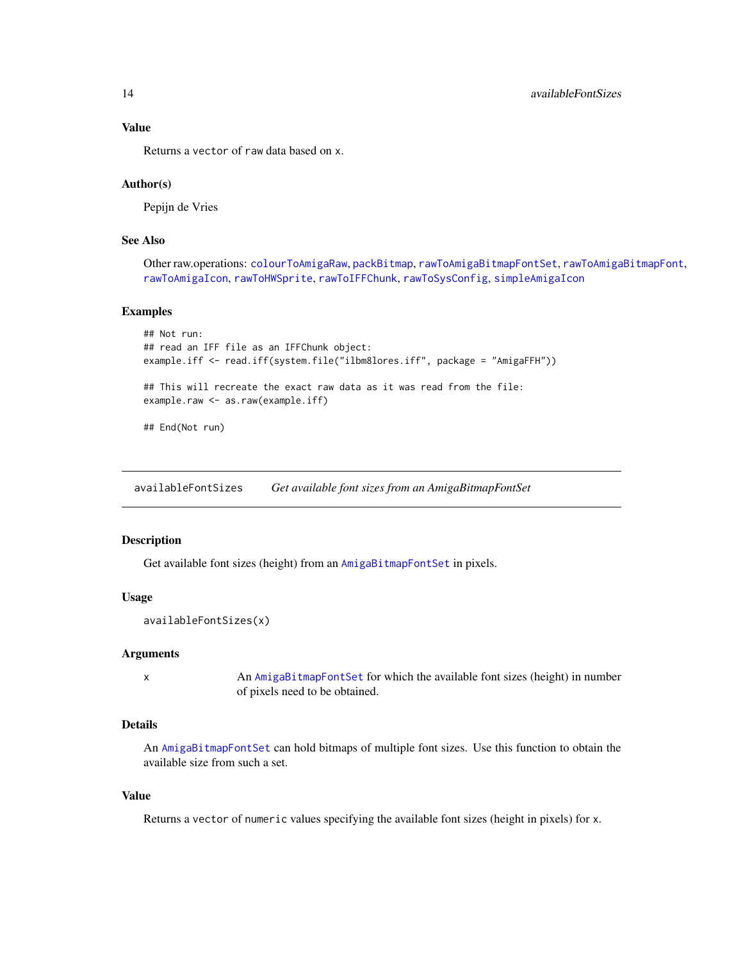Returns a vector of raw data based on x.

## Author(s)

Pepijn de Vries

# See Also

Other raw.operations: [colourToAmigaRaw](#page-17-1), [packBitmap](#page-40-1), [rawToAmigaBitmapFontSet](#page-54-1), [rawToAmigaBitmapFont](#page-53-1), [rawToAmigaIcon](#page-56-1), [rawToHWSprite](#page-57-1), [rawToIFFChunk](#page-58-1), [rawToSysConfig](#page-59-1), [simpleAmigaIcon](#page-67-1)

#### Examples

```
## Not run:
## read an IFF file as an IFFChunk object:
example.iff <- read.iff(system.file("ilbm8lores.iff", package = "AmigaFFH"))
## This will recreate the exact raw data as it was read from the file:
example.raw <- as.raw(example.iff)
## End(Not run)
```
<span id="page-13-1"></span>availableFontSizes *Get available font sizes from an AmigaBitmapFontSet*

# Description

Get available font sizes (height) from an [AmigaBitmapFontSet](#page-2-2) in pixels.

## Usage

```
availableFontSizes(x)
```
# Arguments

x An [AmigaBitmapFontSet](#page-2-2) for which the available font sizes (height) in number of pixels need to be obtained.

# Details

An [AmigaBitmapFontSet](#page-2-2) can hold bitmaps of multiple font sizes. Use this function to obtain the available size from such a set.

# Value

Returns a vector of numeric values specifying the available font sizes (height in pixels) for x.

<span id="page-13-0"></span>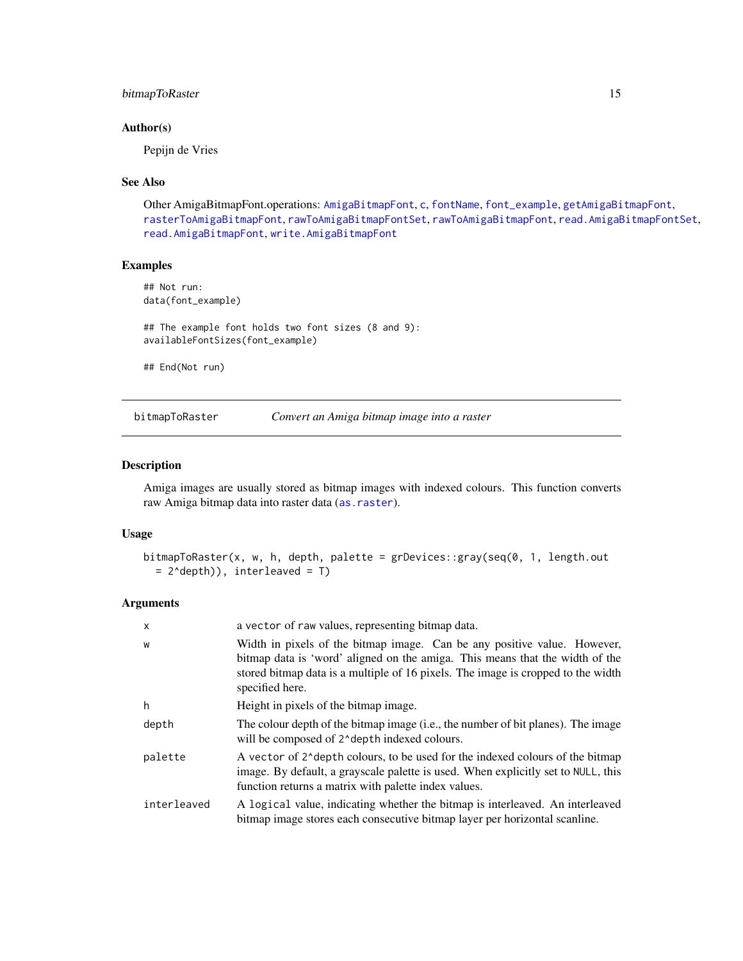# <span id="page-14-0"></span>bitmapToRaster 15

# Author(s)

Pepijn de Vries

# See Also

Other AmigaBitmapFont.operations: [AmigaBitmapFont](#page-2-1), [c](#page-16-1), [fontName](#page-23-1), [font\\_example](#page-24-1), [getAmigaBitmapFont](#page-24-2), [rasterToAmigaBitmapFont](#page-45-1), [rawToAmigaBitmapFontSet](#page-54-1), [rawToAmigaBitmapFont](#page-53-1), [read.AmigaBitmapFontSet](#page-62-1), [read.AmigaBitmapFont](#page-61-1), [write.AmigaBitmapFont](#page-73-1)

#### Examples

## Not run: data(font\_example) ## The example font holds two font sizes (8 and 9): availableFontSizes(font\_example)

## End(Not run)

<span id="page-14-1"></span>bitmapToRaster *Convert an Amiga bitmap image into a raster*

#### Description

Amiga images are usually stored as bitmap images with indexed colours. This function converts raw Amiga bitmap data into raster data ([as.raster](#page-10-1)).

#### Usage

```
bitmapToRaster(x, w, h, depth, palette = grDevices::gray(seq(0, 1, length.out
  = 2^depth)), interleaved = T)
```
# Arguments

| X           | a vector of raw values, representing bitmap data.                                                                                                                                                                                                               |
|-------------|-----------------------------------------------------------------------------------------------------------------------------------------------------------------------------------------------------------------------------------------------------------------|
| W           | Width in pixels of the bitmap image. Can be any positive value. However,<br>bitmap data is 'word' aligned on the amiga. This means that the width of the<br>stored bitmap data is a multiple of 16 pixels. The image is cropped to the width<br>specified here. |
| h           | Height in pixels of the bitmap image.                                                                                                                                                                                                                           |
| depth       | The colour depth of the bitmap image (i.e., the number of bit planes). The image<br>will be composed of 2^depth indexed colours.                                                                                                                                |
| palette     | A vector of 2 <sup><math>\lambda</math></sup> depth colours, to be used for the indexed colours of the bitmap<br>image. By default, a grayscale palette is used. When explicitly set to NULL, this<br>function returns a matrix with palette index values.      |
| interleaved | A logical value, indicating whether the bitmap is interleaved. An interleaved<br>bitmap image stores each consecutive bitmap layer per horizontal scanline.                                                                                                     |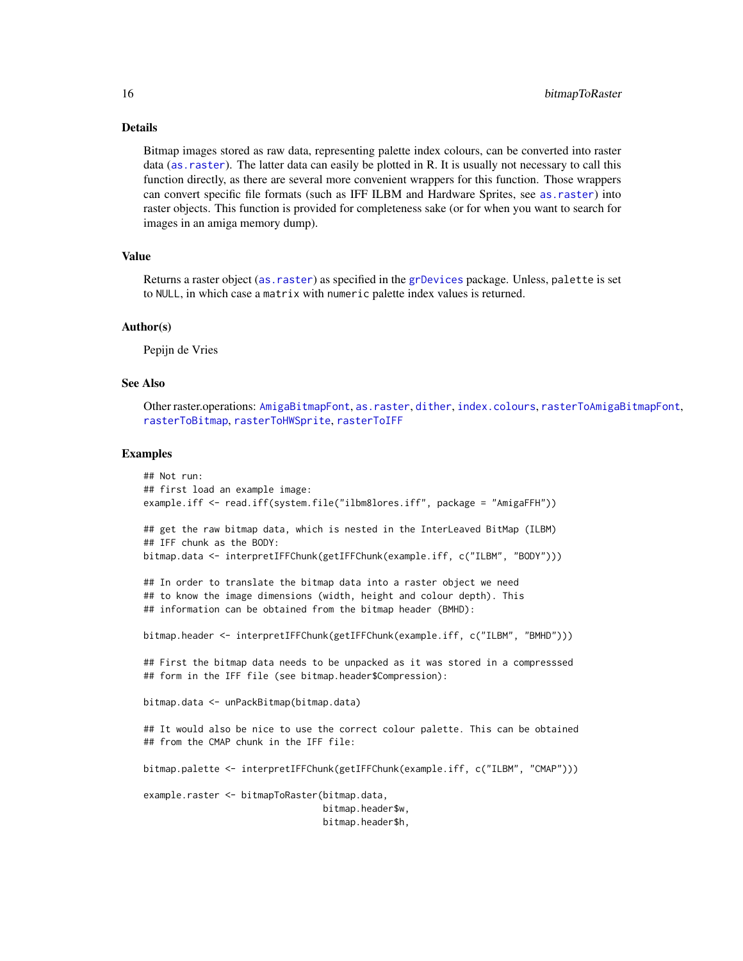#### Details

Bitmap images stored as raw data, representing palette index colours, can be converted into raster data ([as.raster](#page-10-1)). The latter data can easily be plotted in R. It is usually not necessary to call this function directly, as there are several more convenient wrappers for this function. Those wrappers can convert specific file formats (such as IFF ILBM and Hardware Sprites, see [as.raster](#page-10-1)) into raster objects. This function is provided for completeness sake (or for when you want to search for images in an amiga memory dump).

#### Value

Returns a raster object ([as.raster](#page-10-1)) as specified in the [grDevices](#page-0-0) package. Unless, palette is set to NULL, in which case a matrix with numeric palette index values is returned.

#### Author(s)

Pepijn de Vries

#### See Also

Other raster.operations: [AmigaBitmapFont](#page-2-1), [as.raster](#page-10-1), [dither](#page-21-1), [index.colours](#page-37-1), [rasterToAmigaBitmapFont](#page-45-1), [rasterToBitmap](#page-48-1), [rasterToHWSprite](#page-50-1), [rasterToIFF](#page-52-1)

#### Examples

```
## Not run:
## first load an example image:
example.iff <- read.iff(system.file("ilbm8lores.iff", package = "AmigaFFH"))
## get the raw bitmap data, which is nested in the InterLeaved BitMap (ILBM)
## IFF chunk as the BODY:
bitmap.data <- interpretIFFChunk(getIFFChunk(example.iff, c("ILBM", "BODY")))
## In order to translate the bitmap data into a raster object we need
## to know the image dimensions (width, height and colour depth). This
## information can be obtained from the bitmap header (BMHD):
bitmap.header <- interpretIFFChunk(getIFFChunk(example.iff, c("ILBM", "BMHD")))
## First the bitmap data needs to be unpacked as it was stored in a compresssed
## form in the IFF file (see bitmap.header$Compression):
bitmap.data <- unPackBitmap(bitmap.data)
## It would also be nice to use the correct colour palette. This can be obtained
## from the CMAP chunk in the IFF file:
bitmap.palette <- interpretIFFChunk(getIFFChunk(example.iff, c("ILBM", "CMAP")))
example.raster <- bitmapToRaster(bitmap.data,
                                 bitmap.header$w,
                                 bitmap.header$h,
```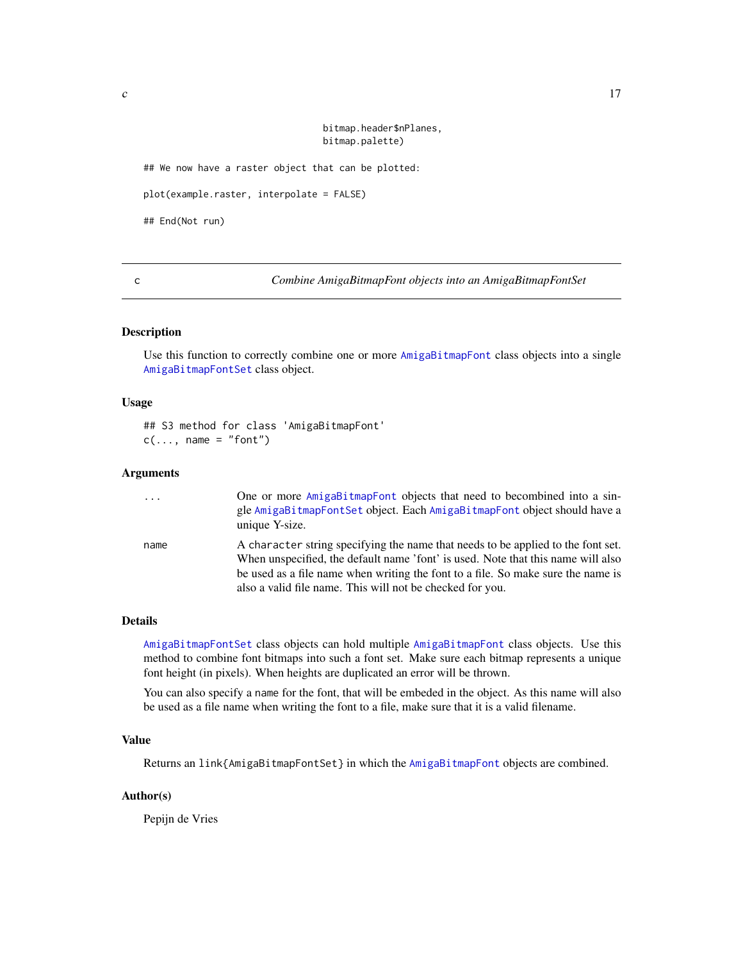bitmap.header\$nPlanes, bitmap.palette)

<span id="page-16-0"></span>## We now have a raster object that can be plotted:

plot(example.raster, interpolate = FALSE)

## End(Not run)

<span id="page-16-1"></span>c *Combine AmigaBitmapFont objects into an AmigaBitmapFontSet*

#### Description

Use this function to correctly combine one or more [AmigaBitmapFont](#page-2-1) class objects into a single [AmigaBitmapFontSet](#page-2-2) class object.

#### Usage

## S3 method for class 'AmigaBitmapFont'  $c(\ldots, \text{ name } = "font")$ 

#### Arguments

| $\cdots$ | One or more AmigaBitmapFont objects that need to becombined into a sin-<br>gle AmigaBitmapFontSet object. Each AmigaBitmapFont object should have a<br>unique Y-size. |
|----------|-----------------------------------------------------------------------------------------------------------------------------------------------------------------------|
| name     | A character string specifying the name that needs to be applied to the font set.<br>When unspecified, the default name 'font' is used. Note that this name will also  |
|          | be used as a file name when writing the font to a file. So make sure the name is                                                                                      |
|          | also a valid file name. This will not be checked for you.                                                                                                             |

#### Details

[AmigaBitmapFontSet](#page-2-2) class objects can hold multiple [AmigaBitmapFont](#page-2-1) class objects. Use this method to combine font bitmaps into such a font set. Make sure each bitmap represents a unique font height (in pixels). When heights are duplicated an error will be thrown.

You can also specify a name for the font, that will be embeded in the object. As this name will also be used as a file name when writing the font to a file, make sure that it is a valid filename.

# Value

Returns an link{AmigaBitmapFontSet} in which the [AmigaBitmapFont](#page-2-1) objects are combined.

#### Author(s)

Pepijn de Vries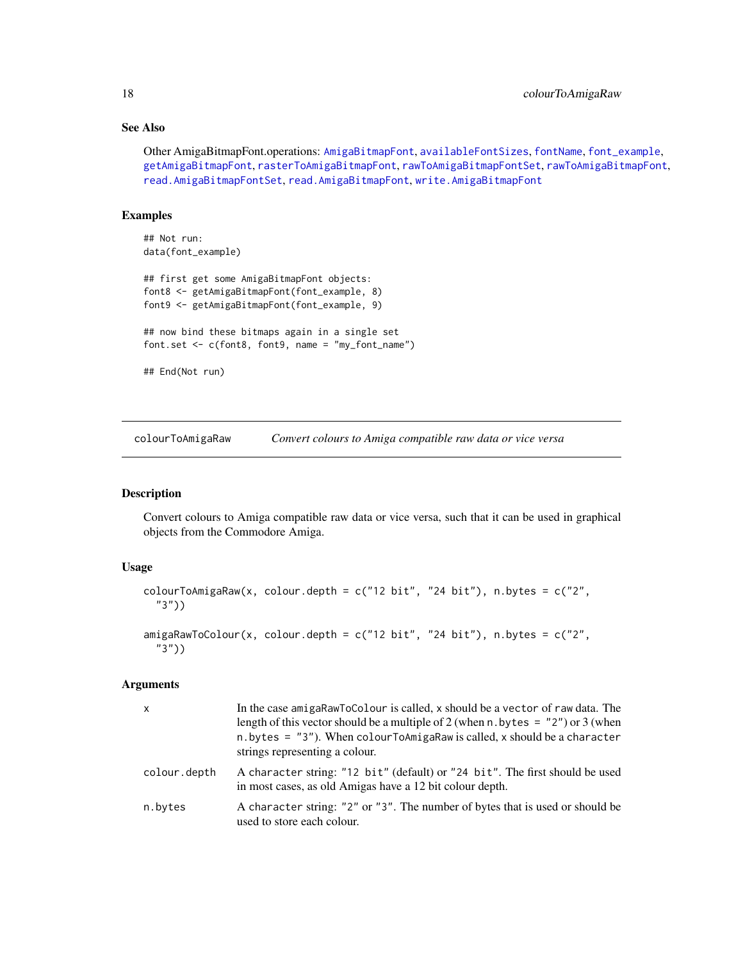# See Also

```
Other AmigaBitmapFont.operations: AmigaBitmapFont, availableFontSizes, fontName, font_example,
getAmigaBitmapFont, rasterToAmigaBitmapFont, rawToAmigaBitmapFontSet, rawToAmigaBitmapFont,
read.AmigaBitmapFontSet, read.AmigaBitmapFont, write.AmigaBitmapFont
```
# Examples

```
## Not run:
data(font_example)
## first get some AmigaBitmapFont objects:
font8 <- getAmigaBitmapFont(font_example, 8)
font9 <- getAmigaBitmapFont(font_example, 9)
## now bind these bitmaps again in a single set
font.set <- c(font8, font9, name = "my_font_name")
## End(Not run)
```
<span id="page-17-1"></span>colourToAmigaRaw *Convert colours to Amiga compatible raw data or vice versa*

# Description

Convert colours to Amiga compatible raw data or vice versa, such that it can be used in graphical objects from the Commodore Amiga.

# Usage

```
colourToAmigaRaw(x, colour.depth = c("12 bit", "24 bit"), n.bytes = c("2",
  "3"))
amigaRawToColour(x, colour.depth = c("12 bit", "24 bit"), n.bytes = c("2",
```

```
"3"))
```
# Arguments

| $\mathsf{x}$ | In the case amigaRawToColour is called, x should be a vector of raw data. The<br>length of this vector should be a multiple of 2 (when n. by tes = $"2"$ ) or 3 (when<br>$n.$ bytes = "3"). When colour ToAmigaRaw is called, x should be a character<br>strings representing a colour. |
|--------------|-----------------------------------------------------------------------------------------------------------------------------------------------------------------------------------------------------------------------------------------------------------------------------------------|
| colour.depth | A character string: "12 bit" (default) or "24 bit". The first should be used<br>in most cases, as old Amigas have a 12 bit colour depth.                                                                                                                                                |
| n.bytes      | A character string: "2" or "3". The number of bytes that is used or should be<br>used to store each colour.                                                                                                                                                                             |

<span id="page-17-0"></span>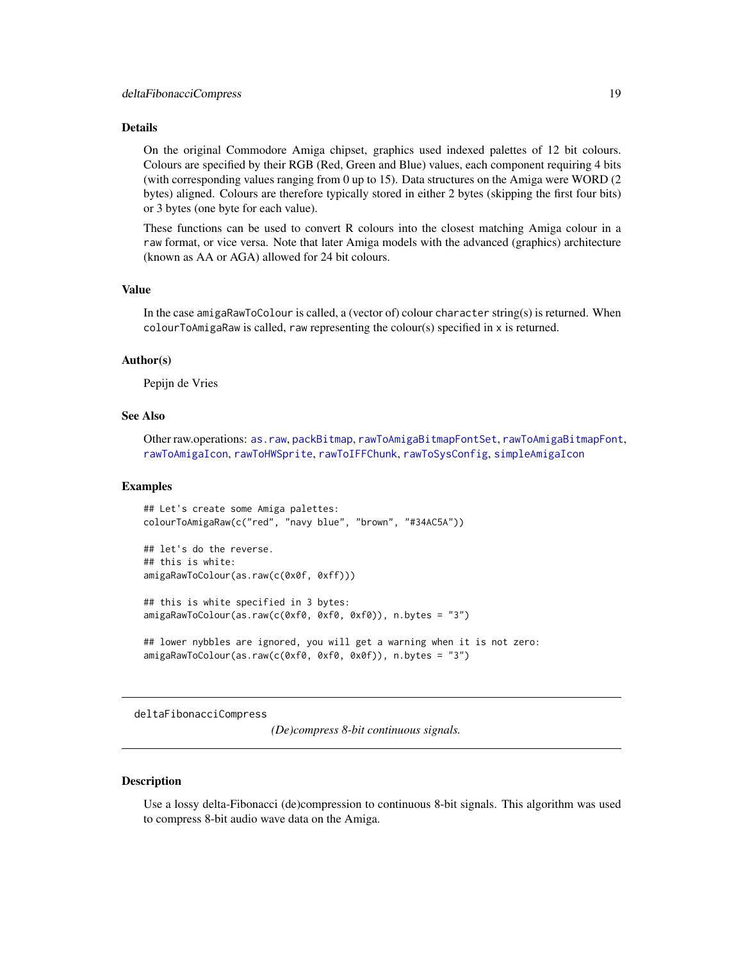#### <span id="page-18-0"></span>Details

On the original Commodore Amiga chipset, graphics used indexed palettes of 12 bit colours. Colours are specified by their RGB (Red, Green and Blue) values, each component requiring 4 bits (with corresponding values ranging from 0 up to 15). Data structures on the Amiga were WORD (2 bytes) aligned. Colours are therefore typically stored in either 2 bytes (skipping the first four bits) or 3 bytes (one byte for each value).

These functions can be used to convert R colours into the closest matching Amiga colour in a raw format, or vice versa. Note that later Amiga models with the advanced (graphics) architecture (known as AA or AGA) allowed for 24 bit colours.

# Value

In the case amigaRawToColour is called, a (vector of) colour character string(s) is returned. When colourToAmigaRaw is called, raw representing the colour(s) specified in x is returned.

#### Author(s)

Pepijn de Vries

## See Also

Other raw.operations: [as.raw](#page-12-1), [packBitmap](#page-40-1), [rawToAmigaBitmapFontSet](#page-54-1), [rawToAmigaBitmapFont](#page-53-1), [rawToAmigaIcon](#page-56-1), [rawToHWSprite](#page-57-1), [rawToIFFChunk](#page-58-1), [rawToSysConfig](#page-59-1), [simpleAmigaIcon](#page-67-1)

#### Examples

```
## Let's create some Amiga palettes:
colourToAmigaRaw(c("red", "navy blue", "brown", "#34AC5A"))
## let's do the reverse.
## this is white:
amigaRawToColour(as.raw(c(0x0f, 0xff)))
## this is white specified in 3 bytes:
amigaRawToColour(as.raw(c(0xf0, 0xf0, 0xf0)), n.bytes = "3")
## lower nybbles are ignored, you will get a warning when it is not zero:
```
amigaRawToColour(as.raw(c(0xf0, 0xf0, 0x0f)), n.bytes = "3")

<span id="page-18-1"></span>deltaFibonacciCompress

*(De)compress 8-bit continuous signals.*

#### Description

Use a lossy delta-Fibonacci (de)compression to continuous 8-bit signals. This algorithm was used to compress 8-bit audio wave data on the Amiga.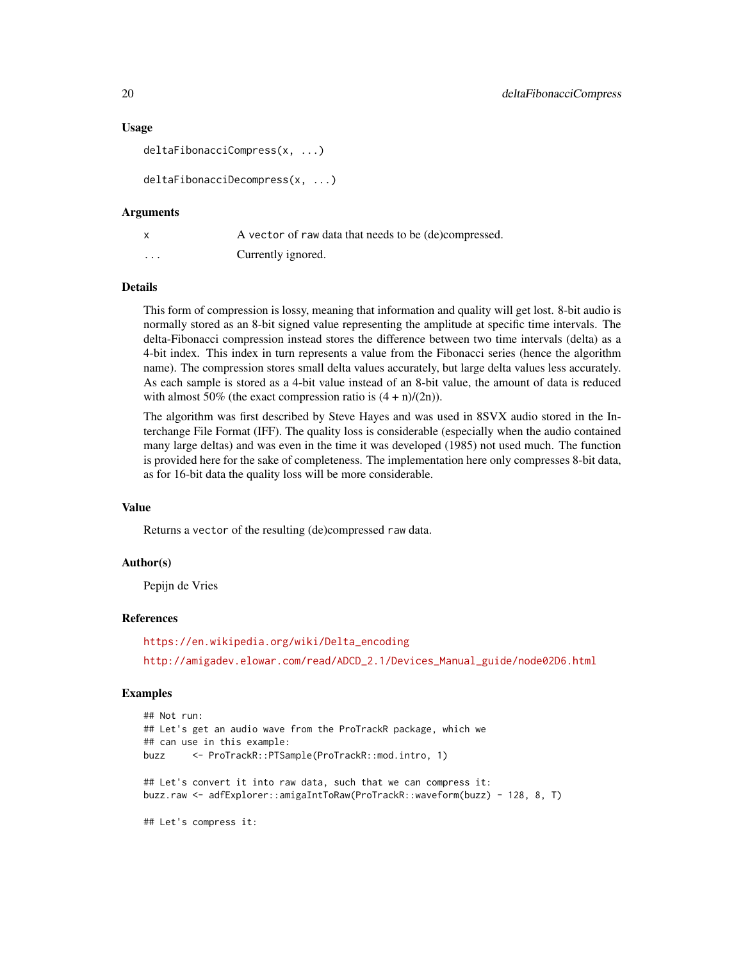#### Usage

```
deltaFibonacciCompress(x, ...)
```

```
deltaFibonacciDecompress(x, ...)
```
#### Arguments

|          | A vector of raw data that needs to be (de)compressed. |
|----------|-------------------------------------------------------|
| $\cdots$ | Currently ignored.                                    |

#### Details

This form of compression is lossy, meaning that information and quality will get lost. 8-bit audio is normally stored as an 8-bit signed value representing the amplitude at specific time intervals. The delta-Fibonacci compression instead stores the difference between two time intervals (delta) as a 4-bit index. This index in turn represents a value from the Fibonacci series (hence the algorithm name). The compression stores small delta values accurately, but large delta values less accurately. As each sample is stored as a 4-bit value instead of an 8-bit value, the amount of data is reduced with almost 50% (the exact compression ratio is  $(4 + n)/(2n)$ ).

The algorithm was first described by Steve Hayes and was used in 8SVX audio stored in the Interchange File Format (IFF). The quality loss is considerable (especially when the audio contained many large deltas) and was even in the time it was developed (1985) not used much. The function is provided here for the sake of completeness. The implementation here only compresses 8-bit data, as for 16-bit data the quality loss will be more considerable.

# Value

Returns a vector of the resulting (de)compressed raw data.

#### Author(s)

Pepijn de Vries

# References

[https://en.wikipedia.org/wiki/Delta\\_encoding](https://en.wikipedia.org/wiki/Delta_encoding) [http://amigadev.elowar.com/read/ADCD\\_2.1/Devices\\_Manual\\_guide/node02D6.html](http://amigadev.elowar.com/read/ADCD_2.1/Devices_Manual_guide/node02D6.html)

#### Examples

```
## Not run:
## Let's get an audio wave from the ProTrackR package, which we
## can use in this example:
buzz <- ProTrackR::PTSample(ProTrackR::mod.intro, 1)
## Let's convert it into raw data, such that we can compress it:
buzz.raw <- adfExplorer::amigaIntToRaw(ProTrackR::waveform(buzz) - 128, 8, T)
## Let's compress it:
```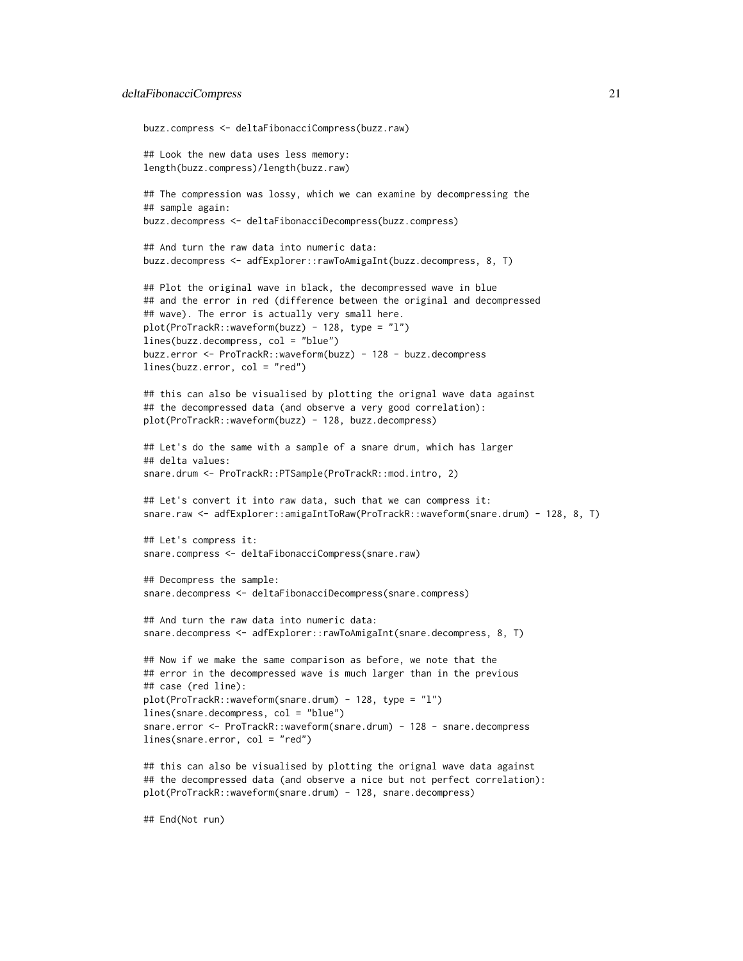#### deltaFibonacciCompress 21

```
buzz.compress <- deltaFibonacciCompress(buzz.raw)
## Look the new data uses less memory:
length(buzz.compress)/length(buzz.raw)
## The compression was lossy, which we can examine by decompressing the
## sample again:
buzz.decompress <- deltaFibonacciDecompress(buzz.compress)
## And turn the raw data into numeric data:
buzz.decompress <- adfExplorer::rawToAmigaInt(buzz.decompress, 8, T)
## Plot the original wave in black, the decompressed wave in blue
## and the error in red (difference between the original and decompressed
## wave). The error is actually very small here.
plot(ProTrackR::waveform(buzz) - 128, type = "l")
lines(buzz.decompress, col = "blue")
buzz.error <- ProTrackR::waveform(buzz) - 128 - buzz.decompress
lines(buzz.error, col = "red")
## this can also be visualised by plotting the orignal wave data against
## the decompressed data (and observe a very good correlation):
plot(ProTrackR::waveform(buzz) - 128, buzz.decompress)
## Let's do the same with a sample of a snare drum, which has larger
## delta values:
snare.drum <- ProTrackR::PTSample(ProTrackR::mod.intro, 2)
## Let's convert it into raw data, such that we can compress it:
snare.raw <- adfExplorer::amigaIntToRaw(ProTrackR::waveform(snare.drum) - 128, 8, T)
## Let's compress it:
snare.compress <- deltaFibonacciCompress(snare.raw)
## Decompress the sample:
snare.decompress <- deltaFibonacciDecompress(snare.compress)
## And turn the raw data into numeric data:
snare.decompress <- adfExplorer::rawToAmigaInt(snare.decompress, 8, T)
## Now if we make the same comparison as before, we note that the
## error in the decompressed wave is much larger than in the previous
## case (red line):
plot(ProTrackR::waveform(snare.drum) - 128, type = "l")
lines(snare.decompress, col = "blue")
snare.error <- ProTrackR::waveform(snare.drum) - 128 - snare.decompress
lines(snare.error, col = "red")
## this can also be visualised by plotting the orignal wave data against
## the decompressed data (and observe a nice but not perfect correlation):
plot(ProTrackR::waveform(snare.drum) - 128, snare.decompress)
```
## End(Not run)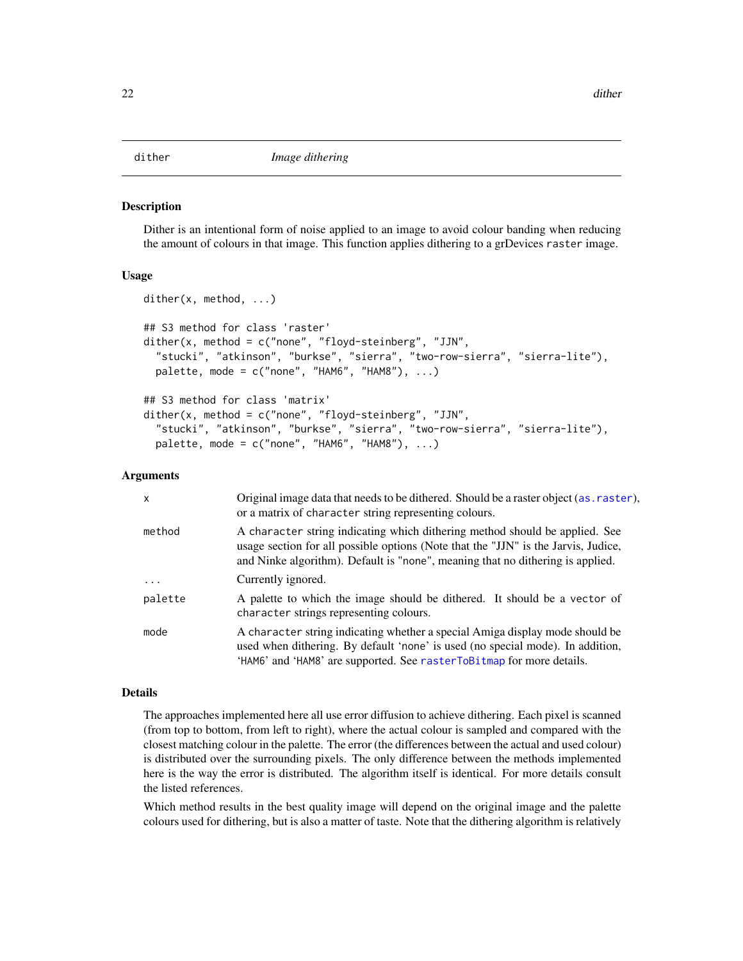#### <span id="page-21-1"></span><span id="page-21-0"></span>Description

Dither is an intentional form of noise applied to an image to avoid colour banding when reducing the amount of colours in that image. This function applies dithering to a grDevices raster image.

#### Usage

```
dither(x, method, ...)
## S3 method for class 'raster'
dither(x, method = c("none", "floyd-steinberg", "JJN",
  "stucki", "atkinson", "burkse", "sierra", "two-row-sierra", "sierra-lite"),
 palette, mode = c("none", "HAM6", "HAM8"), ...## S3 method for class 'matrix'
dither(x, method = c("none", "floyd-steinberg", "JJN","stucki", "atkinson", "burkse", "sierra", "two-row-sierra", "sierra-lite"),
 palette, mode = c("none", "HAM6", "HAM8"), ...)
```
### Arguments

| x          | Original image data that needs to be dithered. Should be a raster object (as . raster),<br>or a matrix of character string representing colours.                                                                                                    |
|------------|-----------------------------------------------------------------------------------------------------------------------------------------------------------------------------------------------------------------------------------------------------|
| method     | A character string indicating which dithering method should be applied. See<br>usage section for all possible options (Note that the "JJN" is the Jarvis, Judice,<br>and Ninke algorithm). Default is "none", meaning that no dithering is applied. |
| $\ddots$ . | Currently ignored.                                                                                                                                                                                                                                  |
| palette    | A palette to which the image should be dithered. It should be a vector of<br>character strings representing colours.                                                                                                                                |
| mode       | A character string indicating whether a special Amiga display mode should be<br>used when dithering. By default 'none' is used (no special mode). In addition,<br>'HAM6' and 'HAM8' are supported. See rasterToBitmap for more details.             |

# Details

The approaches implemented here all use error diffusion to achieve dithering. Each pixel is scanned (from top to bottom, from left to right), where the actual colour is sampled and compared with the closest matching colour in the palette. The error (the differences between the actual and used colour) is distributed over the surrounding pixels. The only difference between the methods implemented here is the way the error is distributed. The algorithm itself is identical. For more details consult the listed references.

Which method results in the best quality image will depend on the original image and the palette colours used for dithering, but is also a matter of taste. Note that the dithering algorithm is relatively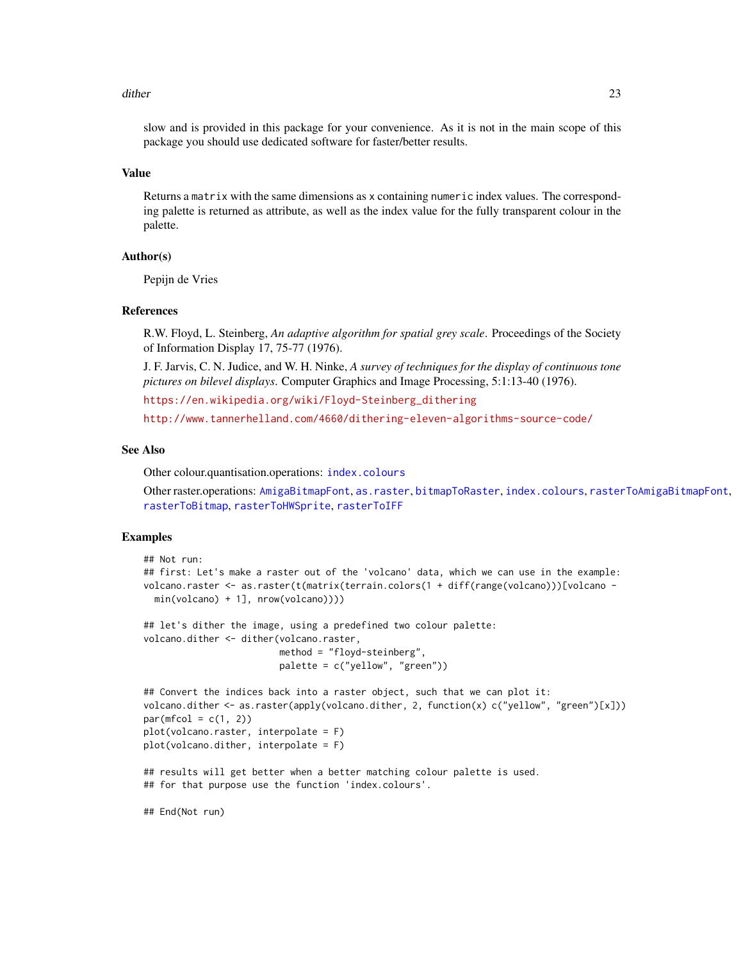#### dither 23

slow and is provided in this package for your convenience. As it is not in the main scope of this package you should use dedicated software for faster/better results.

# Value

Returns a matrix with the same dimensions as x containing numeric index values. The corresponding palette is returned as attribute, as well as the index value for the fully transparent colour in the palette.

#### Author(s)

Pepijn de Vries

#### References

R.W. Floyd, L. Steinberg, *An adaptive algorithm for spatial grey scale*. Proceedings of the Society of Information Display 17, 75-77 (1976).

J. F. Jarvis, C. N. Judice, and W. H. Ninke, *A survey of techniques for the display of continuous tone pictures on bilevel displays*. Computer Graphics and Image Processing, 5:1:13-40 (1976).

[https://en.wikipedia.org/wiki/Floyd-Steinberg\\_dithering](https://en.wikipedia.org/wiki/Floyd-Steinberg_dithering)

<http://www.tannerhelland.com/4660/dithering-eleven-algorithms-source-code/>

#### See Also

Other colour.quantisation.operations: [index.colours](#page-37-1)

Other raster.operations: [AmigaBitmapFont](#page-2-1), [as.raster](#page-10-1), [bitmapToRaster](#page-14-1), [index.colours](#page-37-1), [rasterToAmigaBitmapFont](#page-45-1), [rasterToBitmap](#page-48-1), [rasterToHWSprite](#page-50-1), [rasterToIFF](#page-52-1)

#### Examples

```
## Not run:
## first: Let's make a raster out of the 'volcano' data, which we can use in the example:
volcano.raster <- as.raster(t(matrix(terrain.colors(1 + diff(range(volcano)))[volcano -
 min(volcano) + 1], nrow(volcano))))
## let's dither the image, using a predefined two colour palette:
volcano.dither <- dither(volcano.raster,
                         method = "floyd-steinberg",
                         palette = c("yellow", "green"))
## Convert the indices back into a raster object, such that we can plot it:
volcano.dither <- as.raster(apply(volcano.dither, 2, function(x) c("yellow", "green")[x]))
par(mfcol = c(1, 2))plot(volcano.raster, interpolate = F)
plot(volcano.dither, interpolate = F)
## results will get better when a better matching colour palette is used.
## for that purpose use the function 'index.colours'.
## End(Not run)
```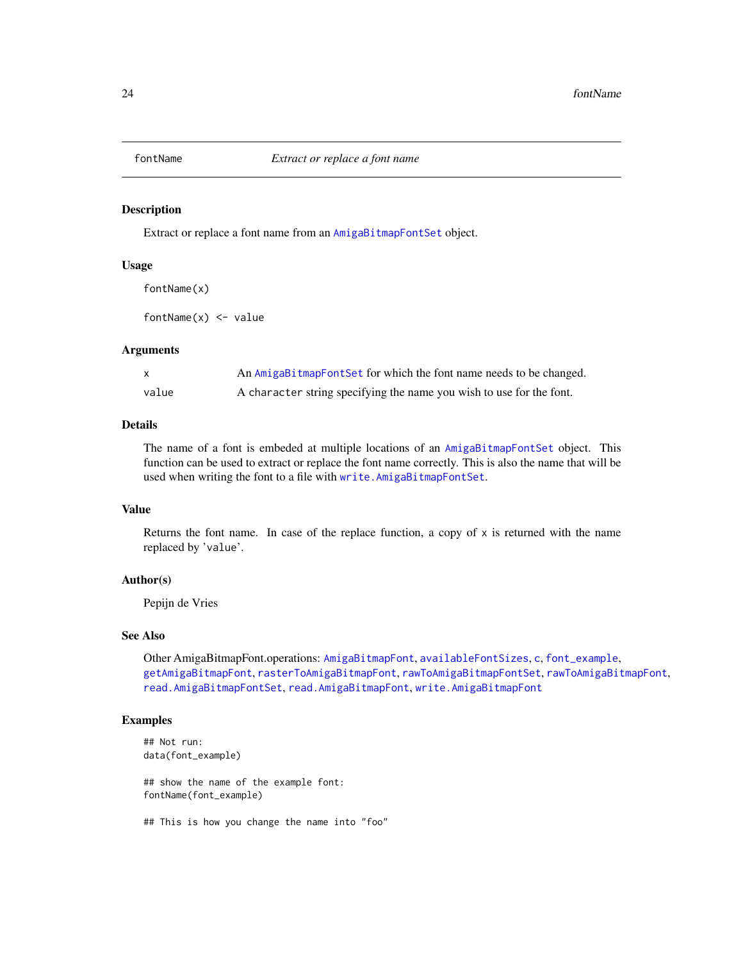<span id="page-23-1"></span><span id="page-23-0"></span>

#### Description

Extract or replace a font name from an [AmigaBitmapFontSet](#page-2-2) object.

#### Usage

fontName(x)

fontName $(x)$  <- value

#### Arguments

|       | An AmigaBitmapFontSet for which the font name needs to be changed.   |
|-------|----------------------------------------------------------------------|
| value | A character string specifying the name you wish to use for the font. |

#### Details

The name of a font is embeded at multiple locations of an [AmigaBitmapFontSet](#page-2-2) object. This function can be used to extract or replace the font name correctly. This is also the name that will be used when writing the font to a file with [write.AmigaBitmapFontSet](#page-73-2).

# Value

Returns the font name. In case of the replace function, a copy of  $x$  is returned with the name replaced by 'value'.

### Author(s)

Pepijn de Vries

# See Also

Other AmigaBitmapFont.operations: [AmigaBitmapFont](#page-2-1), [availableFontSizes](#page-13-1), [c](#page-16-1), [font\\_example](#page-24-1), [getAmigaBitmapFont](#page-24-2), [rasterToAmigaBitmapFont](#page-45-1), [rawToAmigaBitmapFontSet](#page-54-1), [rawToAmigaBitmapFont](#page-53-1), [read.AmigaBitmapFontSet](#page-62-1), [read.AmigaBitmapFont](#page-61-1), [write.AmigaBitmapFont](#page-73-1)

# Examples

## Not run: data(font\_example)

## show the name of the example font: fontName(font\_example)

## This is how you change the name into "foo"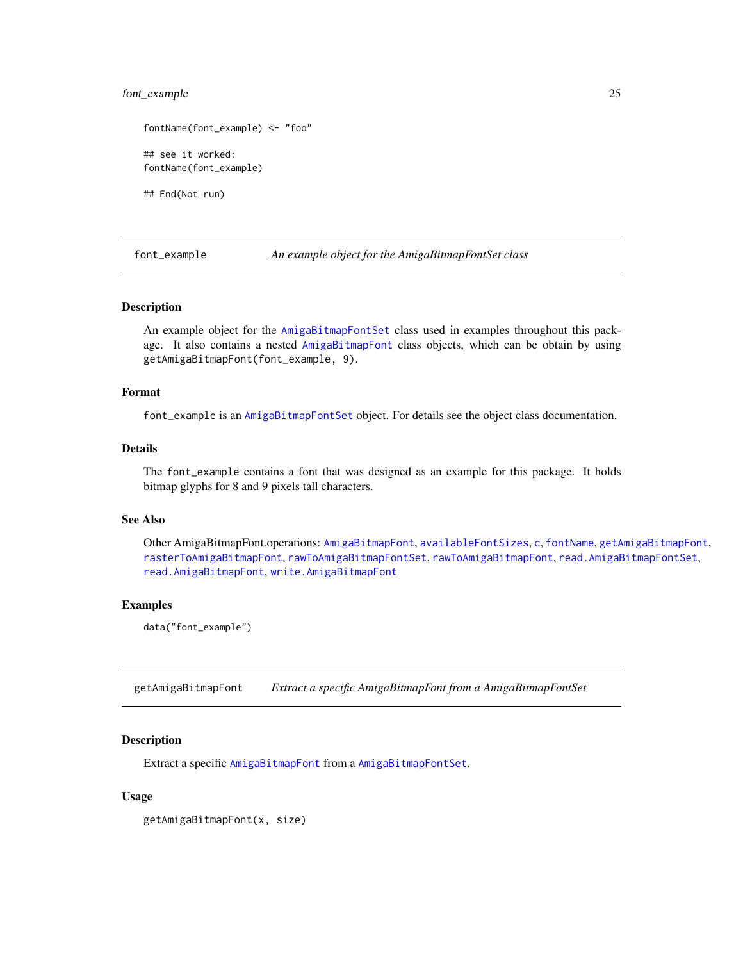# <span id="page-24-0"></span>font\_example 25

```
fontName(font_example) <- "foo"
## see it worked:
fontName(font_example)
```
## End(Not run)

<span id="page-24-1"></span>font\_example *An example object for the AmigaBitmapFontSet class*

#### Description

An example object for the [AmigaBitmapFontSet](#page-2-2) class used in examples throughout this package. It also contains a nested [AmigaBitmapFont](#page-2-1) class objects, which can be obtain by using getAmigaBitmapFont(font\_example, 9).

# Format

font\_example is an [AmigaBitmapFontSet](#page-2-2) object. For details see the object class documentation.

# Details

The font\_example contains a font that was designed as an example for this package. It holds bitmap glyphs for 8 and 9 pixels tall characters.

#### See Also

Other AmigaBitmapFont.operations: [AmigaBitmapFont](#page-2-1), [availableFontSizes](#page-13-1), [c](#page-16-1), [fontName](#page-23-1), [getAmigaBitmapFont](#page-24-2), [rasterToAmigaBitmapFont](#page-45-1), [rawToAmigaBitmapFontSet](#page-54-1), [rawToAmigaBitmapFont](#page-53-1), [read.AmigaBitmapFontSet](#page-62-1), [read.AmigaBitmapFont](#page-61-1), [write.AmigaBitmapFont](#page-73-1)

#### Examples

data("font\_example")

<span id="page-24-2"></span>getAmigaBitmapFont *Extract a specific AmigaBitmapFont from a AmigaBitmapFontSet*

#### Description

Extract a specific [AmigaBitmapFont](#page-2-1) from a [AmigaBitmapFontSet](#page-2-2).

#### Usage

getAmigaBitmapFont(x, size)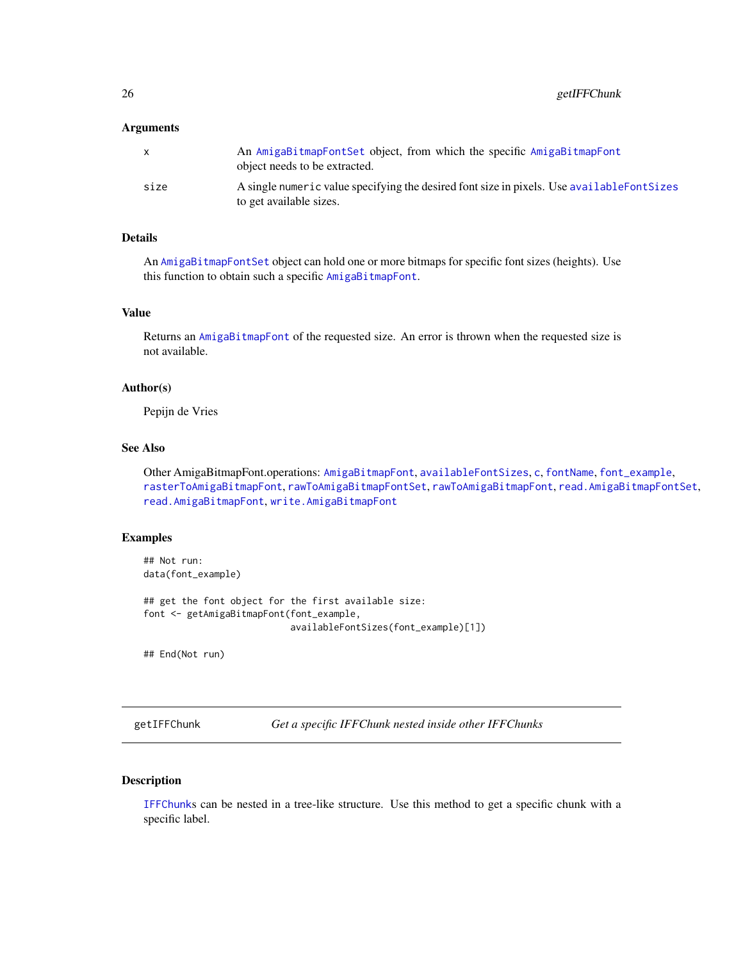### <span id="page-25-0"></span>Arguments

|      | An AmigaBitmapFontSet object, from which the specific AmigaBitmapFont<br>object needs to be extracted.                 |
|------|------------------------------------------------------------------------------------------------------------------------|
| size | A single numeric value specifying the desired font size in pixels. Use available Font Sizes<br>to get available sizes. |

# Details

An [AmigaBitmapFontSet](#page-2-2) object can hold one or more bitmaps for specific font sizes (heights). Use this function to obtain such a specific [AmigaBitmapFont](#page-2-1).

# Value

Returns an [AmigaBitmapFont](#page-2-1) of the requested size. An error is thrown when the requested size is not available.

#### Author(s)

Pepijn de Vries

# See Also

Other AmigaBitmapFont.operations: [AmigaBitmapFont](#page-2-1), [availableFontSizes](#page-13-1), [c](#page-16-1), [fontName](#page-23-1), [font\\_example](#page-24-1), [rasterToAmigaBitmapFont](#page-45-1), [rawToAmigaBitmapFontSet](#page-54-1), [rawToAmigaBitmapFont](#page-53-1), [read.AmigaBitmapFontSet](#page-62-1), [read.AmigaBitmapFont](#page-61-1), [write.AmigaBitmapFont](#page-73-1)

## Examples

```
## Not run:
data(font_example)
## get the font object for the first available size:
font <- getAmigaBitmapFont(font_example,
                           availableFontSizes(font_example)[1])
```
## End(Not run)

<span id="page-25-1"></span>getIFFChunk *Get a specific IFFChunk nested inside other IFFChunks*

# Description

[IFFChunk](#page-30-1)s can be nested in a tree-like structure. Use this method to get a specific chunk with a specific label.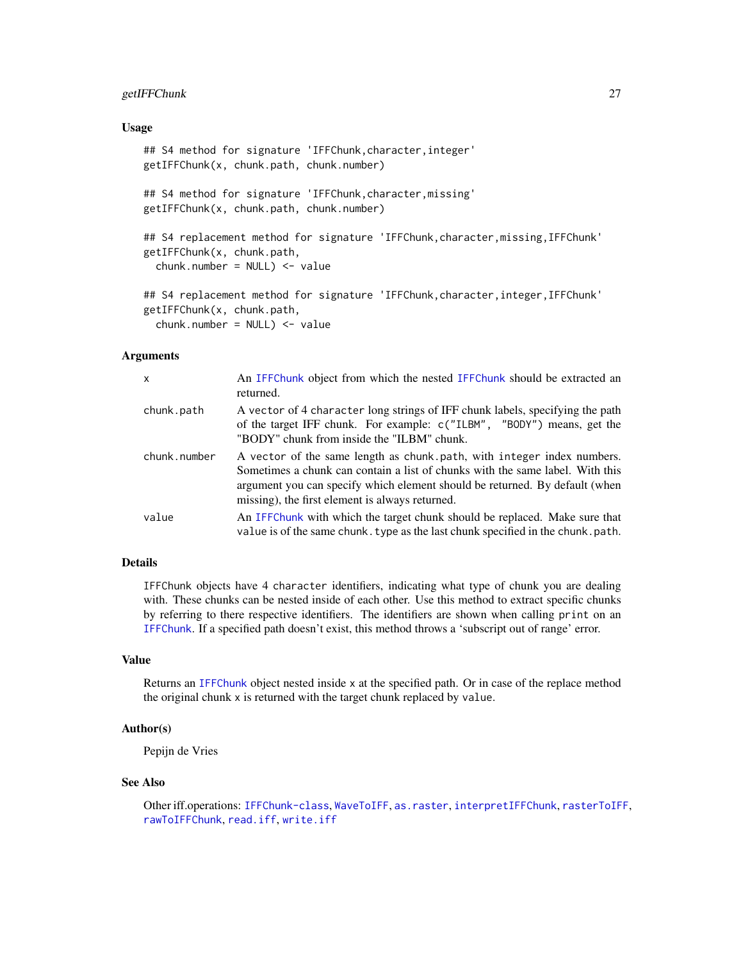# getIFFChunk 27

#### Usage

```
## S4 method for signature 'IFFChunk, character, integer'
getIFFChunk(x, chunk.path, chunk.number)
## S4 method for signature 'IFFChunk,character,missing'
getIFFChunk(x, chunk.path, chunk.number)
## S4 replacement method for signature 'IFFChunk, character, missing, IFFChunk'
getIFFChunk(x, chunk.path,
  chunk_number = NULL) < - value## S4 replacement method for signature 'IFFChunk,character,integer,IFFChunk'
getIFFChunk(x, chunk.path,
  chunk.number = NULL) <- value
```
#### Arguments

| x            | An IFFChunk object from which the nested IFFChunk should be extracted an<br>returned.                                                                                                                                                                                                     |
|--------------|-------------------------------------------------------------------------------------------------------------------------------------------------------------------------------------------------------------------------------------------------------------------------------------------|
| chunk.path   | A vector of 4 character long strings of IFF chunk labels, specifying the path<br>of the target IFF chunk. For example: c("ILBM", "BODY") means, get the<br>"BODY" chunk from inside the "ILBM" chunk.                                                                                     |
| chunk.number | A vector of the same length as chunk path, with integer index numbers.<br>Sometimes a chunk can contain a list of chunks with the same label. With this<br>argument you can specify which element should be returned. By default (when<br>missing), the first element is always returned. |
| value        | An IFFChunk with which the target chunk should be replaced. Make sure that<br>value is of the same chunk. type as the last chunk specified in the chunk. path.                                                                                                                            |

#### Details

IFFChunk objects have 4 character identifiers, indicating what type of chunk you are dealing with. These chunks can be nested inside of each other. Use this method to extract specific chunks by referring to there respective identifiers. The identifiers are shown when calling print on an [IFFChunk](#page-30-1). If a specified path doesn't exist, this method throws a 'subscript out of range' error.

# Value

Returns an [IFFChunk](#page-30-1) object nested inside x at the specified path. Or in case of the replace method the original chunk x is returned with the target chunk replaced by value.

# Author(s)

Pepijn de Vries

#### See Also

Other iff.operations: [IFFChunk-class](#page-28-1), [WaveToIFF](#page-71-1), [as.raster](#page-10-1), [interpretIFFChunk](#page-39-1), [rasterToIFF](#page-52-1), [rawToIFFChunk](#page-58-1), [read.iff](#page-65-1), [write.iff](#page-76-1)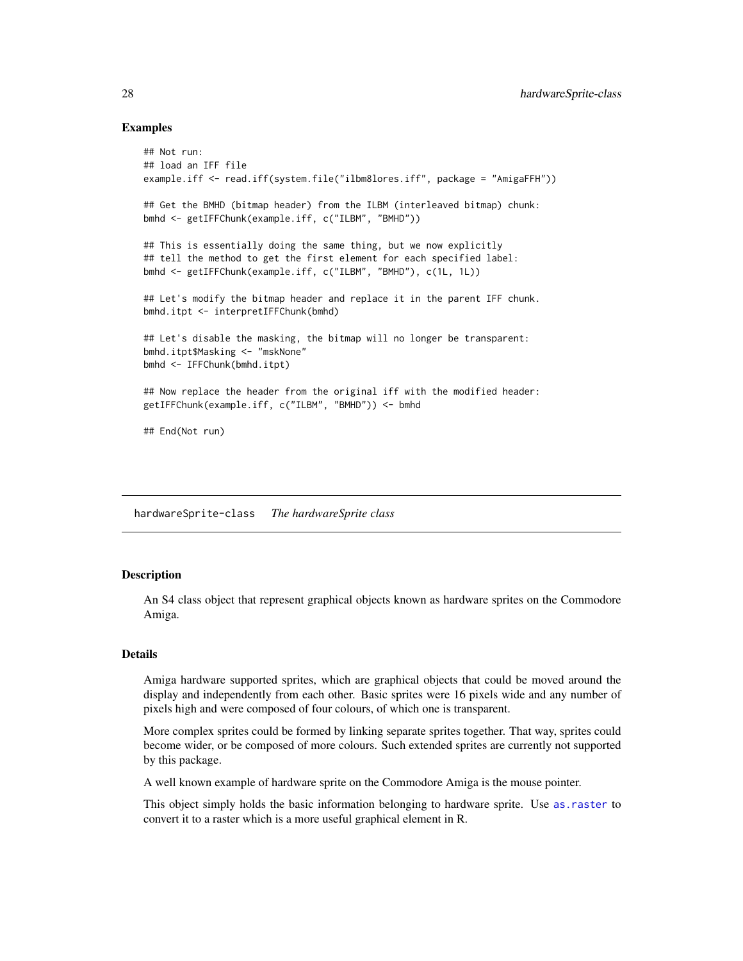#### Examples

```
## Not run:
## load an IFF file
example.iff <- read.iff(system.file("ilbm8lores.iff", package = "AmigaFFH"))
## Get the BMHD (bitmap header) from the ILBM (interleaved bitmap) chunk:
bmhd <- getIFFChunk(example.iff, c("ILBM", "BMHD"))
## This is essentially doing the same thing, but we now explicitly
## tell the method to get the first element for each specified label:
bmhd <- getIFFChunk(example.iff, c("ILBM", "BMHD"), c(1L, 1L))
## Let's modify the bitmap header and replace it in the parent IFF chunk.
bmhd.itpt <- interpretIFFChunk(bmhd)
## Let's disable the masking, the bitmap will no longer be transparent:
bmhd.itpt$Masking <- "mskNone"
bmhd <- IFFChunk(bmhd.itpt)
## Now replace the header from the original iff with the modified header:
getIFFChunk(example.iff, c("ILBM", "BMHD")) <- bmhd
## End(Not run)
```
hardwareSprite-class *The hardwareSprite class*

# <span id="page-27-1"></span>**Description**

An S4 class object that represent graphical objects known as hardware sprites on the Commodore Amiga.

# Details

Amiga hardware supported sprites, which are graphical objects that could be moved around the display and independently from each other. Basic sprites were 16 pixels wide and any number of pixels high and were composed of four colours, of which one is transparent.

More complex sprites could be formed by linking separate sprites together. That way, sprites could become wider, or be composed of more colours. Such extended sprites are currently not supported by this package.

A well known example of hardware sprite on the Commodore Amiga is the mouse pointer.

This object simply holds the basic information belonging to hardware sprite. Use [as.raster](#page-10-1) to convert it to a raster which is a more useful graphical element in R.

<span id="page-27-0"></span>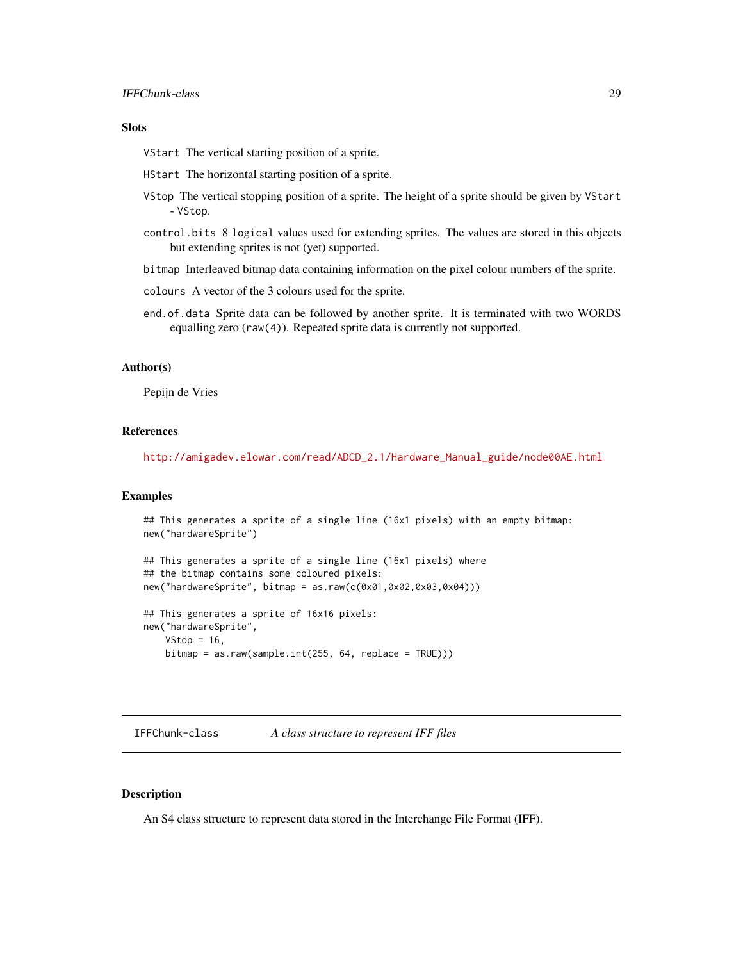# <span id="page-28-0"></span>Slots

VStart The vertical starting position of a sprite.

HStart The horizontal starting position of a sprite.

- VStop The vertical stopping position of a sprite. The height of a sprite should be given by VStart - VStop.
- control.bits 8 logical values used for extending sprites. The values are stored in this objects but extending sprites is not (yet) supported.

bitmap Interleaved bitmap data containing information on the pixel colour numbers of the sprite.

colours A vector of the 3 colours used for the sprite.

end.of.data Sprite data can be followed by another sprite. It is terminated with two WORDS equalling zero (raw(4)). Repeated sprite data is currently not supported.

#### Author(s)

Pepijn de Vries

## References

[http://amigadev.elowar.com/read/ADCD\\_2.1/Hardware\\_Manual\\_guide/node00AE.html](http://amigadev.elowar.com/read/ADCD_2.1/Hardware_Manual_guide/node00AE.html)

#### Examples

```
## This generates a sprite of a single line (16x1 pixels) with an empty bitmap:
new("hardwareSprite")
## This generates a sprite of a single line (16x1 pixels) where
## the bitmap contains some coloured pixels:
new("hardwareSprite", bitmap = as.raw(c(0x01,0x02,0x03,0x04)))
```

```
## This generates a sprite of 16x16 pixels:
new("hardwareSprite",
   VStop = 16,
   bitmap = as.raw(sample.int(255, 64, replace = TRUE)))
```
<span id="page-28-1"></span>IFFChunk-class *A class structure to represent IFF files*

#### Description

An S4 class structure to represent data stored in the Interchange File Format (IFF).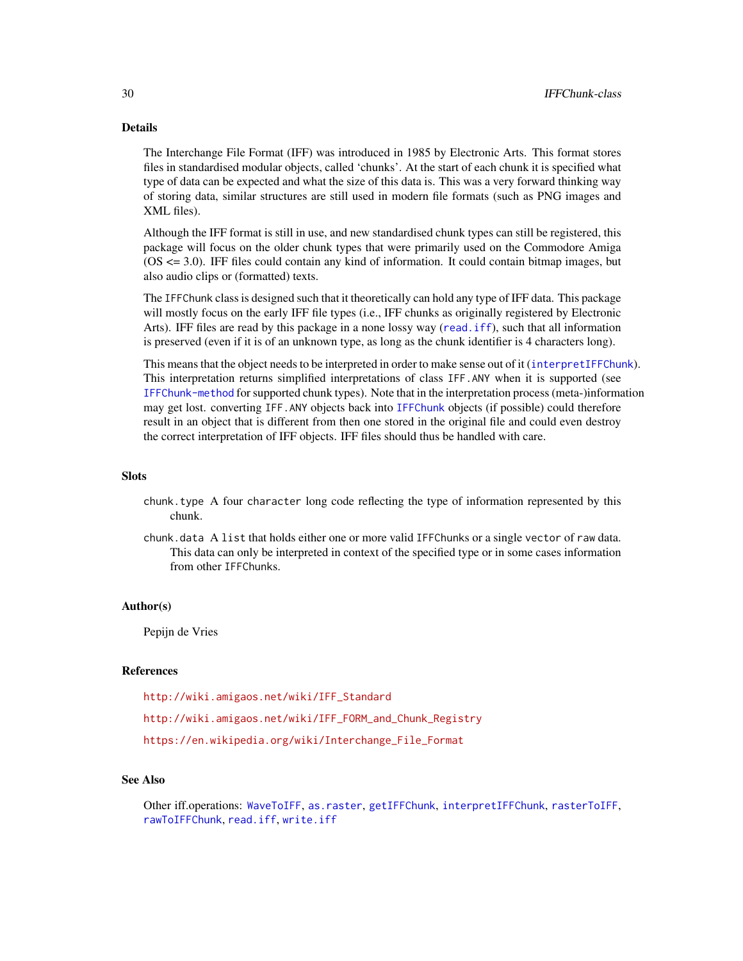# Details

The Interchange File Format (IFF) was introduced in 1985 by Electronic Arts. This format stores files in standardised modular objects, called 'chunks'. At the start of each chunk it is specified what type of data can be expected and what the size of this data is. This was a very forward thinking way of storing data, similar structures are still used in modern file formats (such as PNG images and XML files).

Although the IFF format is still in use, and new standardised chunk types can still be registered, this package will focus on the older chunk types that were primarily used on the Commodore Amiga (OS <= 3.0). IFF files could contain any kind of information. It could contain bitmap images, but also audio clips or (formatted) texts.

The IFFChunk class is designed such that it theoretically can hold any type of IFF data. This package will mostly focus on the early IFF file types (i.e., IFF chunks as originally registered by Electronic Arts). IFF files are read by this package in a none lossy way ([read.iff](#page-65-1)), such that all information is preserved (even if it is of an unknown type, as long as the chunk identifier is 4 characters long).

This means that the object needs to be interpreted in order to make sense out of it ([interpretIFFChunk](#page-39-1)). This interpretation returns simplified interpretations of class IFF.ANY when it is supported (see [IFFChunk-method](#page-30-2) for supported chunk types). Note that in the interpretation process (meta-)information may get lost. converting IFF.ANY objects back into [IFFChunk](#page-30-1) objects (if possible) could therefore result in an object that is different from then one stored in the original file and could even destroy the correct interpretation of IFF objects. IFF files should thus be handled with care.

#### **Slots**

- chunk.type A four character long code reflecting the type of information represented by this chunk.
- chunk.data A list that holds either one or more valid IFFChunks or a single vector of raw data. This data can only be interpreted in context of the specified type or in some cases information from other IFFChunks.

#### Author(s)

Pepijn de Vries

### References

[http://wiki.amigaos.net/wiki/IFF\\_Standard](http://wiki.amigaos.net/wiki/IFF_Standard) [http://wiki.amigaos.net/wiki/IFF\\_FORM\\_and\\_Chunk\\_Registry](http://wiki.amigaos.net/wiki/IFF_FORM_and_Chunk_Registry) [https://en.wikipedia.org/wiki/Interchange\\_File\\_Format](https://en.wikipedia.org/wiki/Interchange_File_Format)

# See Also

Other iff.operations: [WaveToIFF](#page-71-1), [as.raster](#page-10-1), [getIFFChunk](#page-25-1), [interpretIFFChunk](#page-39-1), [rasterToIFF](#page-52-1), [rawToIFFChunk](#page-58-1), [read.iff](#page-65-1), [write.iff](#page-76-1)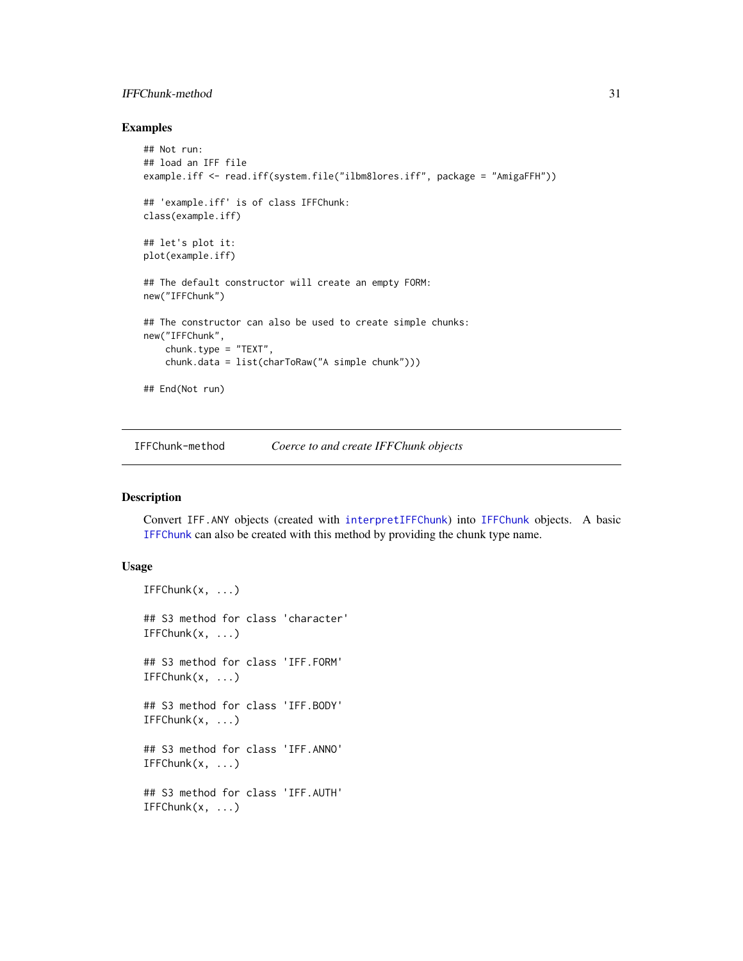# <span id="page-30-0"></span>IFFChunk-method 31

# Examples

```
## Not run:
## load an IFF file
example.iff <- read.iff(system.file("ilbm8lores.iff", package = "AmigaFFH"))
## 'example.iff' is of class IFFChunk:
class(example.iff)
## let's plot it:
plot(example.iff)
## The default constructor will create an empty FORM:
new("IFFChunk")
## The constructor can also be used to create simple chunks:
new("IFFChunk",
    chunk.type = "TEXT",
    chunk.data = list(charToRaw("A simple chunk")))
## End(Not run)
```
<span id="page-30-2"></span>IFFChunk-method *Coerce to and create IFFChunk objects*

# <span id="page-30-1"></span>Description

Convert IFF.ANY objects (created with [interpretIFFChunk](#page-39-1)) into [IFFChunk](#page-30-1) objects. A basic [IFFChunk](#page-30-1) can also be created with this method by providing the chunk type name.

## Usage

```
IFFChunk(x, \ldots)## S3 method for class 'character'
IFFChunk(x, \ldots)## S3 method for class 'IFF.FORM'
IFFChunk(x, ...)
## S3 method for class 'IFF.BODY'
IFFChunk(x, ...)## S3 method for class 'IFF.ANNO'
IFFChunk(x, \ldots)## S3 method for class 'IFF.AUTH'
IFFChunk(x, \ldots)
```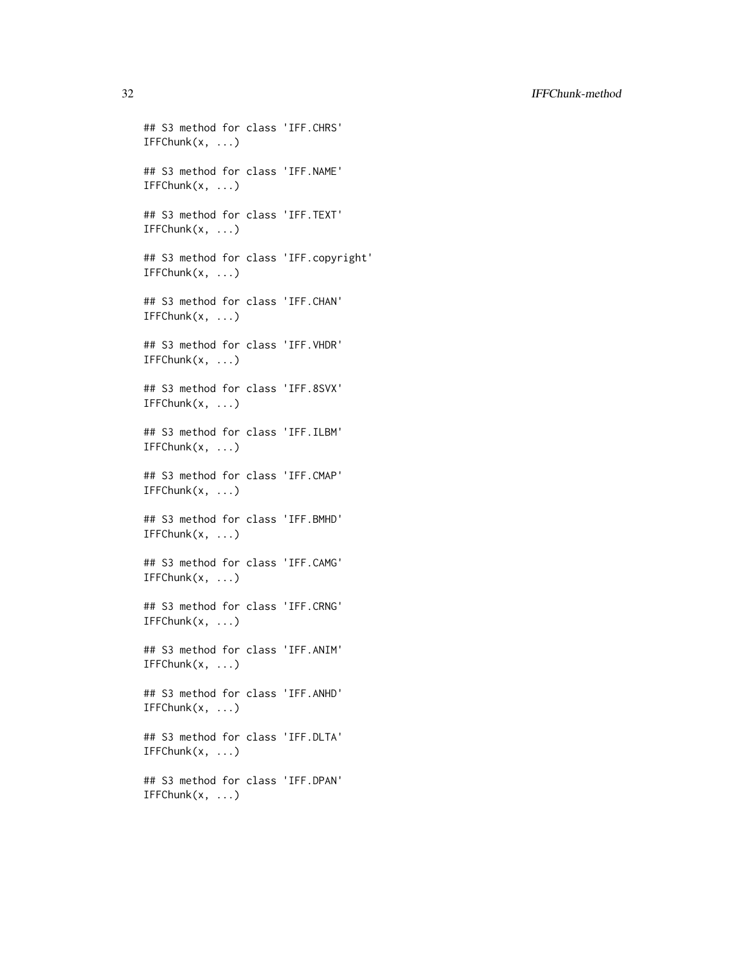32 IFFChunk-method

```
## S3 method for class 'IFF.CHRS'
IFFChunk(x, \ldots)## S3 method for class 'IFF.NAME'
IFFChunk(x, ...)
## S3 method for class 'IFF.TEXT'
IFFChunk(x, \ldots)## S3 method for class 'IFF.copyright'
IFFChunk(x, ...)
## S3 method for class 'IFF.CHAN'
IFFChunk(x, ...)
## S3 method for class 'IFF.VHDR'
IFFChunk(x, ...)
## S3 method for class 'IFF.8SVX'
IFFChunk(x, \ldots)## S3 method for class 'IFF.ILBM'
IFFChunk(x, \ldots)## S3 method for class 'IFF.CMAP'
IFFChunk(x, \ldots)## S3 method for class 'IFF.BMHD'
IFFChunk(x, ...)
## S3 method for class 'IFF.CAMG'
IFFChunk(x, ...)
## S3 method for class 'IFF.CRNG'
IFFChunk(x, \ldots)## S3 method for class 'IFF.ANIM'
IFFChunk(x, ...)
## S3 method for class 'IFF.ANHD'
IFFChunk(x, \ldots)## S3 method for class 'IFF.DLTA'
IFFChunk(x, \ldots)## S3 method for class 'IFF.DPAN'
IFFChunk(x, ...)
```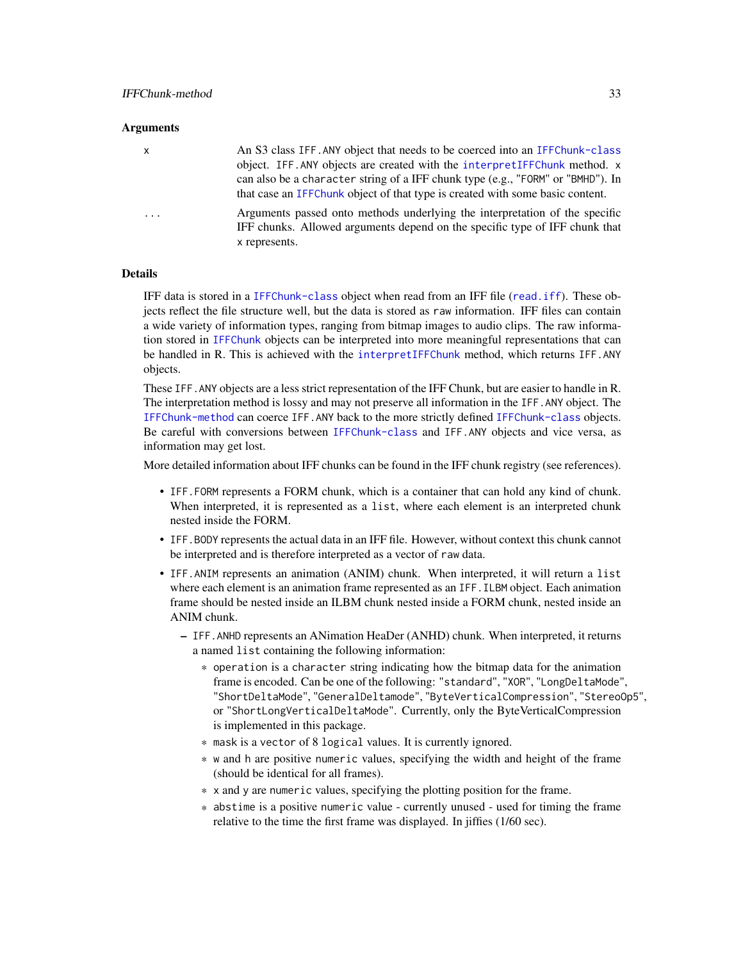#### **Arguments**

| x | An S3 class IFF. ANY object that needs to be coerced into an IFFChunk-class<br>object. IFF. ANY objects are created with the interpretIFFChunk method. x<br>can also be a character string of a IFF chunk type (e.g., "FORM" or "BMHD"). In<br>that case an IFFC hunk object of that type is created with some basic content. |
|---|-------------------------------------------------------------------------------------------------------------------------------------------------------------------------------------------------------------------------------------------------------------------------------------------------------------------------------|
| . | Arguments passed onto methods underlying the interpretation of the specific<br>IFF chunks. Allowed arguments depend on the specific type of IFF chunk that<br>x represents.                                                                                                                                                   |

# Details

IFF data is stored in a [IFFChunk-class](#page-28-1) object when read from an IFF file ([read.iff](#page-65-1)). These objects reflect the file structure well, but the data is stored as raw information. IFF files can contain a wide variety of information types, ranging from bitmap images to audio clips. The raw information stored in [IFFChunk](#page-30-1) objects can be interpreted into more meaningful representations that can be handled in R. This is achieved with the [interpretIFFChunk](#page-39-1) method, which returns IFF.ANY objects.

These IFF.ANY objects are a less strict representation of the IFF Chunk, but are easier to handle in R. The interpretation method is lossy and may not preserve all information in the IFF.ANY object. The [IFFChunk-method](#page-30-2) can coerce IFF.ANY back to the more strictly defined [IFFChunk-class](#page-28-1) objects. Be careful with conversions between [IFFChunk-class](#page-28-1) and IFF.ANY objects and vice versa, as information may get lost.

More detailed information about IFF chunks can be found in the IFF chunk registry (see references).

- IFF.FORM represents a FORM chunk, which is a container that can hold any kind of chunk. When interpreted, it is represented as a list, where each element is an interpreted chunk nested inside the FORM.
- IFF.BODY represents the actual data in an IFF file. However, without context this chunk cannot be interpreted and is therefore interpreted as a vector of raw data.
- IFF.ANIM represents an animation (ANIM) chunk. When interpreted, it will return a list where each element is an animation frame represented as an IFF. ILBM object. Each animation frame should be nested inside an ILBM chunk nested inside a FORM chunk, nested inside an ANIM chunk.
	- IFF.ANHD represents an ANimation HeaDer (ANHD) chunk. When interpreted, it returns a named list containing the following information:
		- \* operation is a character string indicating how the bitmap data for the animation frame is encoded. Can be one of the following: "standard", "XOR", "LongDeltaMode", "ShortDeltaMode", "GeneralDeltamode", "ByteVerticalCompression", "StereoOp5", or "ShortLongVerticalDeltaMode". Currently, only the ByteVerticalCompression is implemented in this package.
		- \* mask is a vector of 8 logical values. It is currently ignored.
		- \* w and h are positive numeric values, specifying the width and height of the frame (should be identical for all frames).
		- \* x and y are numeric values, specifying the plotting position for the frame.
		- \* abstime is a positive numeric value currently unused used for timing the frame relative to the time the first frame was displayed. In jiffies (1/60 sec).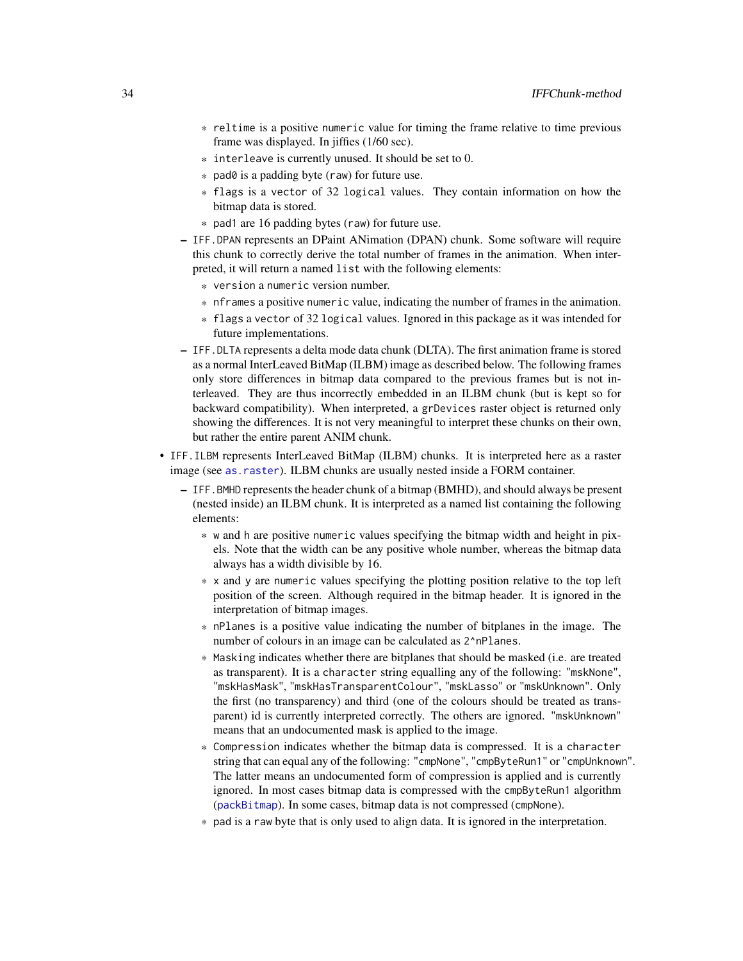- \* reltime is a positive numeric value for timing the frame relative to time previous frame was displayed. In jiffies (1/60 sec).
- \* interleave is currently unused. It should be set to 0.
- \* pad0 is a padding byte (raw) for future use.
- \* flags is a vector of 32 logical values. They contain information on how the bitmap data is stored.
- \* pad1 are 16 padding bytes (raw) for future use.
- IFF.DPAN represents an DPaint ANimation (DPAN) chunk. Some software will require this chunk to correctly derive the total number of frames in the animation. When interpreted, it will return a named list with the following elements:
	- \* version a numeric version number.
	- \* nframes a positive numeric value, indicating the number of frames in the animation.
	- \* flags a vector of 32 logical values. Ignored in this package as it was intended for future implementations.
- IFF.DLTA represents a delta mode data chunk (DLTA). The first animation frame is stored as a normal InterLeaved BitMap (ILBM) image as described below. The following frames only store differences in bitmap data compared to the previous frames but is not interleaved. They are thus incorrectly embedded in an ILBM chunk (but is kept so for backward compatibility). When interpreted, a grDevices raster object is returned only showing the differences. It is not very meaningful to interpret these chunks on their own, but rather the entire parent ANIM chunk.
- IFF.ILBM represents InterLeaved BitMap (ILBM) chunks. It is interpreted here as a raster image (see [as.raster](#page-10-1)). ILBM chunks are usually nested inside a FORM container.
	- IFF.BMHD represents the header chunk of a bitmap (BMHD), and should always be present (nested inside) an ILBM chunk. It is interpreted as a named list containing the following elements:
		- \* w and h are positive numeric values specifying the bitmap width and height in pixels. Note that the width can be any positive whole number, whereas the bitmap data always has a width divisible by 16.
		- \* x and y are numeric values specifying the plotting position relative to the top left position of the screen. Although required in the bitmap header. It is ignored in the interpretation of bitmap images.
		- \* nPlanes is a positive value indicating the number of bitplanes in the image. The number of colours in an image can be calculated as 2^nPlanes.
		- \* Masking indicates whether there are bitplanes that should be masked (i.e. are treated as transparent). It is a character string equalling any of the following: "mskNone", "mskHasMask", "mskHasTransparentColour", "mskLasso" or "mskUnknown". Only the first (no transparency) and third (one of the colours should be treated as transparent) id is currently interpreted correctly. The others are ignored. "mskUnknown" means that an undocumented mask is applied to the image.
		- \* Compression indicates whether the bitmap data is compressed. It is a character string that can equal any of the following: "cmpNone", "cmpByteRun1" or "cmpUnknown". The latter means an undocumented form of compression is applied and is currently ignored. In most cases bitmap data is compressed with the cmpByteRun1 algorithm ([packBitmap](#page-40-1)). In some cases, bitmap data is not compressed (cmpNone).
		- \* pad is a raw byte that is only used to align data. It is ignored in the interpretation.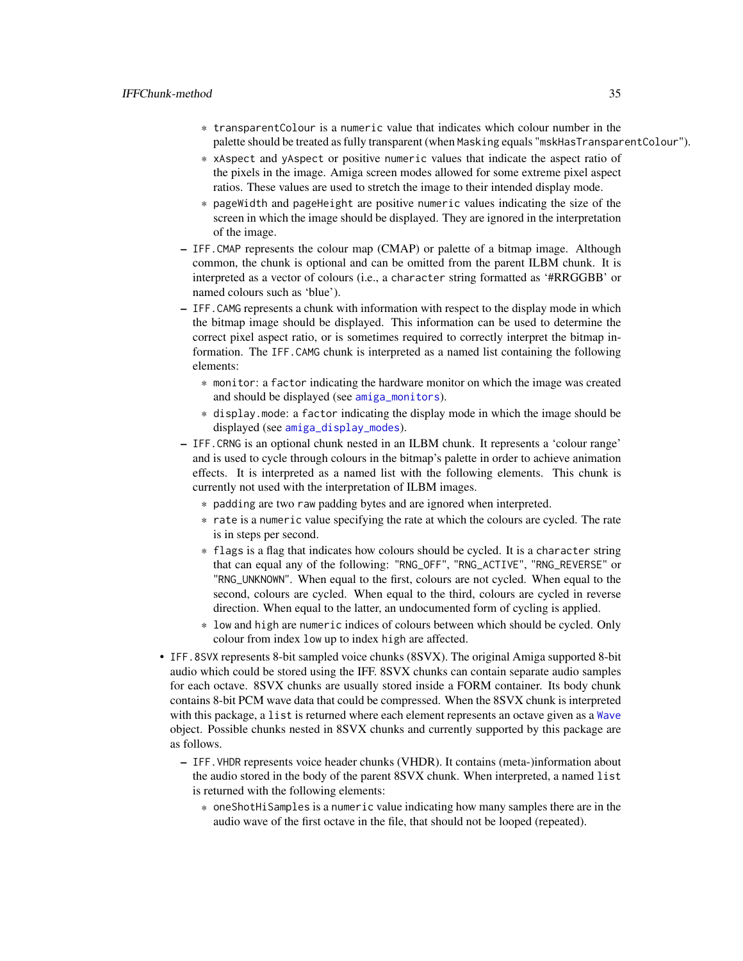- \* transparentColour is a numeric value that indicates which colour number in the palette should be treated as fully transparent (when Masking equals "mskHasTransparentColour").
- \* xAspect and yAspect or positive numeric values that indicate the aspect ratio of the pixels in the image. Amiga screen modes allowed for some extreme pixel aspect ratios. These values are used to stretch the image to their intended display mode.
- \* pageWidth and pageHeight are positive numeric values indicating the size of the screen in which the image should be displayed. They are ignored in the interpretation of the image.
- IFF.CMAP represents the colour map (CMAP) or palette of a bitmap image. Although common, the chunk is optional and can be omitted from the parent ILBM chunk. It is interpreted as a vector of colours (i.e., a character string formatted as '#RRGGBB' or named colours such as 'blue').
- IFF.CAMG represents a chunk with information with respect to the display mode in which the bitmap image should be displayed. This information can be used to determine the correct pixel aspect ratio, or is sometimes required to correctly interpret the bitmap information. The IFF.CAMG chunk is interpreted as a named list containing the following elements:
	- \* monitor: a factor indicating the hardware monitor on which the image was created and should be displayed (see [amiga\\_monitors](#page-8-1)).
	- \* display.mode: a factor indicating the display mode in which the image should be displayed (see [amiga\\_display\\_modes](#page-7-1)).
- IFF.CRNG is an optional chunk nested in an ILBM chunk. It represents a 'colour range' and is used to cycle through colours in the bitmap's palette in order to achieve animation effects. It is interpreted as a named list with the following elements. This chunk is currently not used with the interpretation of ILBM images.
	- \* padding are two raw padding bytes and are ignored when interpreted.
	- \* rate is a numeric value specifying the rate at which the colours are cycled. The rate is in steps per second.
	- \* flags is a flag that indicates how colours should be cycled. It is a character string that can equal any of the following: "RNG\_OFF", "RNG\_ACTIVE", "RNG\_REVERSE" or "RNG\_UNKNOWN". When equal to the first, colours are not cycled. When equal to the second, colours are cycled. When equal to the third, colours are cycled in reverse direction. When equal to the latter, an undocumented form of cycling is applied.
	- \* low and high are numeric indices of colours between which should be cycled. Only colour from index low up to index high are affected.
- IFF.8SVX represents 8-bit sampled voice chunks (8SVX). The original Amiga supported 8-bit audio which could be stored using the IFF. 8SVX chunks can contain separate audio samples for each octave. 8SVX chunks are usually stored inside a FORM container. Its body chunk contains 8-bit PCM wave data that could be compressed. When the 8SVX chunk is interpreted with this package, a list is returned where each element represents an octave given as a [Wave](#page-0-0) object. Possible chunks nested in 8SVX chunks and currently supported by this package are as follows.
	- IFF.VHDR represents voice header chunks (VHDR). It contains (meta-)information about the audio stored in the body of the parent 8SVX chunk. When interpreted, a named list is returned with the following elements:
		- \* oneShotHiSamples is a numeric value indicating how many samples there are in the audio wave of the first octave in the file, that should not be looped (repeated).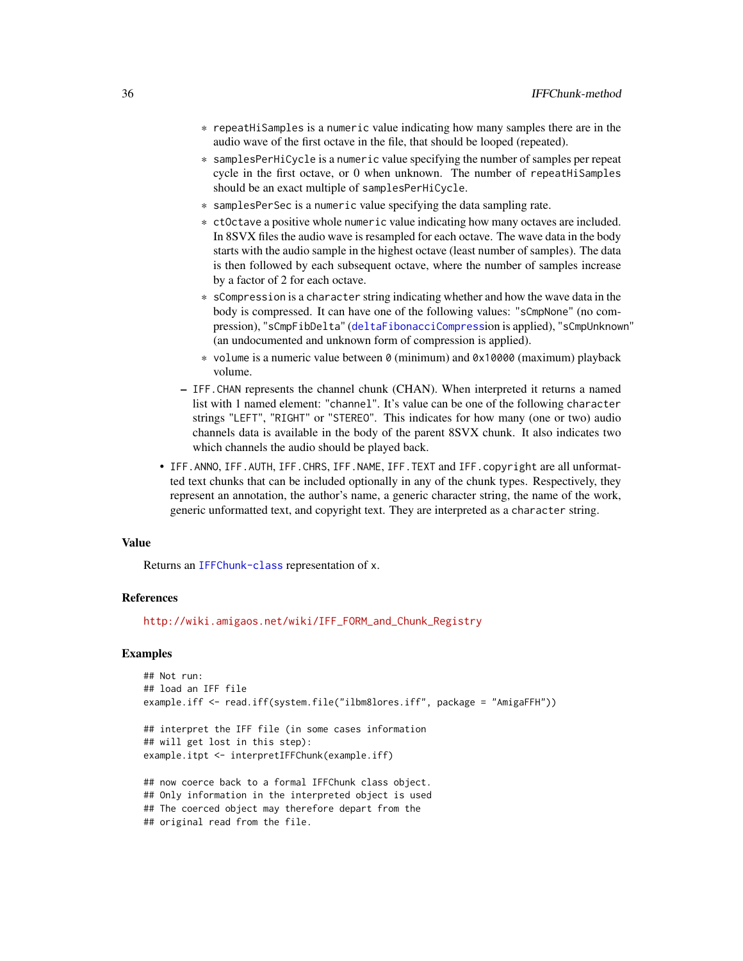- \* repeatHiSamples is a numeric value indicating how many samples there are in the audio wave of the first octave in the file, that should be looped (repeated).
- \* samplesPerHiCycle is a numeric value specifying the number of samples per repeat cycle in the first octave, or 0 when unknown. The number of repeatHiSamples should be an exact multiple of samplesPerHiCycle.
- \* samplesPerSec is a numeric value specifying the data sampling rate.
- \* ctOctave a positive whole numeric value indicating how many octaves are included. In 8SVX files the audio wave is resampled for each octave. The wave data in the body starts with the audio sample in the highest octave (least number of samples). The data is then followed by each subsequent octave, where the number of samples increase by a factor of 2 for each octave.
- \* sCompression is a character string indicating whether and how the wave data in the body is compressed. It can have one of the following values: "sCmpNone" (no compression), "sCmpFibDelta" ([deltaFibonacciCompress](#page-18-1)ion is applied), "sCmpUnknown" (an undocumented and unknown form of compression is applied).
- \* volume is a numeric value between 0 (minimum) and 0x10000 (maximum) playback volume.
- IFF.CHAN represents the channel chunk (CHAN). When interpreted it returns a named list with 1 named element: "channel". It's value can be one of the following character strings "LEFT", "RIGHT" or "STEREO". This indicates for how many (one or two) audio channels data is available in the body of the parent 8SVX chunk. It also indicates two which channels the audio should be played back.
- IFF.ANNO, IFF.AUTH, IFF.CHRS, IFF.NAME, IFF.TEXT and IFF.copyright are all unformatted text chunks that can be included optionally in any of the chunk types. Respectively, they represent an annotation, the author's name, a generic character string, the name of the work, generic unformatted text, and copyright text. They are interpreted as a character string.

#### Value

Returns an [IFFChunk-class](#page-28-1) representation of x.

#### References

[http://wiki.amigaos.net/wiki/IFF\\_FORM\\_and\\_Chunk\\_Registry](http://wiki.amigaos.net/wiki/IFF_FORM_and_Chunk_Registry)

#### Examples

```
## Not run:
## load an IFF file
example.iff <- read.iff(system.file("ilbm8lores.iff", package = "AmigaFFH"))
## interpret the IFF file (in some cases information
## will get lost in this step):
example.itpt <- interpretIFFChunk(example.iff)
## now coerce back to a formal IFFChunk class object.
## Only information in the interpreted object is used
## The coerced object may therefore depart from the
## original read from the file.
```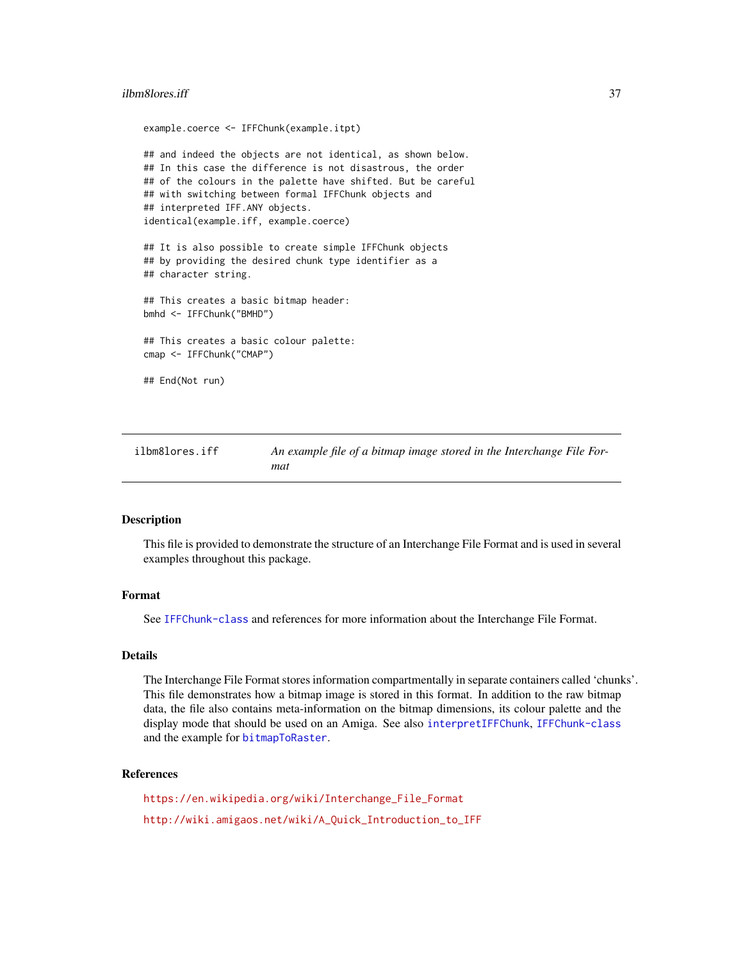## ilbm8lores.iff 37

```
example.coerce <- IFFChunk(example.itpt)
## and indeed the objects are not identical, as shown below.
## In this case the difference is not disastrous, the order
## of the colours in the palette have shifted. But be careful
## with switching between formal IFFChunk objects and
## interpreted IFF.ANY objects.
identical(example.iff, example.coerce)
## It is also possible to create simple IFFChunk objects
## by providing the desired chunk type identifier as a
## character string.
## This creates a basic bitmap header:
bmhd <- IFFChunk("BMHD")
## This creates a basic colour palette:
cmap <- IFFChunk("CMAP")
## End(Not run)
```
ilbm8lores.iff *An example file of a bitmap image stored in the Interchange File Format*

## **Description**

This file is provided to demonstrate the structure of an Interchange File Format and is used in several examples throughout this package.

# Format

See [IFFChunk-class](#page-28-0) and references for more information about the Interchange File Format.

#### Details

The Interchange File Format stores information compartmentally in separate containers called 'chunks'. This file demonstrates how a bitmap image is stored in this format. In addition to the raw bitmap data, the file also contains meta-information on the bitmap dimensions, its colour palette and the display mode that should be used on an Amiga. See also [interpretIFFChunk](#page-39-0), [IFFChunk-class](#page-28-0) and the example for [bitmapToRaster](#page-14-0).

#### References

[https://en.wikipedia.org/wiki/Interchange\\_File\\_Format](https://en.wikipedia.org/wiki/Interchange_File_Format) [http://wiki.amigaos.net/wiki/A\\_Quick\\_Introduction\\_to\\_IFF](http://wiki.amigaos.net/wiki/A_Quick_Introduction_to_IFF)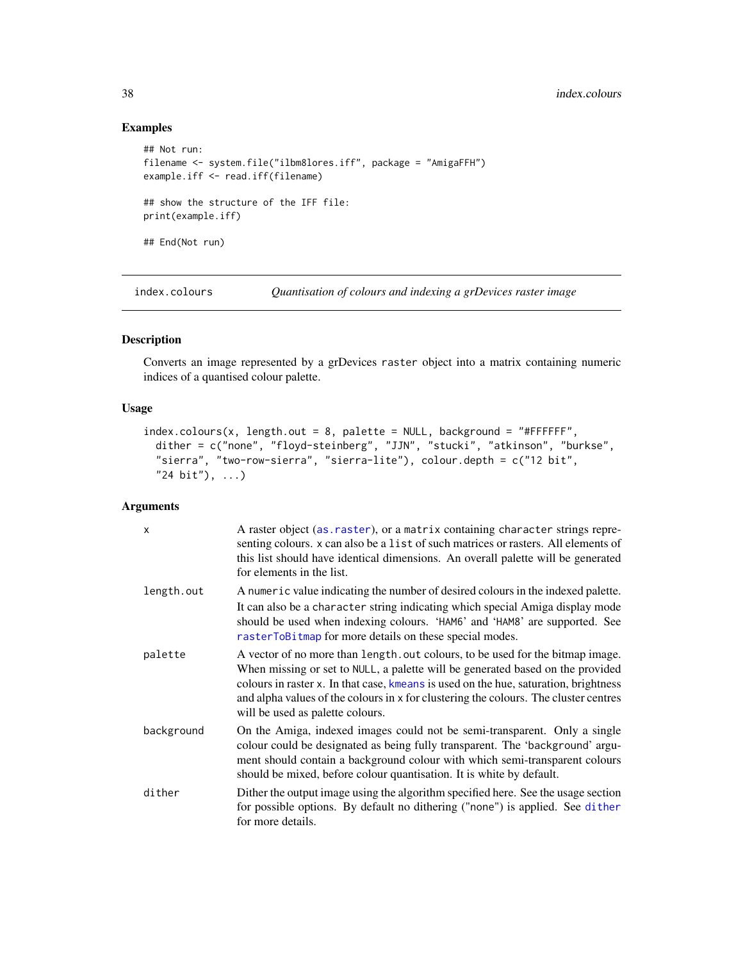# Examples

```
## Not run:
filename <- system.file("ilbm8lores.iff", package = "AmigaFFH")
example.iff <- read.iff(filename)
## show the structure of the IFF file:
print(example.iff)
## End(Not run)
```
<span id="page-37-0"></span>index.colours *Quantisation of colours and indexing a grDevices raster image*

# Description

Converts an image represented by a grDevices raster object into a matrix containing numeric indices of a quantised colour palette.

## Usage

```
index.colours(x, length.out = 8, platete = NULL, background = "HFFFFF",dither = c("none", "floyd-steinberg", "JJN", "stucki", "atkinson", "burkse",
  "sierra", "two-row-sierra", "sierra-lite"), colour.depth = c("12 bit",
  "24 bit"), ...)
```
# Arguments

| $\mathsf{x}$ | A raster object (as. raster), or a matrix containing character strings repre-<br>senting colours. x can also be a list of such matrices or rasters. All elements of<br>this list should have identical dimensions. An overall palette will be generated<br>for elements in the list.                                                                                                 |
|--------------|--------------------------------------------------------------------------------------------------------------------------------------------------------------------------------------------------------------------------------------------------------------------------------------------------------------------------------------------------------------------------------------|
| length.out   | A numeric value indicating the number of desired colours in the indexed palette.                                                                                                                                                                                                                                                                                                     |
|              | It can also be a character string indicating which special Amiga display mode<br>should be used when indexing colours. 'HAM6' and 'HAM8' are supported. See<br>rasterToBitmap for more details on these special modes.                                                                                                                                                               |
| palette      | A vector of no more than length. out colours, to be used for the bitmap image.<br>When missing or set to NULL, a palette will be generated based on the provided<br>colours in raster x. In that case, kmeans is used on the hue, saturation, brightness<br>and alpha values of the colours in x for clustering the colours. The cluster centres<br>will be used as palette colours. |
| background   | On the Amiga, indexed images could not be semi-transparent. Only a single<br>colour could be designated as being fully transparent. The 'background' argu-<br>ment should contain a background colour with which semi-transparent colours<br>should be mixed, before colour quantisation. It is white by default.                                                                    |
| dither       | Dither the output image using the algorithm specified here. See the usage section<br>for possible options. By default no dithering ("none") is applied. See dither<br>for more details.                                                                                                                                                                                              |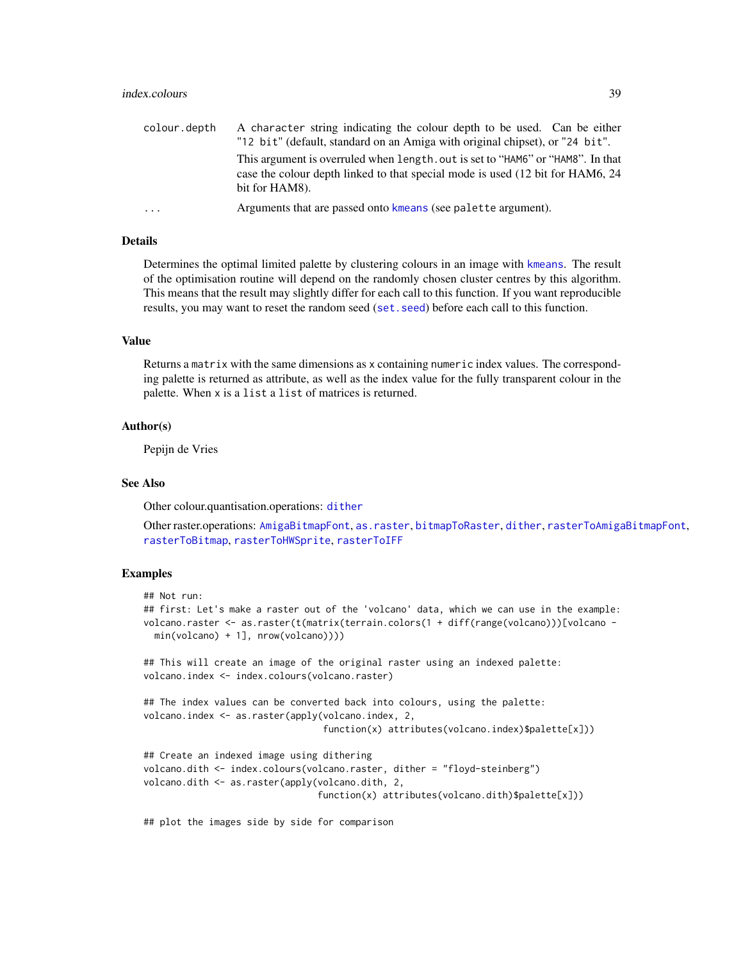| colour.depth | A character string indicating the colour depth to be used. Can be either        |
|--------------|---------------------------------------------------------------------------------|
|              | "12 bit" (default, standard on an Amiga with original chipset), or "24 bit".    |
|              | This argument is overruled when length, out is set to "HAM6" or "HAM8". In that |
|              | case the colour depth linked to that special mode is used (12 bit for HAM6, 24) |
|              | bit for HAM8).                                                                  |
| $\cdots$     | Arguments that are passed onto kmeans (see palette argument).                   |

## Details

Determines the optimal limited palette by clustering colours in an image with [kmeans](#page-0-0). The result of the optimisation routine will depend on the randomly chosen cluster centres by this algorithm. This means that the result may slightly differ for each call to this function. If you want reproducible results, you may want to reset the random seed ([set.seed](#page-0-0)) before each call to this function.

## Value

Returns a matrix with the same dimensions as x containing numeric index values. The corresponding palette is returned as attribute, as well as the index value for the fully transparent colour in the palette. When x is a list a list of matrices is returned.

# Author(s)

Pepijn de Vries

#### See Also

Other colour.quantisation.operations: [dither](#page-21-0)

Other raster.operations: [AmigaBitmapFont](#page-2-0), [as.raster](#page-10-0), [bitmapToRaster](#page-14-0), [dither](#page-21-0), [rasterToAmigaBitmapFont](#page-45-0), [rasterToBitmap](#page-48-0), [rasterToHWSprite](#page-50-0), [rasterToIFF](#page-52-0)

# Examples

```
## Not run:
## first: Let's make a raster out of the 'volcano' data, which we can use in the example:
volcano.raster <- as.raster(t(matrix(terrain.colors(1 + diff(range(volcano)))[volcano -
 min(volcano) + 1], nrow(volcano))))
## This will create an image of the original raster using an indexed palette:
volcano.index <- index.colours(volcano.raster)
## The index values can be converted back into colours, using the palette:
volcano.index <- as.raster(apply(volcano.index, 2,
                                 function(x) attributes(volcano.index)$palette[x]))
## Create an indexed image using dithering
volcano.dith <- index.colours(volcano.raster, dither = "floyd-steinberg")
volcano.dith <- as.raster(apply(volcano.dith, 2,
                                function(x) attributes(volcano.dith)$palette[x]))
```
## plot the images side by side for comparison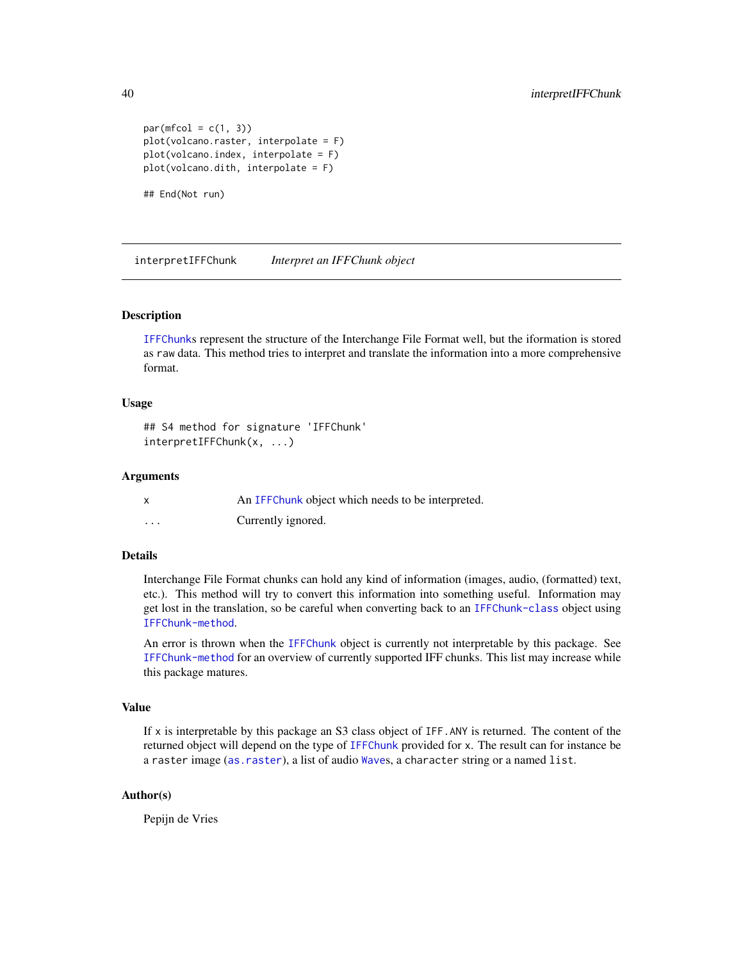```
par(mfcol = c(1, 3))plot(volcano.raster, interpolate = F)
plot(volcano.index, interpolate = F)
plot(volcano.dith, interpolate = F)
```
## End(Not run)

<span id="page-39-0"></span>interpretIFFChunk *Interpret an IFFChunk object*

# Description

[IFFChunk](#page-30-0)s represent the structure of the Interchange File Format well, but the iformation is stored as raw data. This method tries to interpret and translate the information into a more comprehensive format.

## Usage

```
## S4 method for signature 'IFFChunk'
interpretIFFChunk(x, ...)
```
#### Arguments

|          | An IFFC hunk object which needs to be interpreted. |
|----------|----------------------------------------------------|
| $\cdots$ | Currently ignored.                                 |

# Details

Interchange File Format chunks can hold any kind of information (images, audio, (formatted) text, etc.). This method will try to convert this information into something useful. Information may get lost in the translation, so be careful when converting back to an [IFFChunk-class](#page-28-0) object using [IFFChunk-method](#page-30-1).

An error is thrown when the [IFFChunk](#page-30-0) object is currently not interpretable by this package. See [IFFChunk-method](#page-30-1) for an overview of currently supported IFF chunks. This list may increase while this package matures.

#### Value

If x is interpretable by this package an S3 class object of IFF.ANY is returned. The content of the returned object will depend on the type of [IFFChunk](#page-30-0) provided for x. The result can for instance be a raster image ([as.raster](#page-10-0)), a list of audio [Wave](#page-0-0)s, a character string or a named list.

# Author(s)

Pepijn de Vries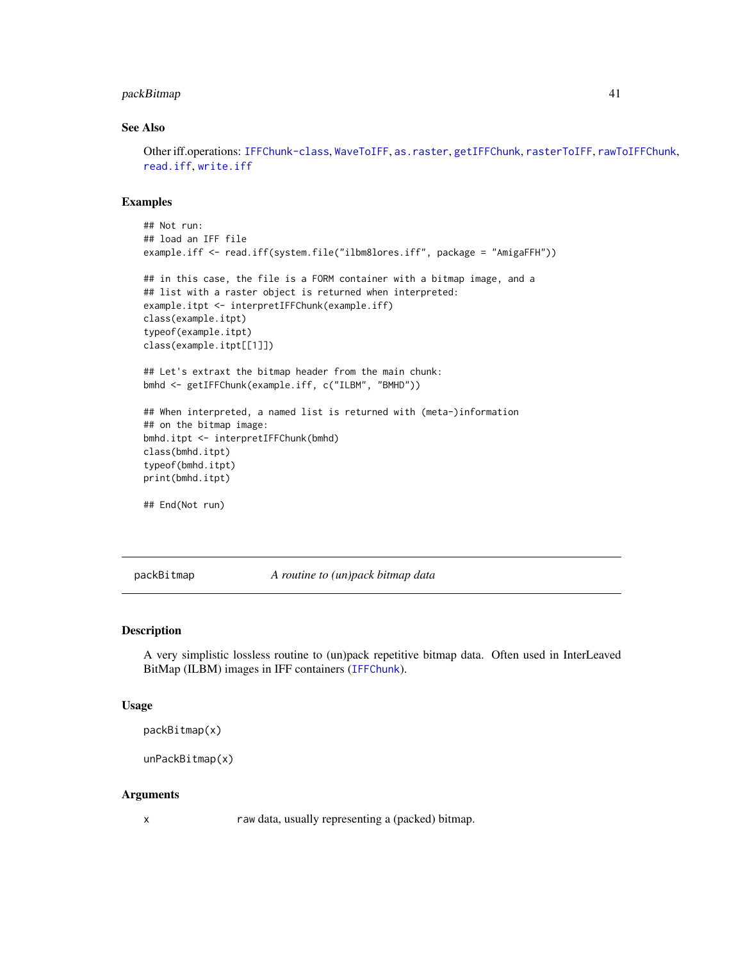# packBitmap 41

## See Also

Other iff.operations: [IFFChunk-class](#page-28-0), [WaveToIFF](#page-71-0), [as.raster](#page-10-0), [getIFFChunk](#page-25-0), [rasterToIFF](#page-52-0), [rawToIFFChunk](#page-58-0), [read.iff](#page-65-0), [write.iff](#page-76-0)

## Examples

```
## Not run:
## load an IFF file
example.iff <- read.iff(system.file("ilbm8lores.iff", package = "AmigaFFH"))
## in this case, the file is a FORM container with a bitmap image, and a
## list with a raster object is returned when interpreted:
example.itpt <- interpretIFFChunk(example.iff)
class(example.itpt)
typeof(example.itpt)
class(example.itpt[[1]])
## Let's extraxt the bitmap header from the main chunk:
bmhd <- getIFFChunk(example.iff, c("ILBM", "BMHD"))
## When interpreted, a named list is returned with (meta-)information
## on the bitmap image:
bmhd.itpt <- interpretIFFChunk(bmhd)
class(bmhd.itpt)
typeof(bmhd.itpt)
print(bmhd.itpt)
## End(Not run)
```
<span id="page-40-0"></span>packBitmap *A routine to (un)pack bitmap data*

#### Description

A very simplistic lossless routine to (un)pack repetitive bitmap data. Often used in InterLeaved BitMap (ILBM) images in IFF containers ([IFFChunk](#page-30-0)).

#### Usage

```
packBitmap(x)
```

```
unPackBitmap(x)
```
#### Arguments

x raw data, usually representing a (packed) bitmap.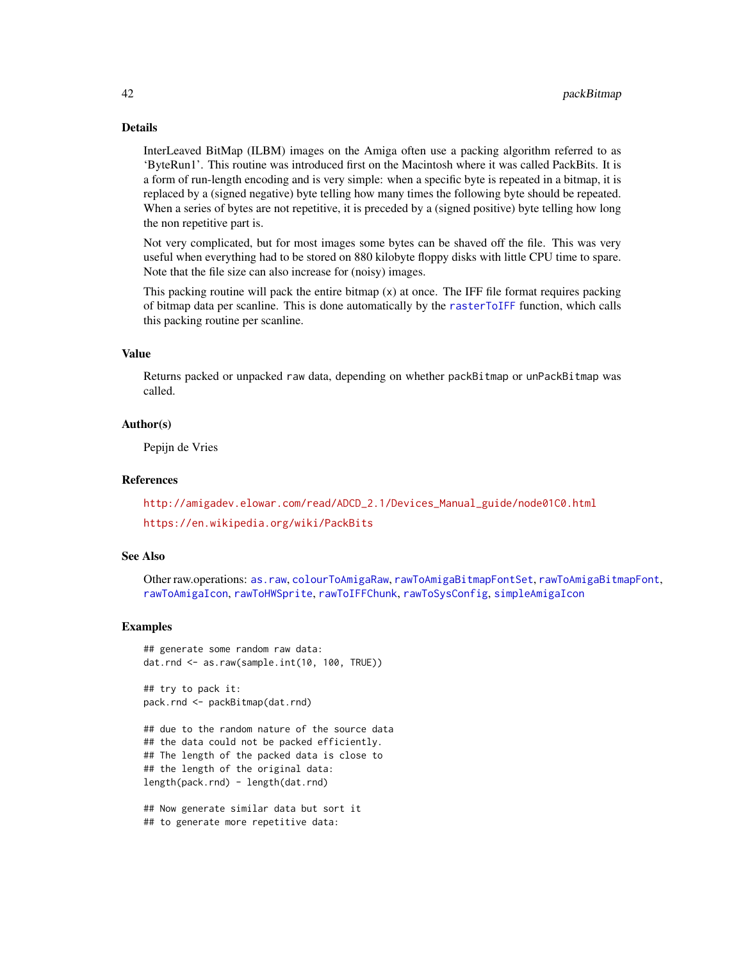# Details

InterLeaved BitMap (ILBM) images on the Amiga often use a packing algorithm referred to as 'ByteRun1'. This routine was introduced first on the Macintosh where it was called PackBits. It is a form of run-length encoding and is very simple: when a specific byte is repeated in a bitmap, it is replaced by a (signed negative) byte telling how many times the following byte should be repeated. When a series of bytes are not repetitive, it is preceded by a (signed positive) byte telling how long the non repetitive part is.

Not very complicated, but for most images some bytes can be shaved off the file. This was very useful when everything had to be stored on 880 kilobyte floppy disks with little CPU time to spare. Note that the file size can also increase for (noisy) images.

This packing routine will pack the entire bitmap (x) at once. The IFF file format requires packing of bitmap data per scanline. This is done automatically by the [rasterToIFF](#page-52-0) function, which calls this packing routine per scanline.

# Value

Returns packed or unpacked raw data, depending on whether packBitmap or unPackBitmap was called.

#### Author(s)

Pepijn de Vries

#### References

[http://amigadev.elowar.com/read/ADCD\\_2.1/Devices\\_Manual\\_guide/node01C0.html](http://amigadev.elowar.com/read/ADCD_2.1/Devices_Manual_guide/node01C0.html) <https://en.wikipedia.org/wiki/PackBits>

## See Also

Other raw.operations: [as.raw](#page-12-0), [colourToAmigaRaw](#page-17-0), [rawToAmigaBitmapFontSet](#page-54-0), [rawToAmigaBitmapFont](#page-53-0), [rawToAmigaIcon](#page-56-0), [rawToHWSprite](#page-57-0), [rawToIFFChunk](#page-58-0), [rawToSysConfig](#page-59-0), [simpleAmigaIcon](#page-67-0)

#### Examples

```
## generate some random raw data:
dat.rnd <- as.raw(sample.int(10, 100, TRUE))
```
## try to pack it: pack.rnd <- packBitmap(dat.rnd)

## due to the random nature of the source data ## the data could not be packed efficiently. ## The length of the packed data is close to ## the length of the original data: length(pack.rnd) - length(dat.rnd)

## Now generate similar data but sort it ## to generate more repetitive data: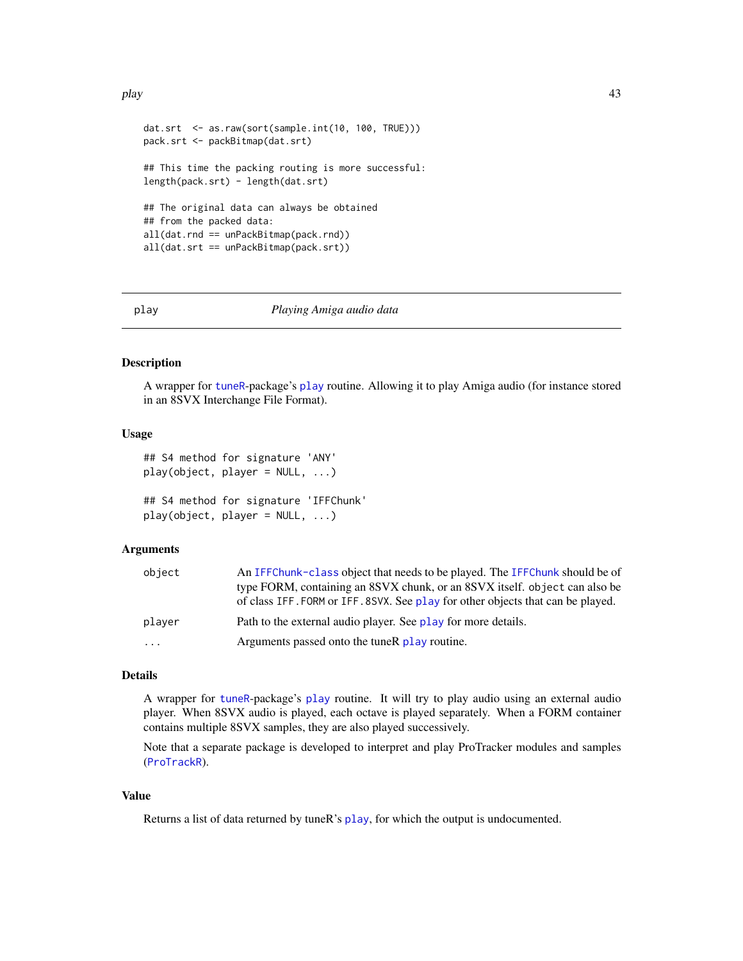play the contract of the contract of the contract of the contract of the contract of the contract of the contract of the contract of the contract of the contract of the contract of the contract of the contract of the contr

```
dat.srt <- as.raw(sort(sample.int(10, 100, TRUE)))
pack.srt <- packBitmap(dat.srt)
## This time the packing routing is more successful:
length(pack.srt) - length(dat.srt)
## The original data can always be obtained
## from the packed data:
all(dat.rnd == unPackBitmap(pack.rnd))
all(dat.srt == unPackBitmap(pack.srt))
```
<span id="page-42-0"></span>

#### play *Playing Amiga audio data*

#### Description

A wrapper for [tuneR](#page-0-0)-package's [play](#page-42-0) routine. Allowing it to play Amiga audio (for instance stored in an 8SVX Interchange File Format).

# Usage

```
## S4 method for signature 'ANY'
play(object, player = NULL, ...)
```

```
## S4 method for signature 'IFFChunk'
play(object, player = NULL, ...)
```
#### Arguments

| object   | An IFFChunk-class object that needs to be played. The IFFChunk should be of     |
|----------|---------------------------------------------------------------------------------|
|          | type FORM, containing an 8SVX chunk, or an 8SVX itself, object can also be      |
|          | of class IFF. FORM or IFF. 8SVX. See play for other objects that can be played. |
| plaver   | Path to the external audio player. See play for more details.                   |
| $\cdots$ | Arguments passed onto the tuneR play routine.                                   |

## Details

A wrapper for [tuneR](#page-0-0)-package's [play](#page-42-0) routine. It will try to play audio using an external audio player. When 8SVX audio is played, each octave is played separately. When a FORM container contains multiple 8SVX samples, they are also played successively.

Note that a separate package is developed to interpret and play ProTracker modules and samples ([ProTrackR](#page-0-0)).

# Value

Returns a list of data returned by tuneR's [play](#page-42-0), for which the output is undocumented.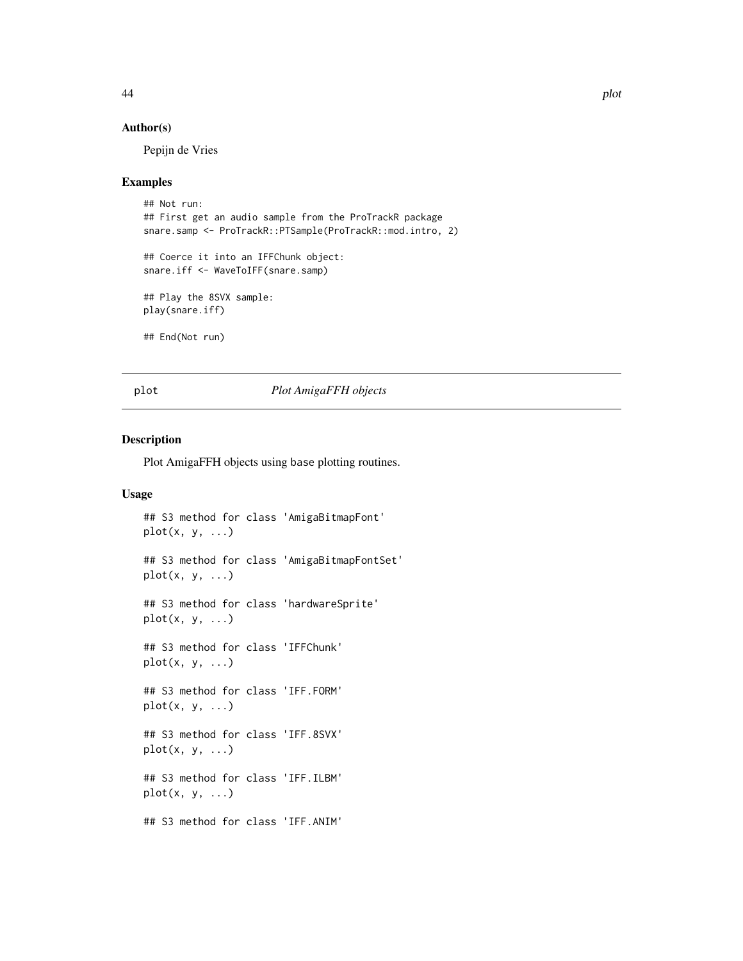## Author(s)

Pepijn de Vries

## Examples

```
## Not run:
## First get an audio sample from the ProTrackR package
snare.samp <- ProTrackR::PTSample(ProTrackR::mod.intro, 2)
## Coerce it into an IFFChunk object:
snare.iff <- WaveToIFF(snare.samp)
## Play the 8SVX sample:
play(snare.iff)
## End(Not run)
```
## plot *Plot AmigaFFH objects*

# **Description**

Plot AmigaFFH objects using base plotting routines.

# Usage

```
## S3 method for class 'AmigaBitmapFont'
plot(x, y, ...)## S3 method for class 'AmigaBitmapFontSet'
plot(x, y, ...)## S3 method for class 'hardwareSprite'
plot(x, y, ...)
## S3 method for class 'IFFChunk'
plot(x, y, ...)
## S3 method for class 'IFF.FORM'
plot(x, y, ...)## S3 method for class 'IFF.8SVX'
plot(x, y, \ldots)## S3 method for class 'IFF.ILBM'
plot(x, y, ...)
## S3 method for class 'IFF.ANIM'
```
44 plot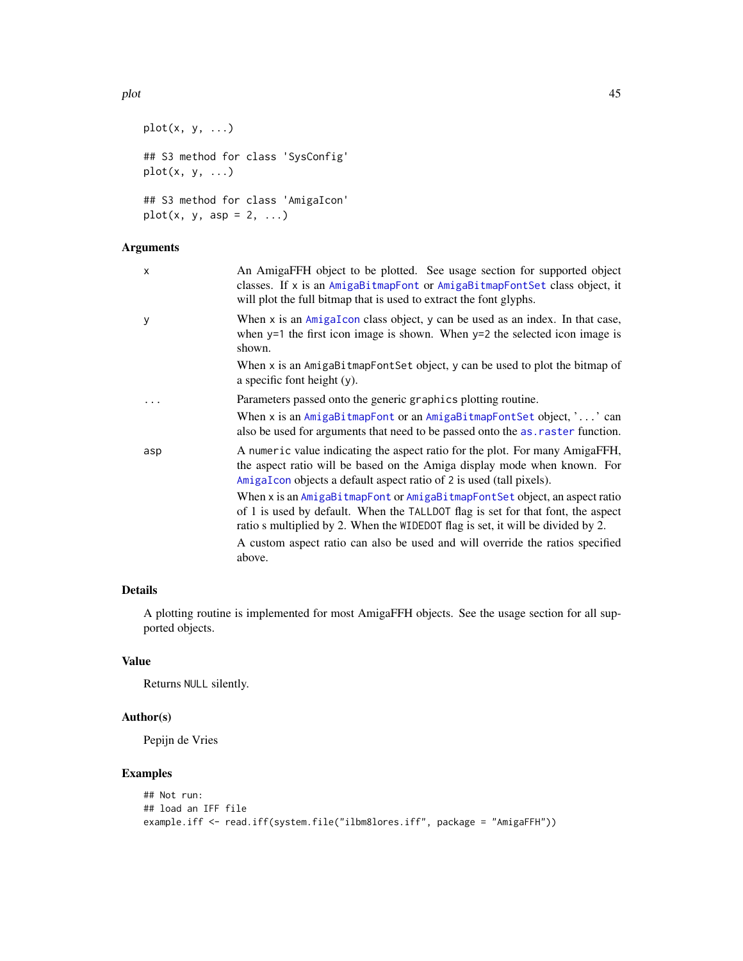```
plot(x, y, ...)## S3 method for class 'SysConfig'
plot(x, y, ...)
## S3 method for class 'AmigaIcon'
```
 $plot(x, y, asp = 2, ...)$ 

# Arguments

| $\mathsf{x}$ | An AmigaFFH object to be plotted. See usage section for supported object<br>classes. If x is an AmigaBitmapFont or AmigaBitmapFontSet class object, it<br>will plot the full bitmap that is used to extract the font glyphs.                     |
|--------------|--------------------------------------------------------------------------------------------------------------------------------------------------------------------------------------------------------------------------------------------------|
| y            | When $x$ is an $AmigaIcon$ class object, $y$ can be used as an index. In that case,<br>when $y=1$ the first icon image is shown. When $y=2$ the selected icon image is<br>shown.                                                                 |
|              | When x is an AmigaBitmapFontSet object, y can be used to plot the bitmap of<br>a specific font height $(y)$ .                                                                                                                                    |
|              | Parameters passed onto the generic graphics plotting routine.                                                                                                                                                                                    |
|              | When x is an $Amigab$ itmap Font or an $Amigab$ itmap Font Set object, $\ldots$ can<br>also be used for arguments that need to be passed onto the as raster function.                                                                            |
| asp          | A numeric value indicating the aspect ratio for the plot. For many AmigaFFH,<br>the aspect ratio will be based on the Amiga display mode when known. For<br>AmigaIcon objects a default aspect ratio of 2 is used (tall pixels).                 |
|              | When x is an AmigaBitmapFont or AmigaBitmapFontSet object, an aspect ratio<br>of 1 is used by default. When the TALLDOT flag is set for that font, the aspect<br>ratio s multiplied by 2. When the WIDEDOT flag is set, it will be divided by 2. |
|              | A custom aspect ratio can also be used and will override the ratios specified<br>above.                                                                                                                                                          |

# Details

A plotting routine is implemented for most AmigaFFH objects. See the usage section for all supported objects.

# Value

Returns NULL silently.

# Author(s)

Pepijn de Vries

# Examples

```
## Not run:
## load an IFF file
example.iff <- read.iff(system.file("ilbm8lores.iff", package = "AmigaFFH"))
```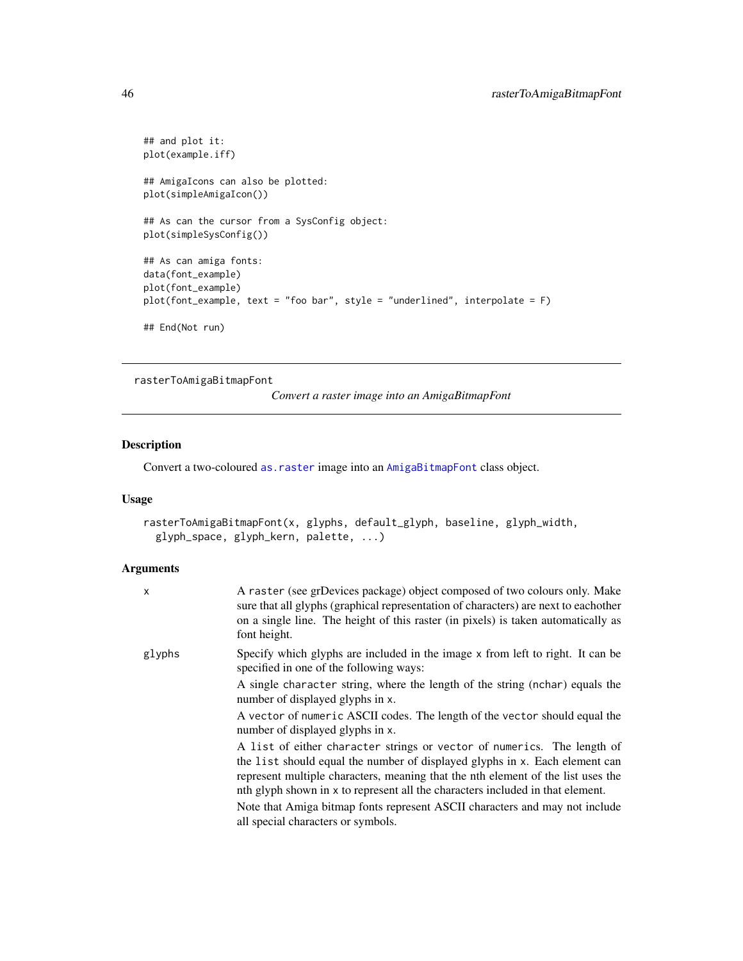```
## and plot it:
plot(example.iff)
## AmigaIcons can also be plotted:
plot(simpleAmigaIcon())
## As can the cursor from a SysConfig object:
plot(simpleSysConfig())
## As can amiga fonts:
data(font_example)
plot(font_example)
plot(font_example, text = "foo bar", style = "underlined", interpolate = F)
## End(Not run)
```

```
rasterToAmigaBitmapFont
```
*Convert a raster image into an AmigaBitmapFont*

# Description

Convert a two-coloured [as.raster](#page-10-0) image into an [AmigaBitmapFont](#page-2-0) class object.

# Usage

```
rasterToAmigaBitmapFont(x, glyphs, default_glyph, baseline, glyph_width,
 glyph_space, glyph_kern, palette, ...)
```
## Arguments

| $\mathsf{x}$ | A raster (see grDevices package) object composed of two colours only. Make<br>sure that all glyphs (graphical representation of characters) are next to eachother<br>on a single line. The height of this raster (in pixels) is taken automatically as<br>font height. |
|--------------|------------------------------------------------------------------------------------------------------------------------------------------------------------------------------------------------------------------------------------------------------------------------|
| glyphs       | Specify which glyphs are included in the image x from left to right. It can be<br>specified in one of the following ways:                                                                                                                                              |
|              | A single character string, where the length of the string (nchar) equals the<br>number of displayed glyphs in x.                                                                                                                                                       |
|              | A vector of numeric ASCII codes. The length of the vector should equal the<br>number of displayed glyphs in x.                                                                                                                                                         |
|              | A list of either character strings or vector of numerics. The length of                                                                                                                                                                                                |
|              | the list should equal the number of displayed glyphs in x. Each element can<br>represent multiple characters, meaning that the nth element of the list uses the<br>nth glyph shown in x to represent all the characters included in that element.                      |
|              | Note that Amiga bitmap fonts represent ASCII characters and may not include                                                                                                                                                                                            |
|              | all special characters or symbols.                                                                                                                                                                                                                                     |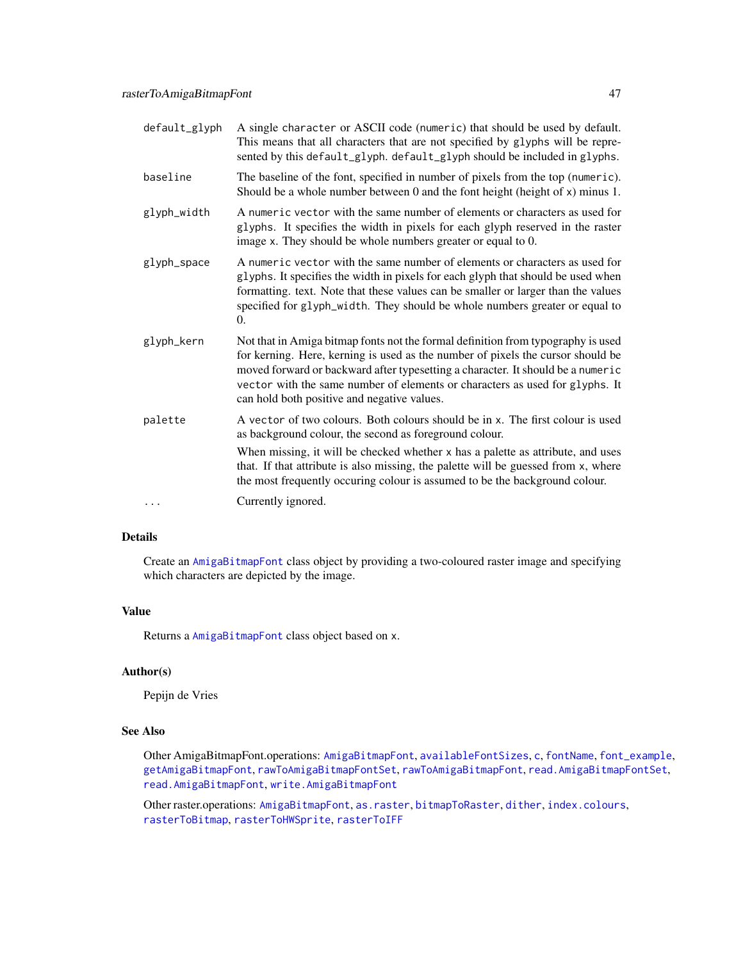| default_glyph | A single character or ASCII code (numeric) that should be used by default.<br>This means that all characters that are not specified by glyphs will be repre-<br>sented by this default_glyph. default_glyph should be included in glyphs.                                                                                                                                             |
|---------------|---------------------------------------------------------------------------------------------------------------------------------------------------------------------------------------------------------------------------------------------------------------------------------------------------------------------------------------------------------------------------------------|
| baseline      | The baseline of the font, specified in number of pixels from the top (numeric).<br>Should be a whole number between $0$ and the font height (height of $x$ ) minus 1.                                                                                                                                                                                                                 |
| glyph_width   | A numeric vector with the same number of elements or characters as used for<br>glyphs. It specifies the width in pixels for each glyph reserved in the raster<br>image x. They should be whole numbers greater or equal to 0.                                                                                                                                                         |
| glyph_space   | A numeric vector with the same number of elements or characters as used for<br>glyphs. It specifies the width in pixels for each glyph that should be used when<br>formatting. text. Note that these values can be smaller or larger than the values<br>specified for glyph_width. They should be whole numbers greater or equal to<br>$\Omega$ .                                     |
| glyph_kern    | Not that in Amiga bitmap fonts not the formal definition from typography is used<br>for kerning. Here, kerning is used as the number of pixels the cursor should be<br>moved forward or backward after typesetting a character. It should be a numeric<br>vector with the same number of elements or characters as used for glyphs. It<br>can hold both positive and negative values. |
| palette       | A vector of two colours. Both colours should be in x. The first colour is used<br>as background colour, the second as foreground colour.<br>When missing, it will be checked whether x has a palette as attribute, and uses<br>that. If that attribute is also missing, the palette will be guessed from x, where                                                                     |
| $\cdots$      | the most frequently occuring colour is assumed to be the background colour.<br>Currently ignored.                                                                                                                                                                                                                                                                                     |
|               |                                                                                                                                                                                                                                                                                                                                                                                       |

# Details

Create an [AmigaBitmapFont](#page-2-0) class object by providing a two-coloured raster image and specifying which characters are depicted by the image.

## Value

Returns a [AmigaBitmapFont](#page-2-0) class object based on x.

## Author(s)

Pepijn de Vries

## See Also

Other AmigaBitmapFont.operations: [AmigaBitmapFont](#page-2-0), [availableFontSizes](#page-13-0), [c](#page-16-0), [fontName](#page-23-0), [font\\_example](#page-24-0), [getAmigaBitmapFont](#page-24-1), [rawToAmigaBitmapFontSet](#page-54-0), [rawToAmigaBitmapFont](#page-53-0), [read.AmigaBitmapFontSet](#page-62-0), [read.AmigaBitmapFont](#page-61-0), [write.AmigaBitmapFont](#page-73-0)

Other raster.operations: [AmigaBitmapFont](#page-2-0), [as.raster](#page-10-0), [bitmapToRaster](#page-14-0), [dither](#page-21-0), [index.colours](#page-37-0), [rasterToBitmap](#page-48-0), [rasterToHWSprite](#page-50-0), [rasterToIFF](#page-52-0)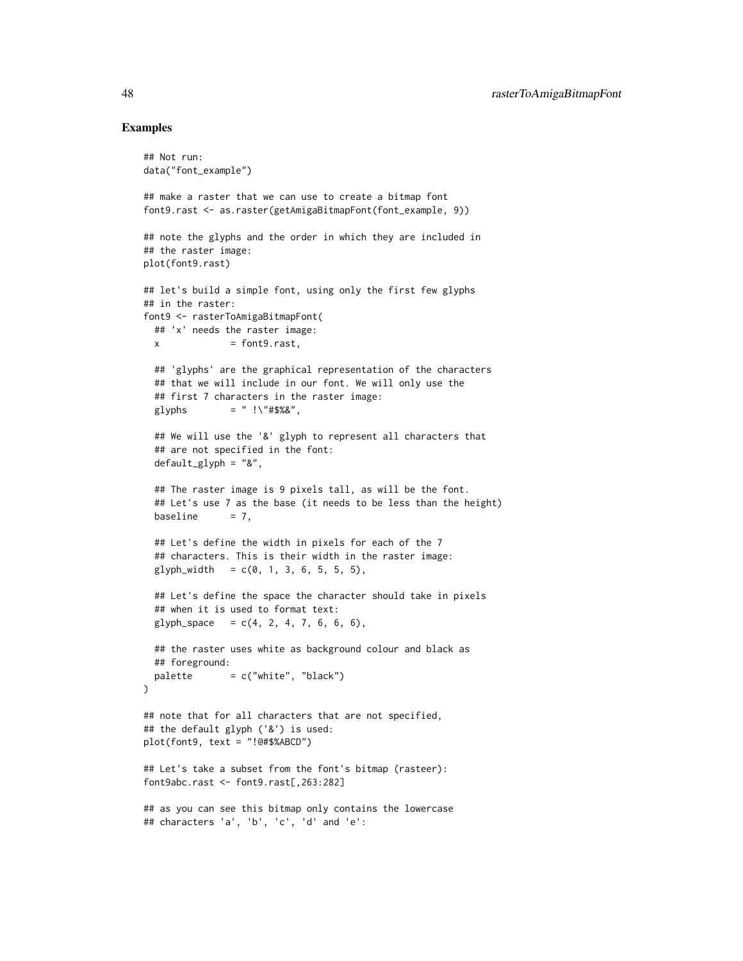## Examples

## Not run:

```
data("font_example")
## make a raster that we can use to create a bitmap font
font9.rast <- as.raster(getAmigaBitmapFont(font_example, 9))
## note the glyphs and the order in which they are included in
## the raster image:
plot(font9.rast)
## let's build a simple font, using only the first few glyphs
## in the raster:
font9 <- rasterToAmigaBitmapFont(
  ## 'x' needs the raster image:
  x = font9, rast,## 'glyphs' are the graphical representation of the characters
  ## that we will include in our font. We will only use the
  ## first 7 characters in the raster image:
  glyphs = " ! \1, " #$%&",
  ## We will use the '&' glyph to represent all characters that
  ## are not specified in the font:
  default_glyph = "&",
  ## The raster image is 9 pixels tall, as will be the font.
  ## Let's use 7 as the base (it needs to be less than the height)
  baseline = 7,
  ## Let's define the width in pixels for each of the 7
  ## characters. This is their width in the raster image:
  glyph_width = c(0, 1, 3, 6, 5, 5, 5),## Let's define the space the character should take in pixels
  ## when it is used to format text:
  glyph\_space = c(4, 2, 4, 7, 6, 6, 6),## the raster uses white as background colour and black as
  ## foreground:
  palette = c("white", "black")\mathcal{L}## note that for all characters that are not specified,
## the default glyph ('&') is used:
plot(font9, text = "!@#$%ABCD")
## Let's take a subset from the font's bitmap (rasteer):
font9abc.rast <- font9.rast[,263:282]
## as you can see this bitmap only contains the lowercase
## characters 'a', 'b', 'c', 'd' and 'e':
```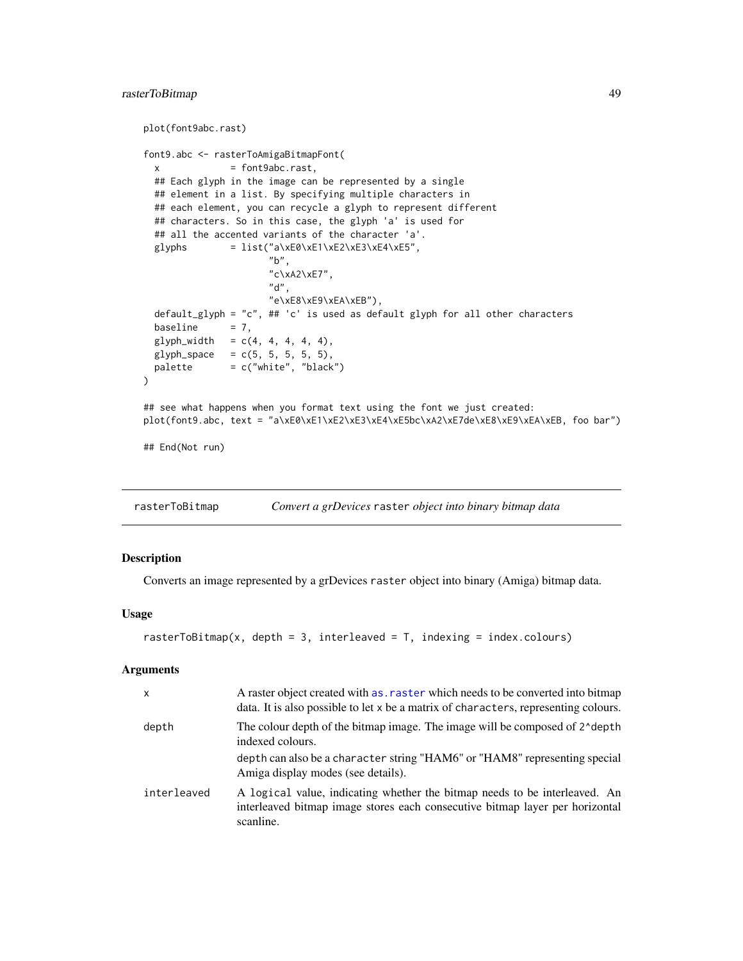# rasterToBitmap 49

```
plot(font9abc.rast)
font9.abc <- rasterToAmigaBitmapFont(
 x = font9abc.rast,
 ## Each glyph in the image can be represented by a single
 ## element in a list. By specifying multiple characters in
 ## each element, you can recycle a glyph to represent different
 ## characters. So in this case, the glyph 'a' is used for
 ## all the accented variants of the character 'a'.
 glyphs = list("a\xE0\xE1\xE2\xE3\xE4\xE5",
                      "b",
                      "c\xA2\xE7",
                      "d",
                      "e\xE8\xE9\xEA\xEB"),
 default_glyph = "c", ## 'c' is used as default glyph for all other characters baseline = 7,
 baseline
 glyph_width = c(4, 4, 4, 4, 4),glyph\_space = c(5, 5, 5, 5, 5),
 palette = c("white", "black")
)
## see what happens when you format text using the font we just created:
plot(font9.abc, text = "a\xE0\xE1\xE2\xE3\xE4\xE5bc\xA2\xE7de\xE8\xE9\xEA\xEB, foo bar")
## End(Not run)
```
<span id="page-48-0"></span>rasterToBitmap *Convert a grDevices* raster *object into binary bitmap data*

## Description

Converts an image represented by a grDevices raster object into binary (Amiga) bitmap data.

#### Usage

```
rasterToBitmap(x, depth = 3, interleaved = T, indexing = index.colours)
```
## Arguments

| $\mathsf{x}$ | A raster object created with as, raster which needs to be converted into bitmap<br>data. It is also possible to let x be a matrix of characters, representing colours.  |
|--------------|-------------------------------------------------------------------------------------------------------------------------------------------------------------------------|
| depth        | The colour depth of the bitmap image. The image will be composed of 2 <sup><math>\alpha</math></sup> depth<br>indexed colours.                                          |
|              | depth can also be a character string "HAM6" or "HAM8" representing special<br>Amiga display modes (see details).                                                        |
| interleaved  | A logical value, indicating whether the bitmap needs to be interleaved. An<br>interleaved bitmap image stores each consecutive bitmap layer per horizontal<br>scanline. |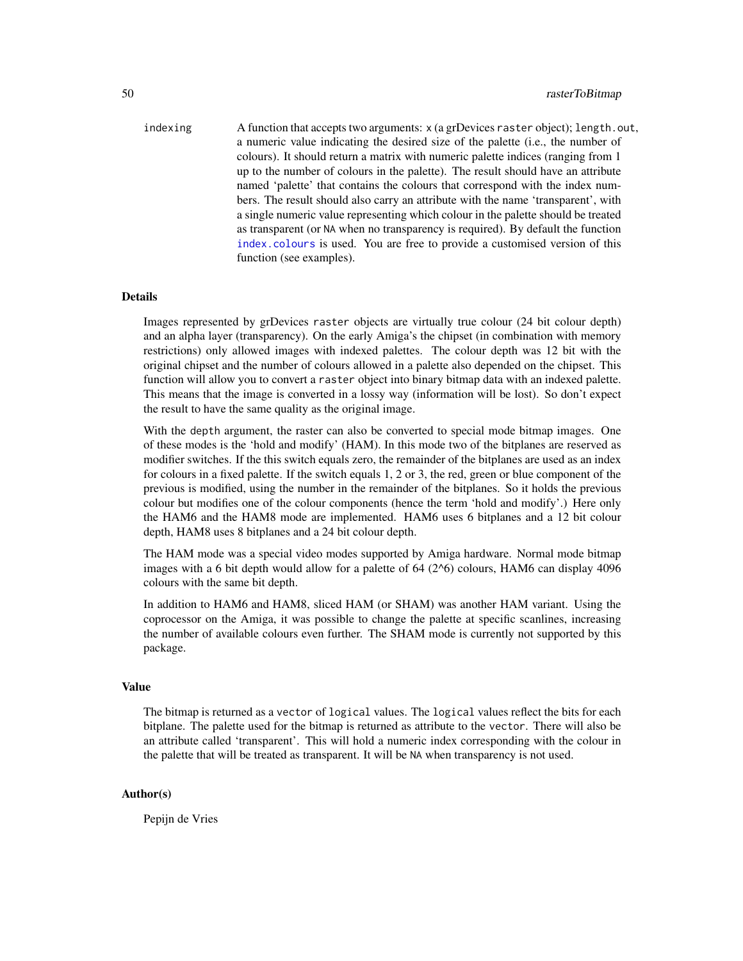indexing A function that accepts two arguments: x (a grDevices raster object); length.out, a numeric value indicating the desired size of the palette (i.e., the number of colours). It should return a matrix with numeric palette indices (ranging from 1 up to the number of colours in the palette). The result should have an attribute named 'palette' that contains the colours that correspond with the index numbers. The result should also carry an attribute with the name 'transparent', with a single numeric value representing which colour in the palette should be treated as transparent (or NA when no transparency is required). By default the function [index.colours](#page-37-0) is used. You are free to provide a customised version of this function (see examples).

#### Details

Images represented by grDevices raster objects are virtually true colour (24 bit colour depth) and an alpha layer (transparency). On the early Amiga's the chipset (in combination with memory restrictions) only allowed images with indexed palettes. The colour depth was 12 bit with the original chipset and the number of colours allowed in a palette also depended on the chipset. This function will allow you to convert a raster object into binary bitmap data with an indexed palette. This means that the image is converted in a lossy way (information will be lost). So don't expect the result to have the same quality as the original image.

With the depth argument, the raster can also be converted to special mode bitmap images. One of these modes is the 'hold and modify' (HAM). In this mode two of the bitplanes are reserved as modifier switches. If the this switch equals zero, the remainder of the bitplanes are used as an index for colours in a fixed palette. If the switch equals 1, 2 or 3, the red, green or blue component of the previous is modified, using the number in the remainder of the bitplanes. So it holds the previous colour but modifies one of the colour components (hence the term 'hold and modify'.) Here only the HAM6 and the HAM8 mode are implemented. HAM6 uses 6 bitplanes and a 12 bit colour depth, HAM8 uses 8 bitplanes and a 24 bit colour depth.

The HAM mode was a special video modes supported by Amiga hardware. Normal mode bitmap images with a 6 bit depth would allow for a palette of  $64$  ( $2^{\text{6}}$ ) colours, HAM6 can display 4096 colours with the same bit depth.

In addition to HAM6 and HAM8, sliced HAM (or SHAM) was another HAM variant. Using the coprocessor on the Amiga, it was possible to change the palette at specific scanlines, increasing the number of available colours even further. The SHAM mode is currently not supported by this package.

# Value

The bitmap is returned as a vector of logical values. The logical values reflect the bits for each bitplane. The palette used for the bitmap is returned as attribute to the vector. There will also be an attribute called 'transparent'. This will hold a numeric index corresponding with the colour in the palette that will be treated as transparent. It will be NA when transparency is not used.

## Author(s)

Pepijn de Vries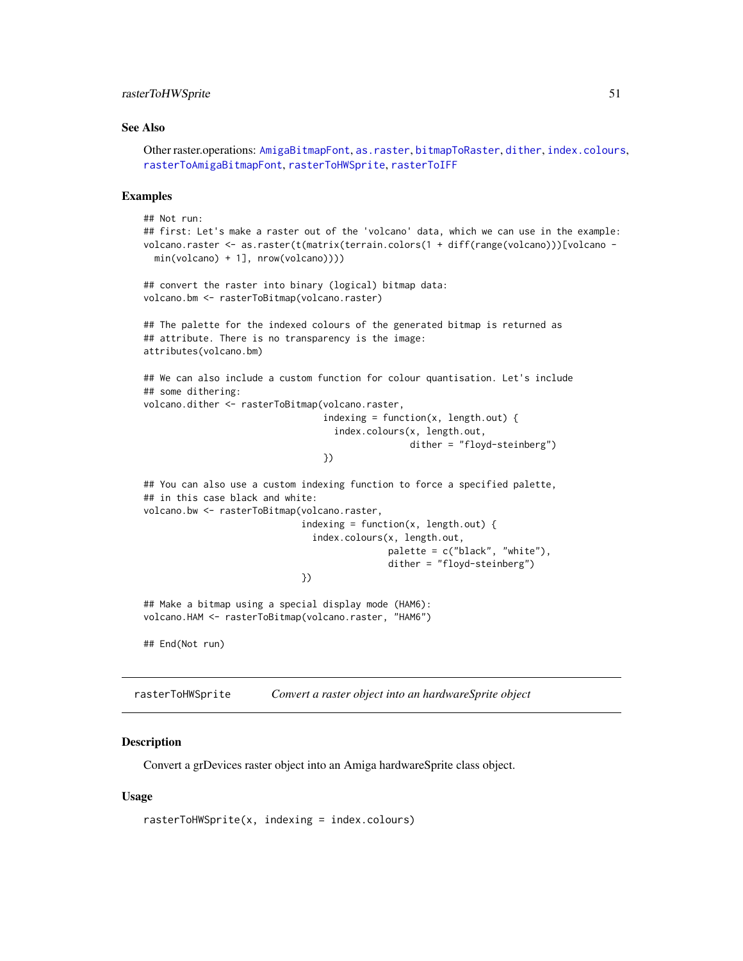## rasterToHWSprite 51

#### See Also

```
Other raster.operations: AmigaBitmapFont, as.raster, bitmapToRaster, dither, index.colours,
rasterToAmigaBitmapFont, rasterToHWSprite, rasterToIFF
```
#### Examples

```
## Not run:
## first: Let's make a raster out of the 'volcano' data, which we can use in the example:
volcano.raster <- as.raster(t(matrix(terrain.colors(1 + diff(range(volcano)))[volcano -
 min(volcano) + 1], nrow(volcano))))
## convert the raster into binary (logical) bitmap data:
volcano.bm <- rasterToBitmap(volcano.raster)
## The palette for the indexed colours of the generated bitmap is returned as
## attribute. There is no transparency is the image:
attributes(volcano.bm)
## We can also include a custom function for colour quantisation. Let's include
## some dithering:
volcano.dither <- rasterToBitmap(volcano.raster,
                                 indexing = function(x, length.out) {
                                   index.colours(x, length.out,
                                                 dither = "floyd-steinberg")
                                 })
## You can also use a custom indexing function to force a specified palette,
## in this case black and white:
volcano.bw <- rasterToBitmap(volcano.raster,
                             indexing = function(x, length.out) {
                               index.colours(x, length.out,
                                             palette = c("black", "white"),
                                             dither = "floyd-steinberg")
                             })
## Make a bitmap using a special display mode (HAM6):
volcano.HAM <- rasterToBitmap(volcano.raster, "HAM6")
## End(Not run)
```
<span id="page-50-0"></span>rasterToHWSprite *Convert a raster object into an hardwareSprite object*

## **Description**

Convert a grDevices raster object into an Amiga hardwareSprite class object.

#### Usage

```
rasterToHWSprite(x, indexing = index.colours)
```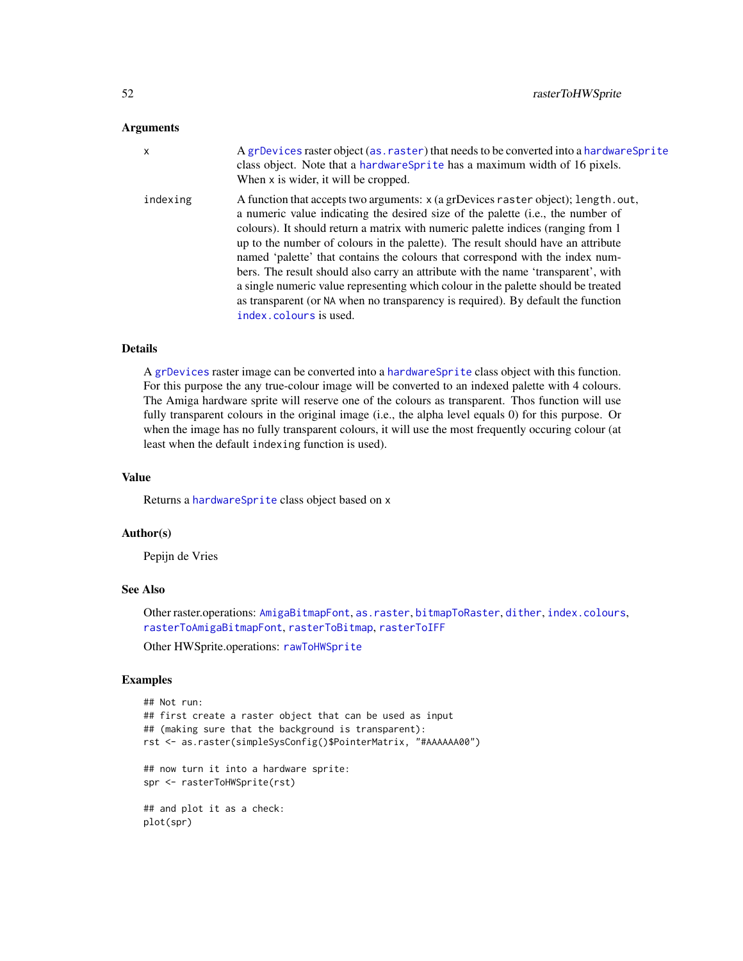#### **Arguments**

| $\mathsf{x}$ | A grDevices raster object (as. raster) that needs to be converted into a hardware Sprite<br>class object. Note that a hardwareSprite has a maximum width of 16 pixels.<br>When x is wider, it will be cropped.                                                                                                                                                                                                                                                                                                                                                                                                                                                                                                        |
|--------------|-----------------------------------------------------------------------------------------------------------------------------------------------------------------------------------------------------------------------------------------------------------------------------------------------------------------------------------------------------------------------------------------------------------------------------------------------------------------------------------------------------------------------------------------------------------------------------------------------------------------------------------------------------------------------------------------------------------------------|
| indexing     | A function that accepts two arguments: x (a grDevices raster object); length.out,<br>a numeric value indicating the desired size of the palette (i.e., the number of<br>colours). It should return a matrix with numeric palette indices (ranging from 1<br>up to the number of colours in the palette). The result should have an attribute<br>named 'palette' that contains the colours that correspond with the index num-<br>bers. The result should also carry an attribute with the name 'transparent', with<br>a single numeric value representing which colour in the palette should be treated<br>as transparent (or NA when no transparency is required). By default the function<br>index.colours is used. |

# Details

A [grDevices](#page-0-0) raster image can be converted into a [hardwareSprite](#page-27-0) class object with this function. For this purpose the any true-colour image will be converted to an indexed palette with 4 colours. The Amiga hardware sprite will reserve one of the colours as transparent. Thos function will use fully transparent colours in the original image (i.e., the alpha level equals 0) for this purpose. Or when the image has no fully transparent colours, it will use the most frequently occuring colour (at least when the default indexing function is used).

#### Value

Returns a [hardwareSprite](#page-27-0) class object based on x

# Author(s)

Pepijn de Vries

### See Also

Other raster.operations: [AmigaBitmapFont](#page-2-0), [as.raster](#page-10-0), [bitmapToRaster](#page-14-0), [dither](#page-21-0), [index.colours](#page-37-0), [rasterToAmigaBitmapFont](#page-45-0), [rasterToBitmap](#page-48-0), [rasterToIFF](#page-52-0)

Other HWSprite.operations: [rawToHWSprite](#page-57-0)

## Examples

```
## Not run:
## first create a raster object that can be used as input
## (making sure that the background is transparent):
rst <- as.raster(simpleSysConfig()$PointerMatrix, "#AAAAAA00")
## now turn it into a hardware sprite:
spr <- rasterToHWSprite(rst)
## and plot it as a check:
plot(spr)
```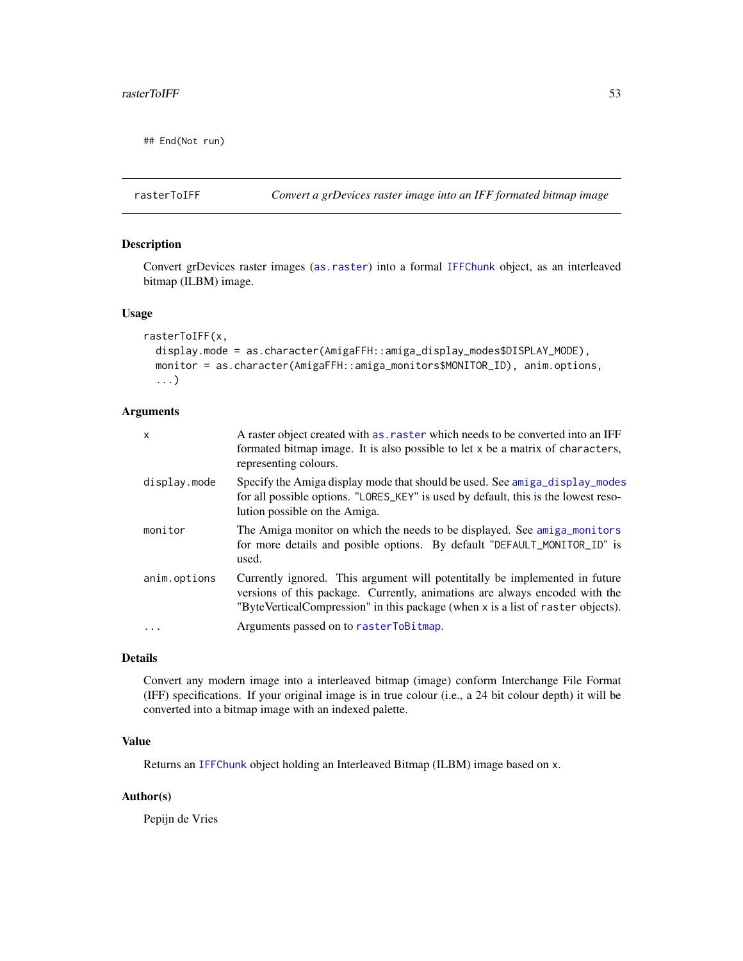## End(Not run)

<span id="page-52-0"></span>rasterToIFF *Convert a grDevices raster image into an IFF formated bitmap image*

# Description

Convert grDevices raster images ([as.raster](#page-10-0)) into a formal [IFFChunk](#page-30-0) object, as an interleaved bitmap (ILBM) image.

#### Usage

```
rasterToIFF(x,
 display.mode = as.character(AmigaFFH::amiga_display_modes$DISPLAY_MODE),
 monitor = as.character(AmigaFFH::amiga_monitors$MONITOR_ID), anim.options,
  ...)
```
## Arguments

| X            | A raster object created with as, raster which needs to be converted into an IFF<br>formated bitmap image. It is also possible to let x be a matrix of characters,<br>representing colours.                                                    |
|--------------|-----------------------------------------------------------------------------------------------------------------------------------------------------------------------------------------------------------------------------------------------|
| display.mode | Specify the Amiga display mode that should be used. See amiga_display_modes<br>for all possible options. "LORES_KEY" is used by default, this is the lowest reso-<br>lution possible on the Amiga.                                            |
| monitor      | The Amiga monitor on which the needs to be displayed. See amiga_monitors<br>for more details and posible options. By default "DEFAULT_MONITOR_ID" is<br>used.                                                                                 |
| anim.options | Currently ignored. This argument will potentitally be implemented in future<br>versions of this package. Currently, animations are always encoded with the<br>"ByteVerticalCompression" in this package (when x is a list of raster objects). |
| $\ddots$ .   | Arguments passed on to rasterToBitmap.                                                                                                                                                                                                        |

# Details

Convert any modern image into a interleaved bitmap (image) conform Interchange File Format (IFF) specifications. If your original image is in true colour (i.e., a 24 bit colour depth) it will be converted into a bitmap image with an indexed palette.

# Value

Returns an [IFFChunk](#page-30-0) object holding an Interleaved Bitmap (ILBM) image based on x.

# Author(s)

Pepijn de Vries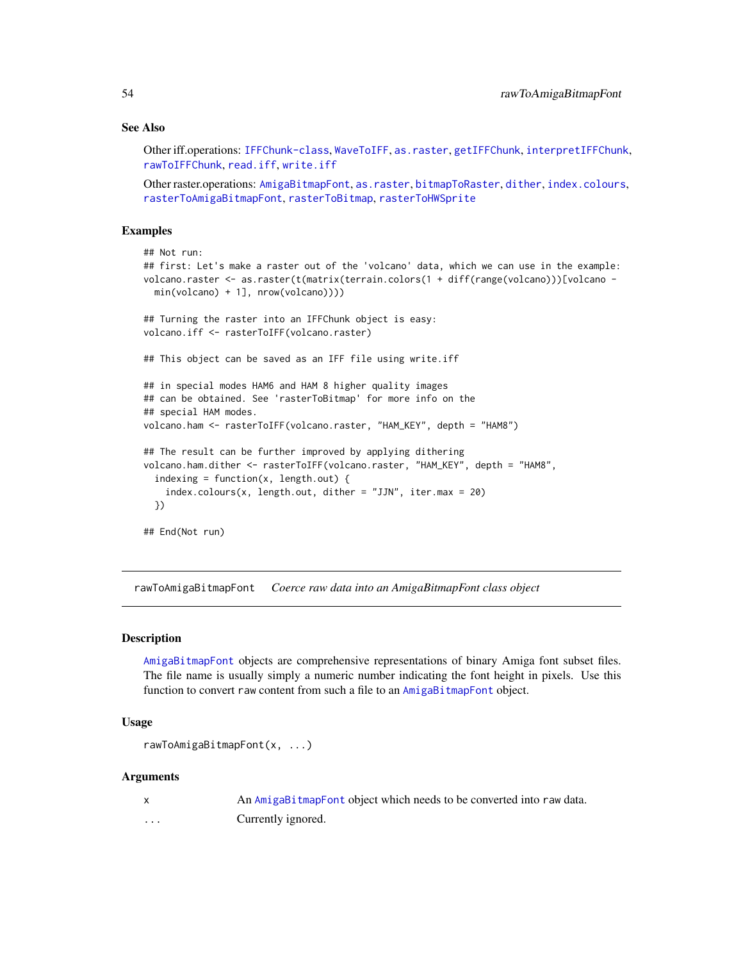### See Also

Other iff.operations: [IFFChunk-class](#page-28-0), [WaveToIFF](#page-71-0), [as.raster](#page-10-0), [getIFFChunk](#page-25-0), [interpretIFFChunk](#page-39-0), [rawToIFFChunk](#page-58-0), [read.iff](#page-65-0), [write.iff](#page-76-0)

Other raster.operations: [AmigaBitmapFont](#page-2-0), [as.raster](#page-10-0), [bitmapToRaster](#page-14-0), [dither](#page-21-0), [index.colours](#page-37-0), [rasterToAmigaBitmapFont](#page-45-0), [rasterToBitmap](#page-48-0), [rasterToHWSprite](#page-50-0)

## Examples

```
## Not run:
## first: Let's make a raster out of the 'volcano' data, which we can use in the example:
volcano.raster <- as.raster(t(matrix(terrain.colors(1 + diff(range(volcano)))[volcano -
 min(volcano) + 1], nrow(volcano))))
## Turning the raster into an IFFChunk object is easy:
volcano.iff <- rasterToIFF(volcano.raster)
## This object can be saved as an IFF file using write.iff
## in special modes HAM6 and HAM 8 higher quality images
## can be obtained. See 'rasterToBitmap' for more info on the
## special HAM modes.
volcano.ham <- rasterToIFF(volcano.raster, "HAM_KEY", depth = "HAM8")
## The result can be further improved by applying dithering
volcano.ham.dither <- rasterToIFF(volcano.raster, "HAM_KEY", depth = "HAM8",
  indexing = function(x, length.out) {
    index.colours(x, length.out, dither = "JJN", iter.max = 20)})
## End(Not run)
```
<span id="page-53-0"></span>rawToAmigaBitmapFont *Coerce raw data into an AmigaBitmapFont class object*

#### Description

[AmigaBitmapFont](#page-2-0) objects are comprehensive representations of binary Amiga font subset files. The file name is usually simply a numeric number indicating the font height in pixels. Use this function to convert raw content from such a file to an [AmigaBitmapFont](#page-2-0) object.

## Usage

```
rawToAmigaBitmapFont(x, ...)
```
#### Arguments

x An [AmigaBitmapFont](#page-2-0) object which needs to be converted into raw data. ... Currently ignored.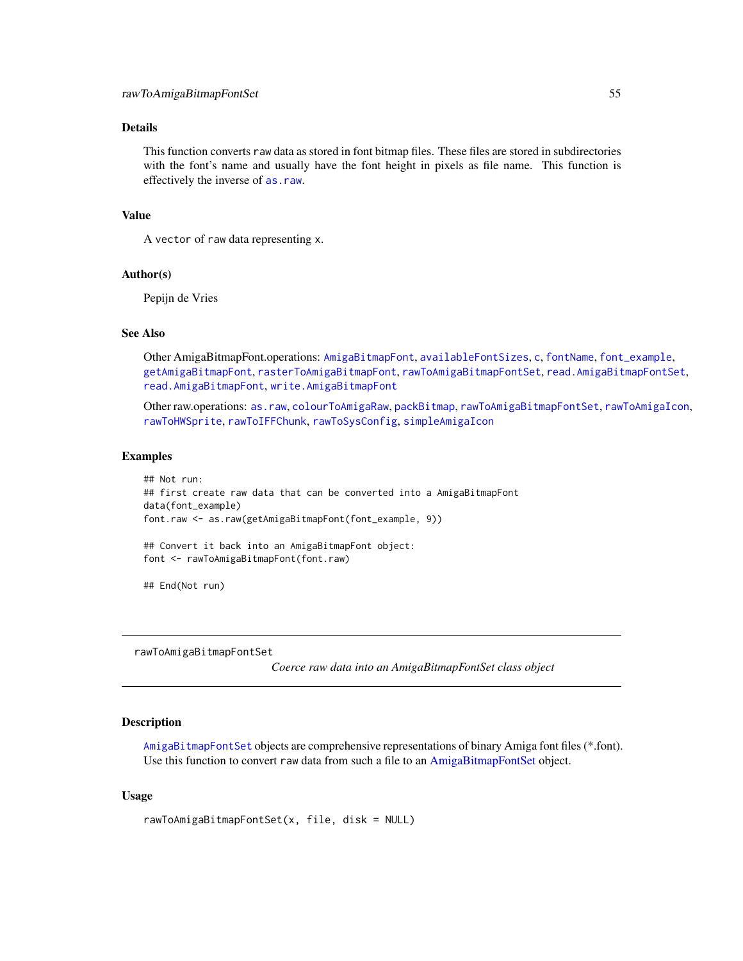## Details

This function converts raw data as stored in font bitmap files. These files are stored in subdirectories with the font's name and usually have the font height in pixels as file name. This function is effectively the inverse of [as.raw](#page-12-0).

## Value

A vector of raw data representing x.

## Author(s)

Pepijn de Vries

# See Also

Other AmigaBitmapFont.operations: [AmigaBitmapFont](#page-2-0), [availableFontSizes](#page-13-0), [c](#page-16-0), [fontName](#page-23-0), [font\\_example](#page-24-0), [getAmigaBitmapFont](#page-24-1), [rasterToAmigaBitmapFont](#page-45-0), [rawToAmigaBitmapFontSet](#page-54-0), [read.AmigaBitmapFontSet](#page-62-0), [read.AmigaBitmapFont](#page-61-0), [write.AmigaBitmapFont](#page-73-0)

Other raw.operations: [as.raw](#page-12-0), [colourToAmigaRaw](#page-17-0), [packBitmap](#page-40-0), [rawToAmigaBitmapFontSet](#page-54-0), [rawToAmigaIcon](#page-56-0), [rawToHWSprite](#page-57-0), [rawToIFFChunk](#page-58-0), [rawToSysConfig](#page-59-0), [simpleAmigaIcon](#page-67-0)

#### Examples

```
## Not run:
## first create raw data that can be converted into a AmigaBitmapFont
data(font_example)
font.raw <- as.raw(getAmigaBitmapFont(font_example, 9))
## Convert it back into an AmigaBitmapFont object:
font <- rawToAmigaBitmapFont(font.raw)
```
## End(Not run)

<span id="page-54-0"></span>rawToAmigaBitmapFontSet

*Coerce raw data into an AmigaBitmapFontSet class object*

## **Description**

[AmigaBitmapFontSet](#page-2-1) objects are comprehensive representations of binary Amiga font files (\*.font). Use this function to convert raw data from such a file to an [AmigaBitmapFontSet](#page-2-1) object.

#### Usage

```
rawToAmigaBitmapFontSet(x, file, disk = NULL)
```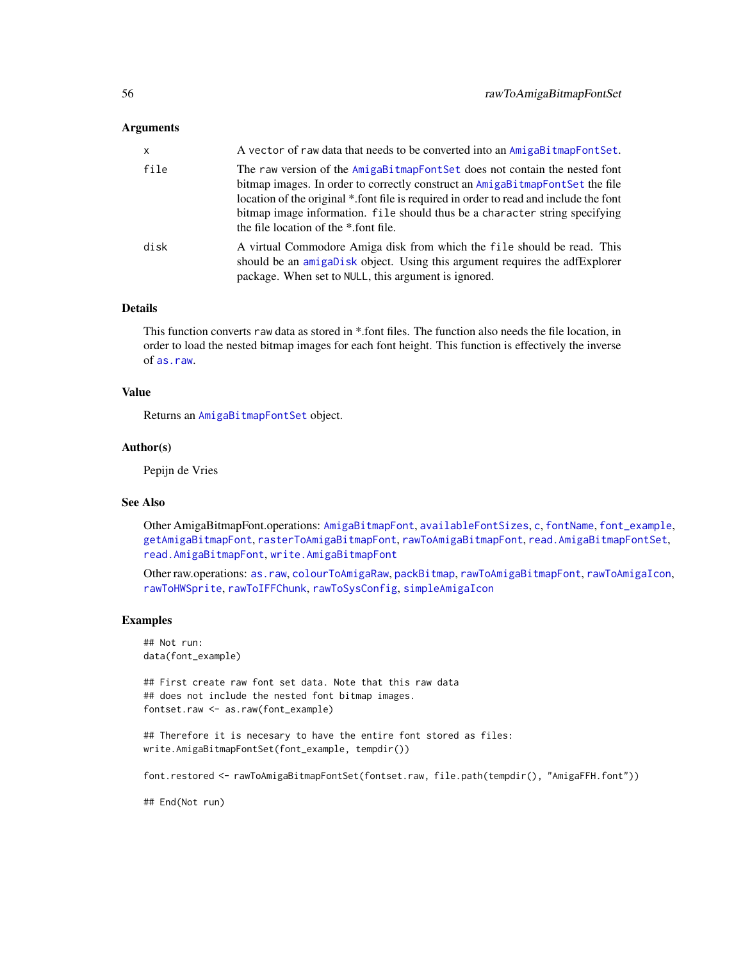## Arguments

| $\mathsf{x}$ | A vector of raw data that needs to be converted into an AmigaBitmapFontSet.                                                                                                                                                                                                                                                                                                   |
|--------------|-------------------------------------------------------------------------------------------------------------------------------------------------------------------------------------------------------------------------------------------------------------------------------------------------------------------------------------------------------------------------------|
| file         | The raw version of the AmigaBitmapFontSet does not contain the nested font<br>bitmap images. In order to correctly construct an AmigaBitmapFontSet the file<br>location of the original *.font file is required in order to read and include the font<br>bitmap image information. file should thus be a character string specifying<br>the file location of the *.font file. |
| disk         | A virtual Commodore Amiga disk from which the file should be read. This<br>should be an amigabisk object. Using this argument requires the adfExplorer<br>package. When set to NULL, this argument is ignored.                                                                                                                                                                |

## Details

This function converts raw data as stored in \*.font files. The function also needs the file location, in order to load the nested bitmap images for each font height. This function is effectively the inverse of [as.raw](#page-12-0).

## Value

Returns an [AmigaBitmapFontSet](#page-2-1) object.

#### Author(s)

Pepijn de Vries

#### See Also

Other AmigaBitmapFont.operations: [AmigaBitmapFont](#page-2-0), [availableFontSizes](#page-13-0), [c](#page-16-0), [fontName](#page-23-0), [font\\_example](#page-24-0), [getAmigaBitmapFont](#page-24-1), [rasterToAmigaBitmapFont](#page-45-0), [rawToAmigaBitmapFont](#page-53-0), [read.AmigaBitmapFontSet](#page-62-0), [read.AmigaBitmapFont](#page-61-0), [write.AmigaBitmapFont](#page-73-0)

Other raw.operations: [as.raw](#page-12-0), [colourToAmigaRaw](#page-17-0), [packBitmap](#page-40-0), [rawToAmigaBitmapFont](#page-53-0), [rawToAmigaIcon](#page-56-0), [rawToHWSprite](#page-57-0), [rawToIFFChunk](#page-58-0), [rawToSysConfig](#page-59-0), [simpleAmigaIcon](#page-67-0)

## Examples

## Not run: data(font\_example)

## First create raw font set data. Note that this raw data ## does not include the nested font bitmap images. fontset.raw <- as.raw(font\_example)

## Therefore it is necesary to have the entire font stored as files: write.AmigaBitmapFontSet(font\_example, tempdir())

font.restored <- rawToAmigaBitmapFontSet(fontset.raw, file.path(tempdir(), "AmigaFFH.font"))

## End(Not run)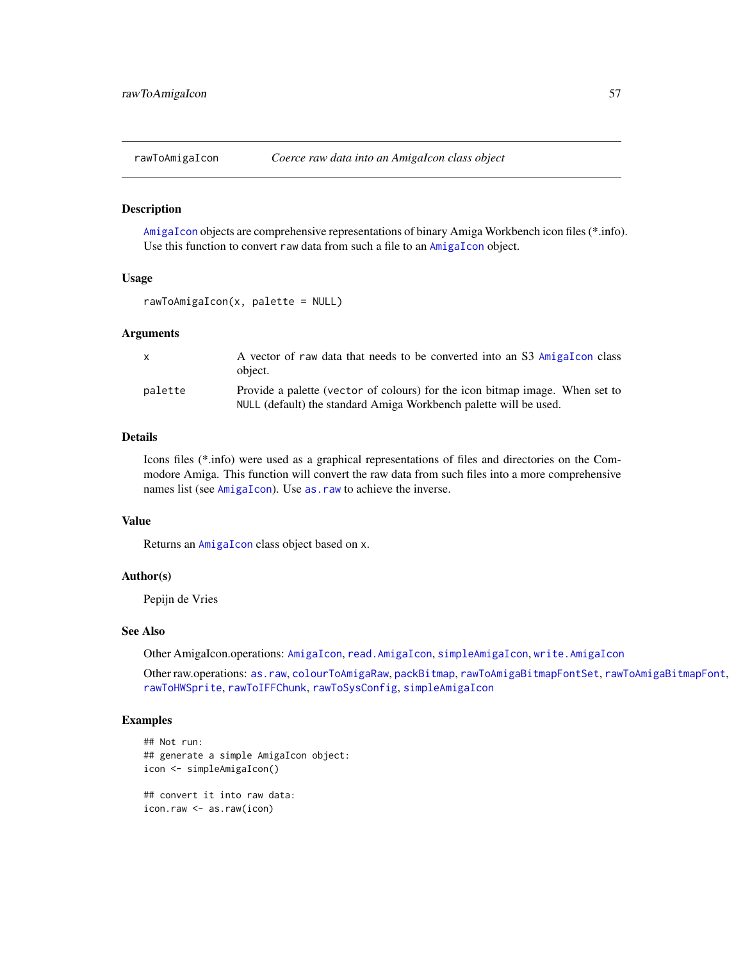<span id="page-56-0"></span>

#### Description

[AmigaIcon](#page-5-0) objects are comprehensive representations of binary Amiga Workbench icon files (\*.info). Use this function to convert raw data from such a file to an [AmigaIcon](#page-5-0) object.

#### Usage

rawToAmigaIcon(x, palette = NULL)

## Arguments

| $\mathsf{X}$ | A vector of raw data that needs to be converted into an S3 AmigaTcon class<br>object.                                                             |
|--------------|---------------------------------------------------------------------------------------------------------------------------------------------------|
| palette      | Provide a palette (vector of colours) for the icon bitmap image. When set to<br>NULL (default) the standard Amiga Workbench palette will be used. |

#### Details

Icons files (\*.info) were used as a graphical representations of files and directories on the Commodore Amiga. This function will convert the raw data from such files into a more comprehensive names list (see [AmigaIcon](#page-5-0)). Use as . raw to achieve the inverse.

## Value

Returns an [AmigaIcon](#page-5-0) class object based on x.

## Author(s)

Pepijn de Vries

#### See Also

Other AmigaIcon.operations: [AmigaIcon](#page-5-0), [read.AmigaIcon](#page-63-0), [simpleAmigaIcon](#page-67-0), [write.AmigaIcon](#page-74-0)

Other raw.operations: [as.raw](#page-12-0), [colourToAmigaRaw](#page-17-0), [packBitmap](#page-40-0), [rawToAmigaBitmapFontSet](#page-54-0), [rawToAmigaBitmapFont](#page-53-0), [rawToHWSprite](#page-57-0), [rawToIFFChunk](#page-58-0), [rawToSysConfig](#page-59-0), [simpleAmigaIcon](#page-67-0)

#### Examples

```
## Not run:
## generate a simple AmigaIcon object:
icon <- simpleAmigaIcon()
## convert it into raw data:
icon.raw <- as.raw(icon)
```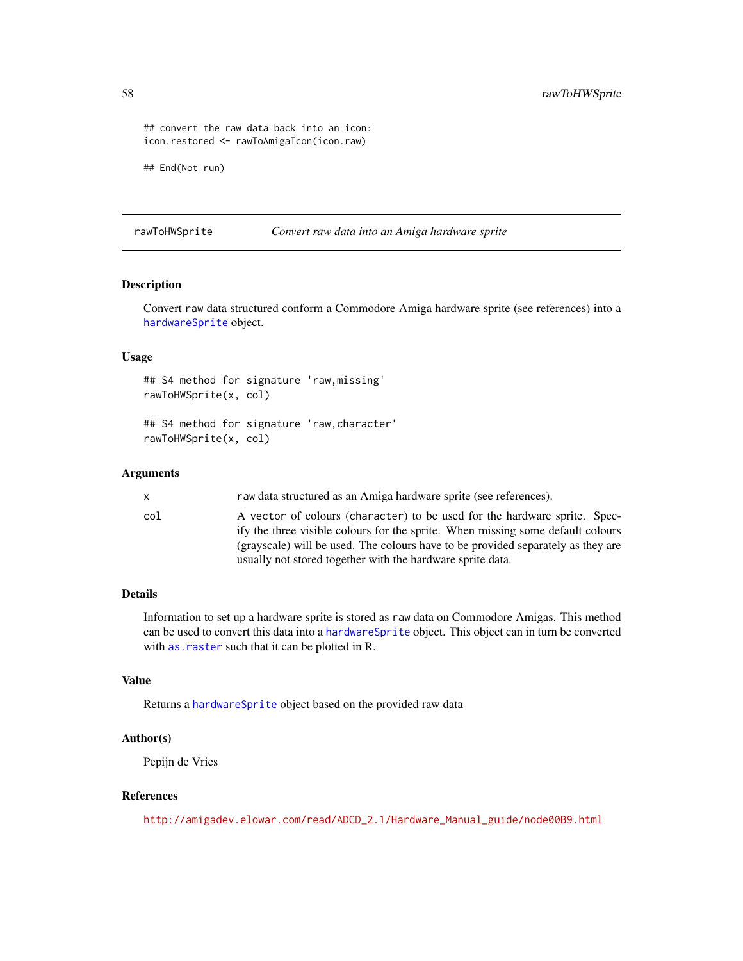```
## convert the raw data back into an icon:
icon.restored <- rawToAmigaIcon(icon.raw)
```
## End(Not run)

<span id="page-57-0"></span>rawToHWSprite *Convert raw data into an Amiga hardware sprite*

## Description

Convert raw data structured conform a Commodore Amiga hardware sprite (see references) into a [hardwareSprite](#page-27-0) object.

### Usage

```
## S4 method for signature 'raw,missing'
rawToHWSprite(x, col)
```

```
## S4 method for signature 'raw,character'
rawToHWSprite(x, col)
```
# Arguments

| x.  | raw data structured as an Amiga hardware sprite (see references).                                                                                            |
|-----|--------------------------------------------------------------------------------------------------------------------------------------------------------------|
| col | A vector of colours (character) to be used for the hardware sprite. Spec-<br>ify the three visible colours for the sprite. When missing some default colours |
|     | (grayscale) will be used. The colours have to be provided separately as they are                                                                             |
|     | usually not stored together with the hardware sprite data.                                                                                                   |

# Details

Information to set up a hardware sprite is stored as raw data on Commodore Amigas. This method can be used to convert this data into a [hardwareSprite](#page-27-0) object. This object can in turn be converted with [as.raster](#page-10-0) such that it can be plotted in R.

# Value

Returns a [hardwareSprite](#page-27-0) object based on the provided raw data

### Author(s)

Pepijn de Vries

## References

[http://amigadev.elowar.com/read/ADCD\\_2.1/Hardware\\_Manual\\_guide/node00B9.html](http://amigadev.elowar.com/read/ADCD_2.1/Hardware_Manual_guide/node00B9.html)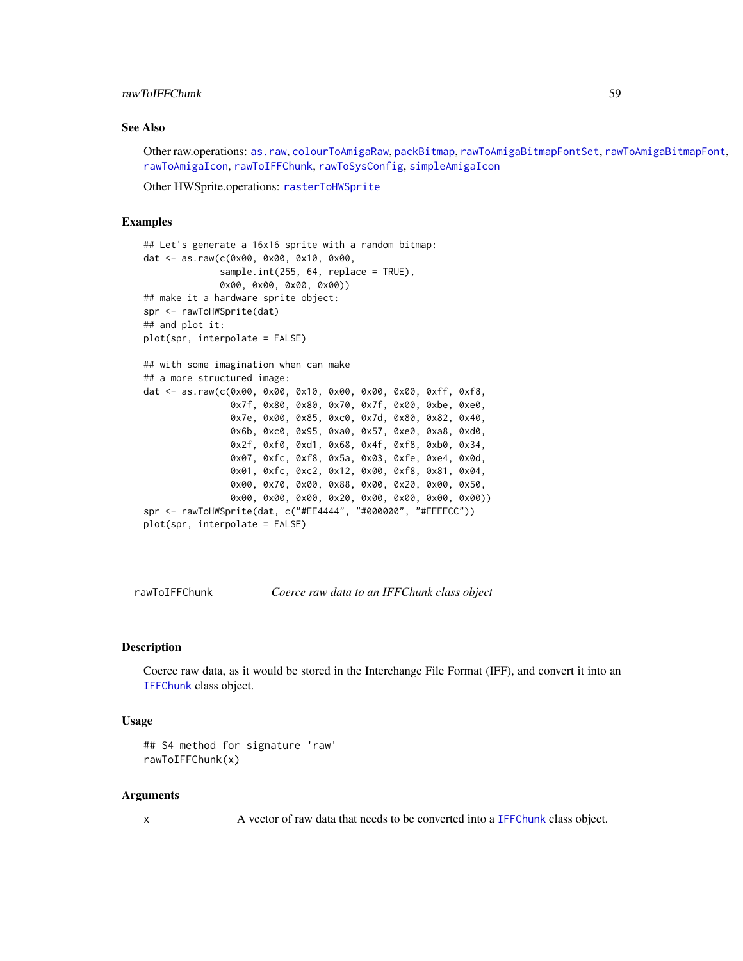## rawToIFFChunk 59

# See Also

Other raw.operations: [as.raw](#page-12-0), [colourToAmigaRaw](#page-17-0), [packBitmap](#page-40-0), [rawToAmigaBitmapFontSet](#page-54-0), [rawToAmigaBitmapFont](#page-53-0), [rawToAmigaIcon](#page-56-0), [rawToIFFChunk](#page-58-0), [rawToSysConfig](#page-59-0), [simpleAmigaIcon](#page-67-0)

Other HWSprite.operations: [rasterToHWSprite](#page-50-0)

#### Examples

```
## Let's generate a 16x16 sprite with a random bitmap:
dat <- as.raw(c(0x00, 0x00, 0x10, 0x00,
              sample.int(255, 64, replace = TRUE),
              0x00, 0x00, 0x00, 0x00))
## make it a hardware sprite object:
spr <- rawToHWSprite(dat)
## and plot it:
plot(spr, interpolate = FALSE)
## with some imagination when can make
## a more structured image:
dat <- as.raw(c(0x00, 0x00, 0x10, 0x00, 0x00, 0x00, 0xff, 0xf8,
                0x7f, 0x80, 0x80, 0x70, 0x7f, 0x00, 0xbe, 0xe0,
                0x7e, 0x00, 0x85, 0xc0, 0x7d, 0x80, 0x82, 0x40,
                0x6b, 0xc0, 0x95, 0xa0, 0x57, 0xe0, 0xa8, 0xd0,
                0x2f, 0xf0, 0xd1, 0x68, 0x4f, 0xf8, 0xb0, 0x34,
                0x07, 0xfc, 0xf8, 0x5a, 0x03, 0xfe, 0xe4, 0x0d,
                0x01, 0xfc, 0xc2, 0x12, 0x00, 0xf8, 0x81, 0x04,
                0x00, 0x70, 0x00, 0x88, 0x00, 0x20, 0x00, 0x50,
                0x00, 0x00, 0x00, 0x20, 0x00, 0x00, 0x00, 0x00))
spr <- rawToHWSprite(dat, c("#EE4444", "#000000", "#EEEECC"))
plot(spr, interpolate = FALSE)
```
<span id="page-58-0"></span>rawToIFFChunk *Coerce raw data to an IFFChunk class object*

# Description

Coerce raw data, as it would be stored in the Interchange File Format (IFF), and convert it into an [IFFChunk](#page-30-0) class object.

#### Usage

```
## S4 method for signature 'raw'
rawToIFFChunk(x)
```
## Arguments

x A vector of raw data that needs to be converted into a [IFFChunk](#page-30-0) class object.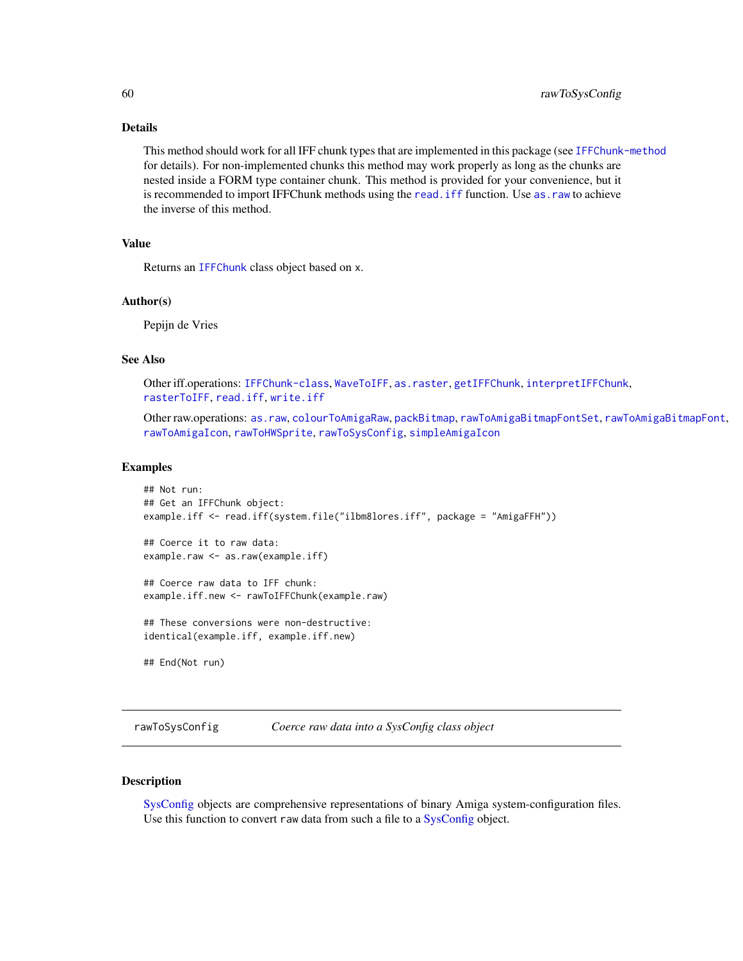# Details

This method should work for all IFF chunk types that are implemented in this package (see [IFFChunk-method](#page-30-1) for details). For non-implemented chunks this method may work properly as long as the chunks are nested inside a FORM type container chunk. This method is provided for your convenience, but it is recommended to import IFFChunk methods using the [read.iff](#page-65-0) function. Use [as.raw](#page-12-0) to achieve the inverse of this method.

# Value

Returns an [IFFChunk](#page-30-0) class object based on x.

#### Author(s)

Pepijn de Vries

## See Also

```
Other iff.operations: IFFChunk-class, WaveToIFF, as.raster, getIFFChunk, interpretIFFChunk,
rasterToIFF, read.iff, write.iff
```
Other raw.operations: [as.raw](#page-12-0), [colourToAmigaRaw](#page-17-0), [packBitmap](#page-40-0), [rawToAmigaBitmapFontSet](#page-54-0), [rawToAmigaBitmapFont](#page-53-0), [rawToAmigaIcon](#page-56-0), [rawToHWSprite](#page-57-0), [rawToSysConfig](#page-59-0), [simpleAmigaIcon](#page-67-0)

#### Examples

```
## Not run:
## Get an IFFChunk object:
example.iff <- read.iff(system.file("ilbm8lores.iff", package = "AmigaFFH"))
## Coerce it to raw data:
example.raw <- as.raw(example.iff)
## Coerce raw data to IFF chunk:
example.iff.new <- rawToIFFChunk(example.raw)
## These conversions were non-destructive:
identical(example.iff, example.iff.new)
## End(Not run)
```
<span id="page-59-0"></span>rawToSysConfig *Coerce raw data into a SysConfig class object*

## Description

[SysConfig](#page-69-0) objects are comprehensive representations of binary Amiga system-configuration files. Use this function to convert raw data from such a file to a [SysConfig](#page-69-0) object.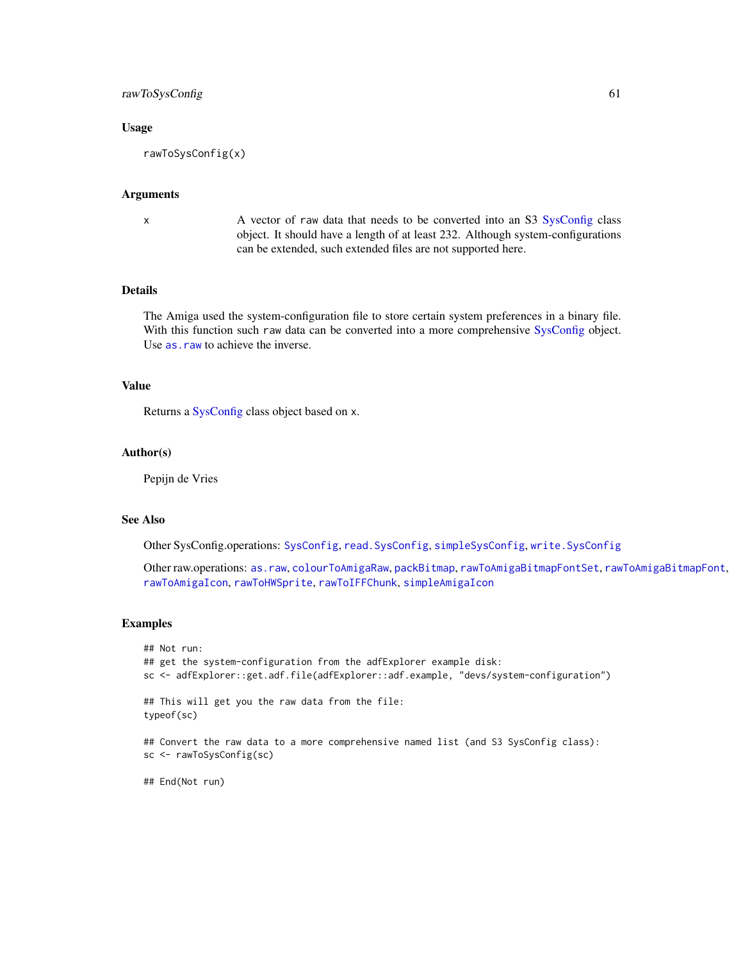# rawToSysConfig 61

## Usage

```
rawToSysConfig(x)
```
#### Arguments

x A vector of raw data that needs to be converted into an S3 [SysConfig](#page-69-0) class object. It should have a length of at least 232. Although system-configurations can be extended, such extended files are not supported here.

# Details

The Amiga used the system-configuration file to store certain system preferences in a binary file. With this function such raw data can be converted into a more comprehensive [SysConfig](#page-69-0) object. Use [as.raw](#page-12-0) to achieve the inverse.

# Value

Returns a [SysConfig](#page-69-0) class object based on x.

## Author(s)

Pepijn de Vries

## See Also

Other SysConfig.operations: [SysConfig](#page-69-0), [read.SysConfig](#page-66-0), [simpleSysConfig](#page-68-0), [write.SysConfig](#page-77-0)

Other raw.operations: [as.raw](#page-12-0), [colourToAmigaRaw](#page-17-0), [packBitmap](#page-40-0), [rawToAmigaBitmapFontSet](#page-54-0), [rawToAmigaBitmapFont](#page-53-0), [rawToAmigaIcon](#page-56-0), [rawToHWSprite](#page-57-0), [rawToIFFChunk](#page-58-0), [simpleAmigaIcon](#page-67-0)

#### Examples

```
## Not run:
## get the system-configuration from the adfExplorer example disk:
sc <- adfExplorer::get.adf.file(adfExplorer::adf.example, "devs/system-configuration")
## This will get you the raw data from the file:
typeof(sc)
## Convert the raw data to a more comprehensive named list (and S3 SysConfig class):
sc <- rawToSysConfig(sc)
## End(Not run)
```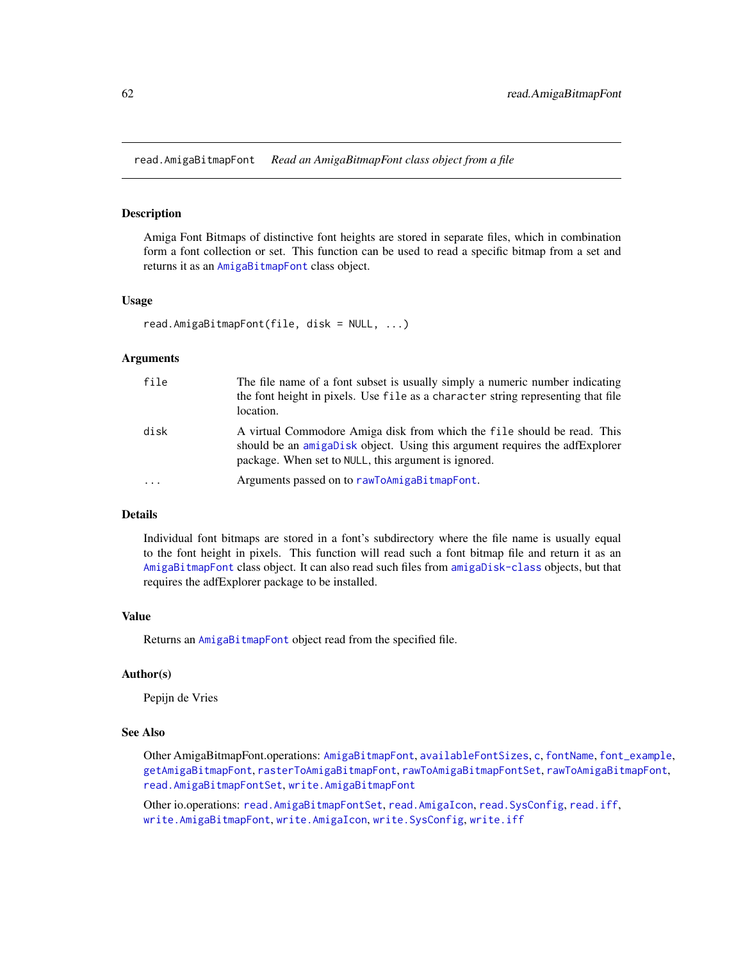<span id="page-61-0"></span>read.AmigaBitmapFont *Read an AmigaBitmapFont class object from a file*

### **Description**

Amiga Font Bitmaps of distinctive font heights are stored in separate files, which in combination form a font collection or set. This function can be used to read a specific bitmap from a set and returns it as an [AmigaBitmapFont](#page-2-0) class object.

#### Usage

```
read.AmigaBitmapFont(file, disk = NULL, ...)
```
#### Arguments

| file      | The file name of a font subset is usually simply a numeric number indicating<br>the font height in pixels. Use file as a character string representing that file<br>location.                                  |
|-----------|----------------------------------------------------------------------------------------------------------------------------------------------------------------------------------------------------------------|
| disk      | A virtual Commodore Amiga disk from which the file should be read. This<br>should be an amigaDisk object. Using this argument requires the adfExplorer<br>package. When set to NULL, this argument is ignored. |
| $\ddotsc$ | Arguments passed on to rawToAmigaBitmapFont.                                                                                                                                                                   |

## Details

Individual font bitmaps are stored in a font's subdirectory where the file name is usually equal to the font height in pixels. This function will read such a font bitmap file and return it as an [AmigaBitmapFont](#page-2-0) class object. It can also read such files from [amigaDisk-class](#page-0-0) objects, but that requires the adfExplorer package to be installed.

## Value

Returns an [AmigaBitmapFont](#page-2-0) object read from the specified file.

# Author(s)

Pepijn de Vries

#### See Also

Other AmigaBitmapFont.operations: [AmigaBitmapFont](#page-2-0), [availableFontSizes](#page-13-0), [c](#page-16-0), [fontName](#page-23-0), [font\\_example](#page-24-0), [getAmigaBitmapFont](#page-24-1), [rasterToAmigaBitmapFont](#page-45-0), [rawToAmigaBitmapFontSet](#page-54-0), [rawToAmigaBitmapFont](#page-53-0), [read.AmigaBitmapFontSet](#page-62-0), [write.AmigaBitmapFont](#page-73-0)

Other io.operations: [read.AmigaBitmapFontSet](#page-62-0), [read.AmigaIcon](#page-63-0), [read.SysConfig](#page-66-0), [read.iff](#page-65-0), [write.AmigaBitmapFont](#page-73-0), [write.AmigaIcon](#page-74-0), [write.SysConfig](#page-77-0), [write.iff](#page-76-0)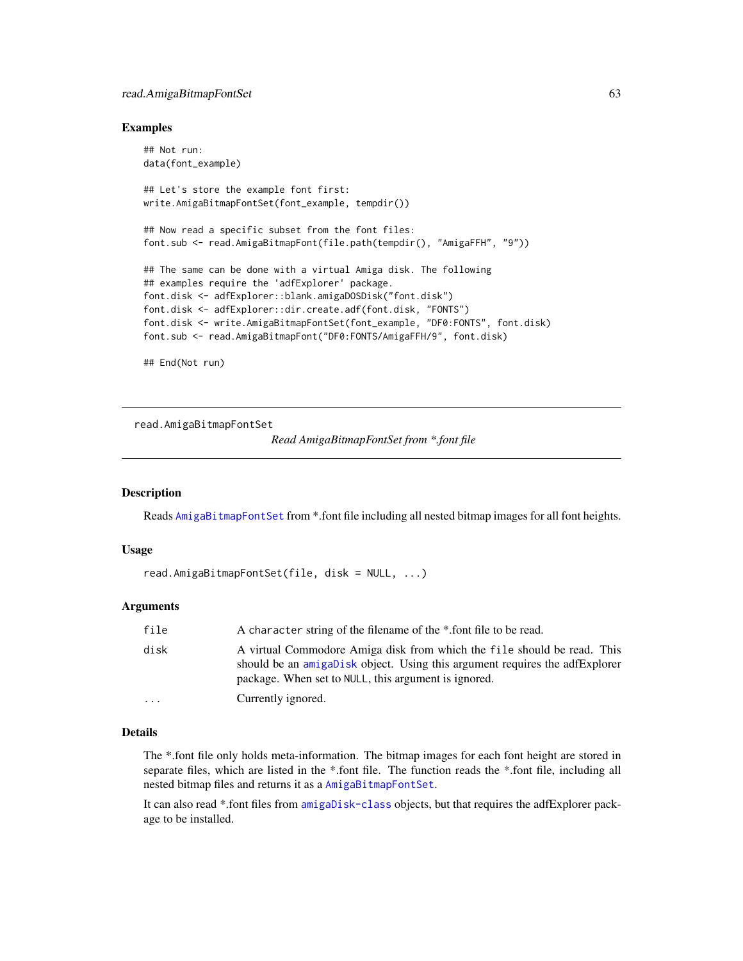# read.AmigaBitmapFontSet 63

#### Examples

```
## Not run:
data(font_example)
## Let's store the example font first:
write.AmigaBitmapFontSet(font_example, tempdir())
## Now read a specific subset from the font files:
font.sub <- read.AmigaBitmapFont(file.path(tempdir(), "AmigaFFH", "9"))
## The same can be done with a virtual Amiga disk. The following
## examples require the 'adfExplorer' package.
font.disk <- adfExplorer::blank.amigaDOSDisk("font.disk")
font.disk <- adfExplorer::dir.create.adf(font.disk, "FONTS")
font.disk <- write.AmigaBitmapFontSet(font_example, "DF0:FONTS", font.disk)
font.sub <- read.AmigaBitmapFont("DF0:FONTS/AmigaFFH/9", font.disk)
```
## End(Not run)

<span id="page-62-0"></span>read.AmigaBitmapFontSet

*Read AmigaBitmapFontSet from \*.font file*

# **Description**

Reads [AmigaBitmapFontSet](#page-2-1) from \*.font file including all nested bitmap images for all font heights.

#### Usage

```
read.AmigaBitmapFontSet(file, disk = NULL, ...)
```
## Arguments

| file      | A character string of the filename of the *.font file to be read.                                                                                                                                              |
|-----------|----------------------------------------------------------------------------------------------------------------------------------------------------------------------------------------------------------------|
| disk      | A virtual Commodore Amiga disk from which the file should be read. This<br>should be an amigabisk object. Using this argument requires the adfExplorer<br>package. When set to NULL, this argument is ignored. |
| $\ddotsc$ | Currently ignored.                                                                                                                                                                                             |

#### Details

The \*.font file only holds meta-information. The bitmap images for each font height are stored in separate files, which are listed in the \*.font file. The function reads the \*.font file, including all nested bitmap files and returns it as a [AmigaBitmapFontSet](#page-2-1).

It can also read \*.font files from [amigaDisk-class](#page-0-0) objects, but that requires the adfExplorer package to be installed.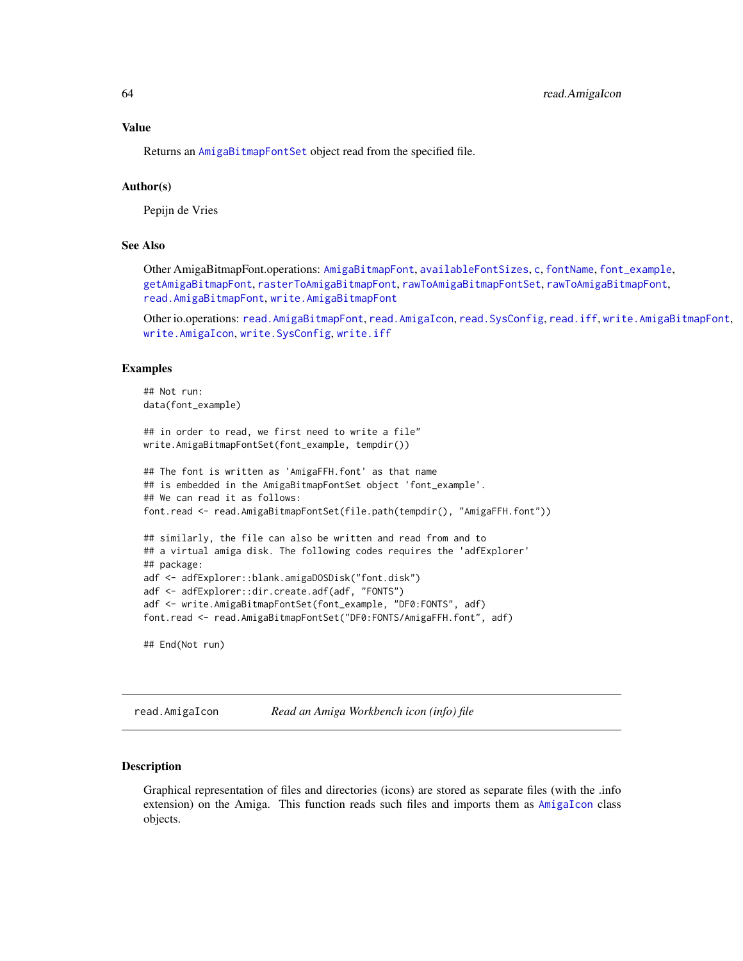#### Value

Returns an [AmigaBitmapFontSet](#page-2-1) object read from the specified file.

#### Author(s)

Pepijn de Vries

## See Also

Other AmigaBitmapFont.operations: [AmigaBitmapFont](#page-2-0), [availableFontSizes](#page-13-0), [c](#page-16-0), [fontName](#page-23-0), [font\\_example](#page-24-0), [getAmigaBitmapFont](#page-24-1), [rasterToAmigaBitmapFont](#page-45-0), [rawToAmigaBitmapFontSet](#page-54-0), [rawToAmigaBitmapFont](#page-53-0), [read.AmigaBitmapFont](#page-61-0), [write.AmigaBitmapFont](#page-73-0)

Other io.operations: [read.AmigaBitmapFont](#page-61-0), [read.AmigaIcon](#page-63-0), [read.SysConfig](#page-66-0), [read.iff](#page-65-0), [write.AmigaBitmapFont](#page-73-0), [write.AmigaIcon](#page-74-0), [write.SysConfig](#page-77-0), [write.iff](#page-76-0)

## Examples

```
## Not run:
data(font_example)
```

```
## in order to read, we first need to write a file"
write.AmigaBitmapFontSet(font_example, tempdir())
```

```
## The font is written as 'AmigaFFH.font' as that name
## is embedded in the AmigaBitmapFontSet object 'font_example'.
## We can read it as follows:
font.read <- read.AmigaBitmapFontSet(file.path(tempdir(), "AmigaFFH.font"))
## similarly, the file can also be written and read from and to
## a virtual amiga disk. The following codes requires the 'adfExplorer'
## package:
adf <- adfExplorer::blank.amigaDOSDisk("font.disk")
adf <- adfExplorer::dir.create.adf(adf, "FONTS")
```
## End(Not run)

<span id="page-63-0"></span>read.AmigaIcon *Read an Amiga Workbench icon (info) file*

adf <- write.AmigaBitmapFontSet(font\_example, "DF0:FONTS", adf) font.read <- read.AmigaBitmapFontSet("DF0:FONTS/AmigaFFH.font", adf)

#### Description

Graphical representation of files and directories (icons) are stored as separate files (with the .info extension) on the Amiga. This function reads such files and imports them as [AmigaIcon](#page-5-0) class objects.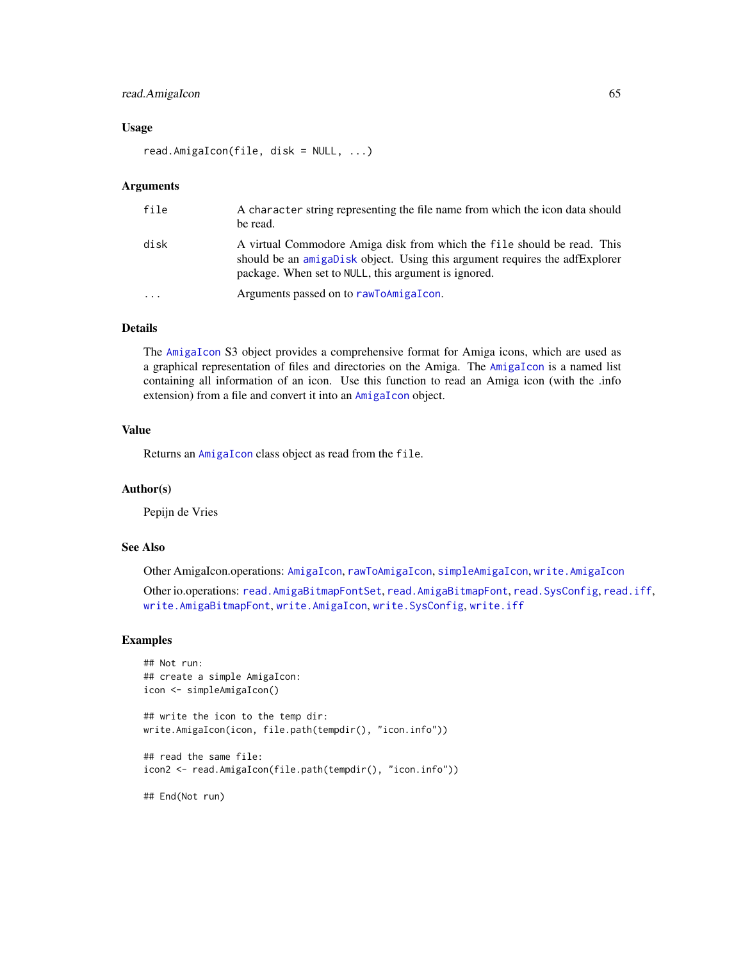# read.AmigaIcon 65

### Usage

read.AmigaIcon(file, disk = NULL, ...)

## Arguments

| file     | A character string representing the file name from which the icon data should<br>be read.                                                                                                                      |
|----------|----------------------------------------------------------------------------------------------------------------------------------------------------------------------------------------------------------------|
| disk     | A virtual Commodore Amiga disk from which the file should be read. This<br>should be an amigaDisk object. Using this argument requires the adfExplorer<br>package. When set to NULL, this argument is ignored. |
| $\cdots$ | Arguments passed on to rawToAmigaIcon.                                                                                                                                                                         |

# Details

The [AmigaIcon](#page-5-0) S3 object provides a comprehensive format for Amiga icons, which are used as a graphical representation of files and directories on the Amiga. The [AmigaIcon](#page-5-0) is a named list containing all information of an icon. Use this function to read an Amiga icon (with the .info extension) from a file and convert it into an [AmigaIcon](#page-5-0) object.

## Value

Returns an [AmigaIcon](#page-5-0) class object as read from the file.

#### Author(s)

Pepijn de Vries

## See Also

Other AmigaIcon.operations: [AmigaIcon](#page-5-0), [rawToAmigaIcon](#page-56-0), [simpleAmigaIcon](#page-67-0), [write.AmigaIcon](#page-74-0)

Other io.operations: [read.AmigaBitmapFontSet](#page-62-0), [read.AmigaBitmapFont](#page-61-0), [read.SysConfig](#page-66-0), [read.iff](#page-65-0), [write.AmigaBitmapFont](#page-73-0), [write.AmigaIcon](#page-74-0), [write.SysConfig](#page-77-0), [write.iff](#page-76-0)

# Examples

```
## Not run:
## create a simple AmigaIcon:
icon <- simpleAmigaIcon()
## write the icon to the temp dir:
write.AmigaIcon(icon, file.path(tempdir(), "icon.info"))
## read the same file:
icon2 <- read.AmigaIcon(file.path(tempdir(), "icon.info"))
## End(Not run)
```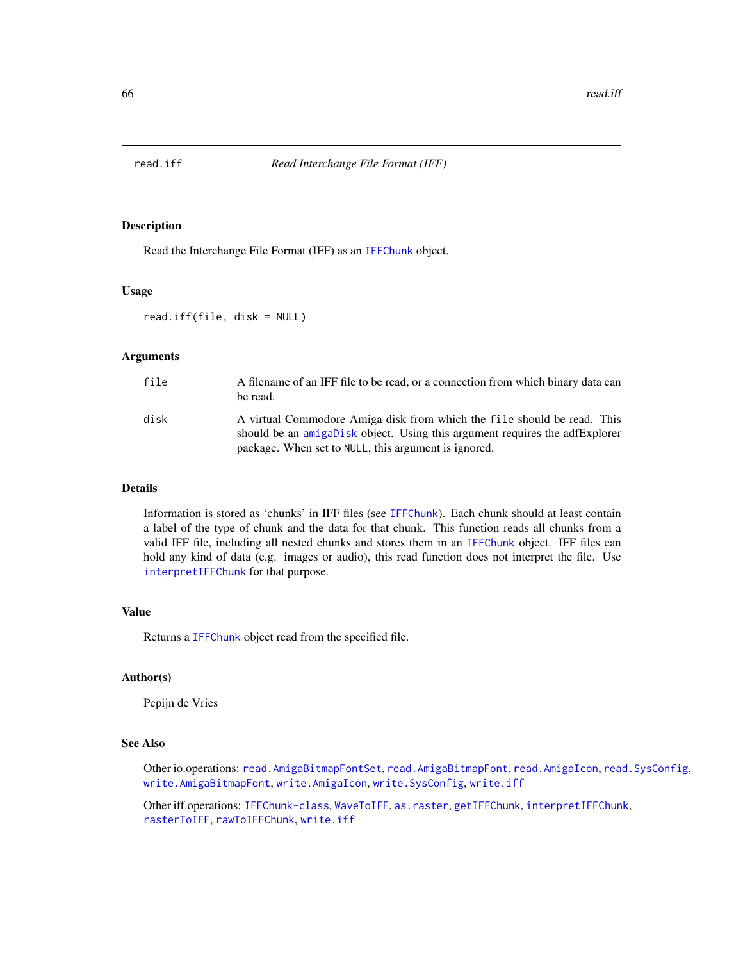<span id="page-65-0"></span>

#### Description

Read the Interchange File Format (IFF) as an [IFFChunk](#page-30-0) object.

#### Usage

read.iff(file, disk = NULL)

# Arguments

| file | A filename of an IFF file to be read, or a connection from which binary data can<br>be read.                                                                                                                   |
|------|----------------------------------------------------------------------------------------------------------------------------------------------------------------------------------------------------------------|
| disk | A virtual Commodore Amiga disk from which the file should be read. This<br>should be an amigabisk object. Using this argument requires the adfExplorer<br>package. When set to NULL, this argument is ignored. |

## Details

Information is stored as 'chunks' in IFF files (see [IFFChunk](#page-30-0)). Each chunk should at least contain a label of the type of chunk and the data for that chunk. This function reads all chunks from a valid IFF file, including all nested chunks and stores them in an [IFFChunk](#page-30-0) object. IFF files can hold any kind of data (e.g. images or audio), this read function does not interpret the file. Use [interpretIFFChunk](#page-39-0) for that purpose.

#### Value

Returns a [IFFChunk](#page-30-0) object read from the specified file.

## Author(s)

Pepijn de Vries

#### See Also

Other io.operations: [read.AmigaBitmapFontSet](#page-62-0), [read.AmigaBitmapFont](#page-61-0), [read.AmigaIcon](#page-63-0), [read.SysConfig](#page-66-0), [write.AmigaBitmapFont](#page-73-0), [write.AmigaIcon](#page-74-0), [write.SysConfig](#page-77-0), [write.iff](#page-76-0)

Other iff.operations: [IFFChunk-class](#page-28-0), [WaveToIFF](#page-71-0), [as.raster](#page-10-0), [getIFFChunk](#page-25-0), [interpretIFFChunk](#page-39-0), [rasterToIFF](#page-52-0), [rawToIFFChunk](#page-58-0), [write.iff](#page-76-0)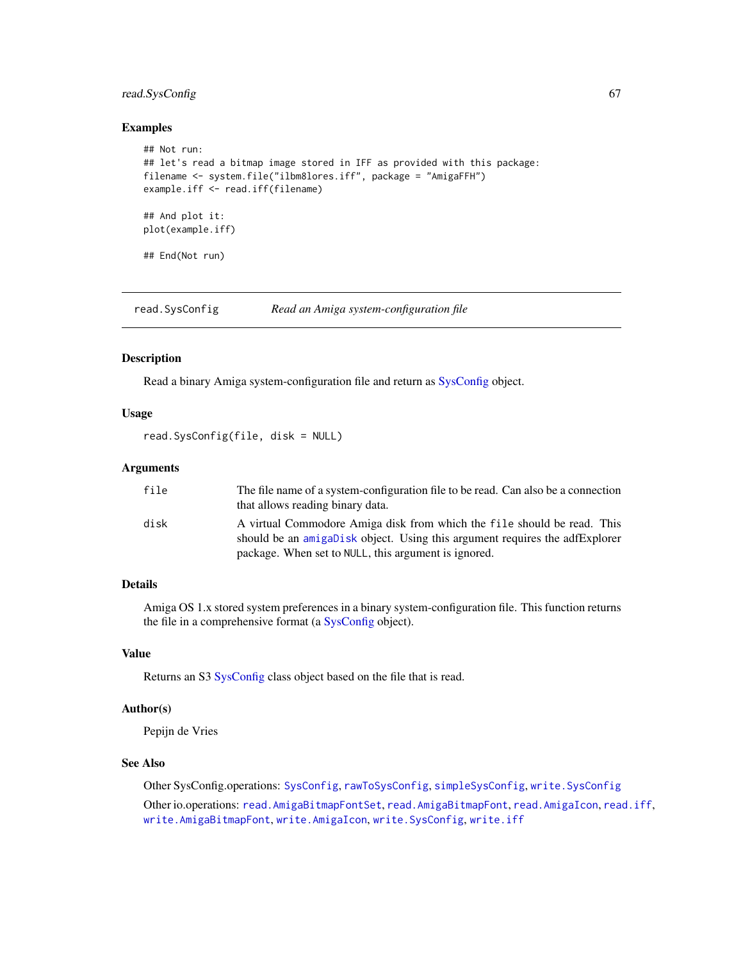# read.SysConfig 67

#### Examples

```
## Not run:
## let's read a bitmap image stored in IFF as provided with this package:
filename <- system.file("ilbm8lores.iff", package = "AmigaFFH")
example.iff <- read.iff(filename)
## And plot it:
plot(example.iff)
## End(Not run)
```
<span id="page-66-0"></span>read.SysConfig *Read an Amiga system-configuration file*

#### **Description**

Read a binary Amiga system-configuration file and return as [SysConfig](#page-69-0) object.

#### Usage

```
read.SysConfig(file, disk = NULL)
```
## Arguments

| file | The file name of a system-configuration file to be read. Can also be a connection<br>that allows reading binary data.                                  |
|------|--------------------------------------------------------------------------------------------------------------------------------------------------------|
| disk | A virtual Commodore Amiga disk from which the file should be read. This<br>should be an amigabisk object. Using this argument requires the adfExplorer |
|      | package. When set to NULL, this argument is ignored.                                                                                                   |

# Details

Amiga OS 1.x stored system preferences in a binary system-configuration file. This function returns the file in a comprehensive format (a [SysConfig](#page-69-0) object).

## Value

Returns an S3 [SysConfig](#page-69-0) class object based on the file that is read.

### Author(s)

Pepijn de Vries

# See Also

Other SysConfig.operations: [SysConfig](#page-69-0), [rawToSysConfig](#page-59-0), [simpleSysConfig](#page-68-0), [write.SysConfig](#page-77-0) Other io.operations: [read.AmigaBitmapFontSet](#page-62-0), [read.AmigaBitmapFont](#page-61-0), [read.AmigaIcon](#page-63-0), [read.iff](#page-65-0), [write.AmigaBitmapFont](#page-73-0), [write.AmigaIcon](#page-74-0), [write.SysConfig](#page-77-0), [write.iff](#page-76-0)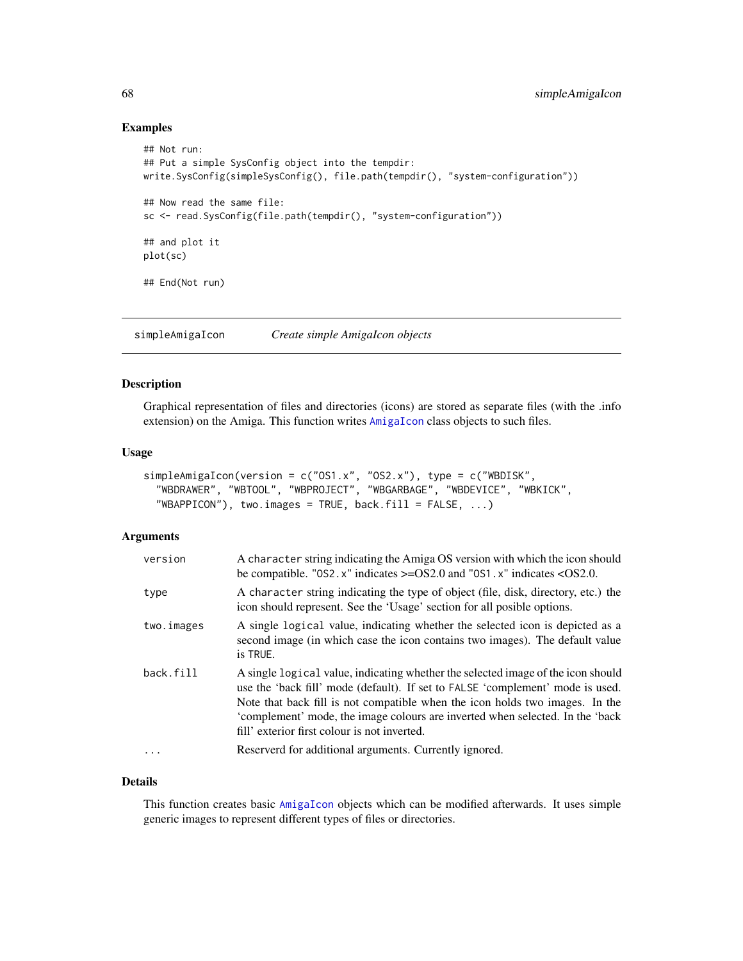### Examples

```
## Not run:
## Put a simple SysConfig object into the tempdir:
write.SysConfig(simpleSysConfig(), file.path(tempdir(), "system-configuration"))
## Now read the same file:
sc <- read.SysConfig(file.path(tempdir(), "system-configuration"))
## and plot it
plot(sc)
## End(Not run)
```
<span id="page-67-0"></span>simpleAmigaIcon *Create simple AmigaIcon objects*

#### Description

Graphical representation of files and directories (icons) are stored as separate files (with the .info extension) on the Amiga. This function writes [AmigaIcon](#page-5-0) class objects to such files.

## Usage

```
simpleAmigaIcon(version = c("OS1.x", "OS2.x"), type = c("WBDISK",
  "WBDRAWER", "WBTOOL", "WBPROJECT", "WBGARBAGE", "WBDEVICE", "WBKICK",
  "WBAPPICON"), two.images = TRUE, back.fill = FALSE, ...)
```
#### Arguments

| version    | A character string indicating the Amiga OS version with which the icon should<br>be compatible. "0S2. $x$ " indicates $>=$ OS2.0 and "0S1. $x$ " indicates < OS2.0.                                                                                                                                                                                                                 |
|------------|-------------------------------------------------------------------------------------------------------------------------------------------------------------------------------------------------------------------------------------------------------------------------------------------------------------------------------------------------------------------------------------|
| type       | A character string indicating the type of object (file, disk, directory, etc.) the<br>icon should represent. See the 'Usage' section for all posible options.                                                                                                                                                                                                                       |
| two.images | A single logical value, indicating whether the selected icon is depicted as a<br>second image (in which case the icon contains two images). The default value<br>is TRUE.                                                                                                                                                                                                           |
| back.fill  | A single logical value, indicating whether the selected image of the icon should<br>use the 'back fill' mode (default). If set to FALSE 'complement' mode is used.<br>Note that back fill is not compatible when the icon holds two images. In the<br>'complement' mode, the image colours are inverted when selected. In the 'back<br>fill' exterior first colour is not inverted. |
| $\cdots$   | Reserverd for additional arguments. Currently ignored.                                                                                                                                                                                                                                                                                                                              |

## Details

This function creates basic [AmigaIcon](#page-5-0) objects which can be modified afterwards. It uses simple generic images to represent different types of files or directories.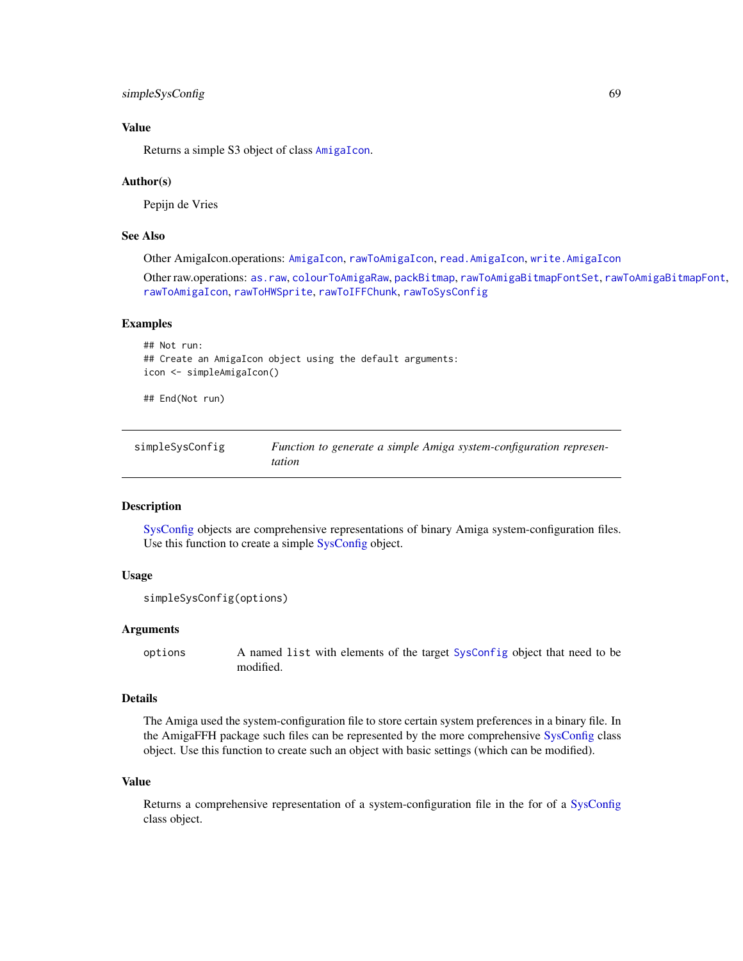# simpleSysConfig 69

# Value

Returns a simple S3 object of class [AmigaIcon](#page-5-0).

#### Author(s)

Pepijn de Vries

# See Also

Other AmigaIcon.operations: [AmigaIcon](#page-5-0), [rawToAmigaIcon](#page-56-0), [read.AmigaIcon](#page-63-0), [write.AmigaIcon](#page-74-0)

Other raw.operations: [as.raw](#page-12-0), [colourToAmigaRaw](#page-17-0), [packBitmap](#page-40-0), [rawToAmigaBitmapFontSet](#page-54-0), [rawToAmigaBitmapFont](#page-53-0), [rawToAmigaIcon](#page-56-0), [rawToHWSprite](#page-57-0), [rawToIFFChunk](#page-58-0), [rawToSysConfig](#page-59-0)

## Examples

```
## Not run:
## Create an AmigaIcon object using the default arguments:
icon <- simpleAmigaIcon()
```
## End(Not run)

<span id="page-68-0"></span>

| simpleSysConfig | Function to generate a simple Amiga system-configuration represen- |
|-----------------|--------------------------------------------------------------------|
|                 | tation                                                             |

# **Description**

[SysConfig](#page-69-0) objects are comprehensive representations of binary Amiga system-configuration files. Use this function to create a simple [SysConfig](#page-69-0) object.

## Usage

```
simpleSysConfig(options)
```
#### **Arguments**

options A named list with elements of the target [SysConfig](#page-69-0) object that need to be modified.

#### Details

The Amiga used the system-configuration file to store certain system preferences in a binary file. In the AmigaFFH package such files can be represented by the more comprehensive [SysConfig](#page-69-0) class object. Use this function to create such an object with basic settings (which can be modified).

#### Value

Returns a comprehensive representation of a system-configuration file in the for of a [SysConfig](#page-69-0) class object.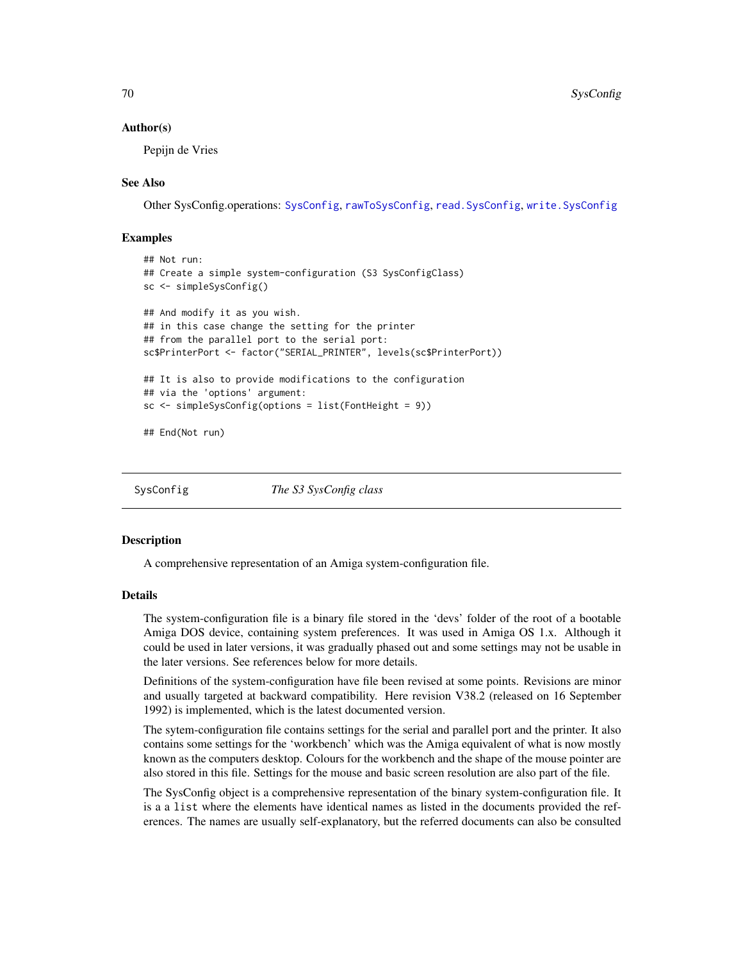#### Author(s)

Pepijn de Vries

## See Also

Other SysConfig.operations: [SysConfig](#page-69-0), [rawToSysConfig](#page-59-0), [read.SysConfig](#page-66-0), [write.SysConfig](#page-77-0)

## Examples

```
## Not run:
## Create a simple system-configuration (S3 SysConfigClass)
sc <- simpleSysConfig()
## And modify it as you wish.
## in this case change the setting for the printer
## from the parallel port to the serial port:
sc$PrinterPort <- factor("SERIAL_PRINTER", levels(sc$PrinterPort))
## It is also to provide modifications to the configuration
## via the 'options' argument:
sc <- simpleSysConfig(options = list(FontHeight = 9))
## End(Not run)
```
<span id="page-69-0"></span>

SysConfig *The S3 SysConfig class*

#### Description

A comprehensive representation of an Amiga system-configuration file.

#### Details

The system-configuration file is a binary file stored in the 'devs' folder of the root of a bootable Amiga DOS device, containing system preferences. It was used in Amiga OS 1.x. Although it could be used in later versions, it was gradually phased out and some settings may not be usable in the later versions. See references below for more details.

Definitions of the system-configuration have file been revised at some points. Revisions are minor and usually targeted at backward compatibility. Here revision V38.2 (released on 16 September 1992) is implemented, which is the latest documented version.

The sytem-configuration file contains settings for the serial and parallel port and the printer. It also contains some settings for the 'workbench' which was the Amiga equivalent of what is now mostly known as the computers desktop. Colours for the workbench and the shape of the mouse pointer are also stored in this file. Settings for the mouse and basic screen resolution are also part of the file.

The SysConfig object is a comprehensive representation of the binary system-configuration file. It is a a list where the elements have identical names as listed in the documents provided the references. The names are usually self-explanatory, but the referred documents can also be consulted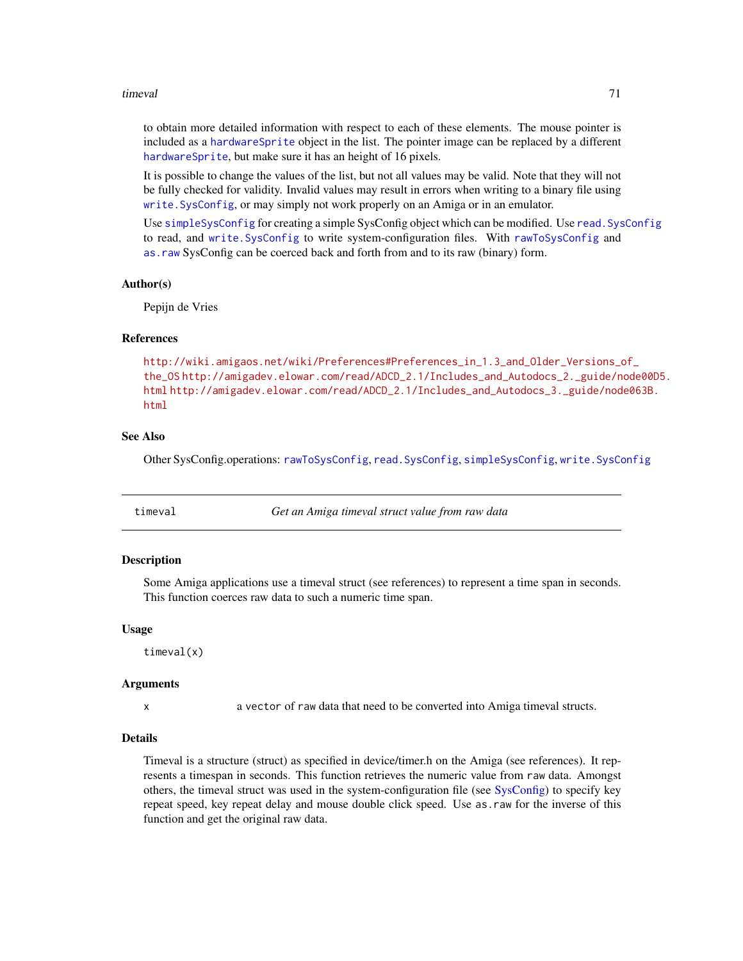#### timeval 71

to obtain more detailed information with respect to each of these elements. The mouse pointer is included as a [hardwareSprite](#page-27-0) object in the list. The pointer image can be replaced by a different [hardwareSprite](#page-27-0), but make sure it has an height of 16 pixels.

It is possible to change the values of the list, but not all values may be valid. Note that they will not be fully checked for validity. Invalid values may result in errors when writing to a binary file using [write.SysConfig](#page-77-0), or may simply not work properly on an Amiga or in an emulator.

Use [simpleSysConfig](#page-68-0) for creating a simple SysConfig object which can be modified. Use read. SysConfig to read, and [write.SysConfig](#page-77-0) to write system-configuration files. With [rawToSysConfig](#page-59-0) and [as.raw](#page-12-0) SysConfig can be coerced back and forth from and to its raw (binary) form.

#### Author(s)

Pepijn de Vries

#### References

```
http://wiki.amigaos.net/wiki/Preferences#Preferences_in_1.3_and_Older_Versions_of_
the_OS http://amigadev.elowar.com/read/ADCD_2.1/Includes_and_Autodocs_2._guide/node00D5.
html http://amigadev.elowar.com/read/ADCD_2.1/Includes_and_Autodocs_3._guide/node063B.
html
```
## See Also

Other SysConfig.operations: [rawToSysConfig](#page-59-0), [read.SysConfig](#page-66-0), [simpleSysConfig](#page-68-0), [write.SysConfig](#page-77-0)

timeval *Get an Amiga timeval struct value from raw data*

## Description

Some Amiga applications use a timeval struct (see references) to represent a time span in seconds. This function coerces raw data to such a numeric time span.

#### Usage

timeval(x)

#### Arguments

x a vector of raw data that need to be converted into Amiga timeval structs.

#### Details

Timeval is a structure (struct) as specified in device/timer.h on the Amiga (see references). It represents a timespan in seconds. This function retrieves the numeric value from raw data. Amongst others, the timeval struct was used in the system-configuration file (see [SysConfig\)](#page-69-0) to specify key repeat speed, key repeat delay and mouse double click speed. Use as.raw for the inverse of this function and get the original raw data.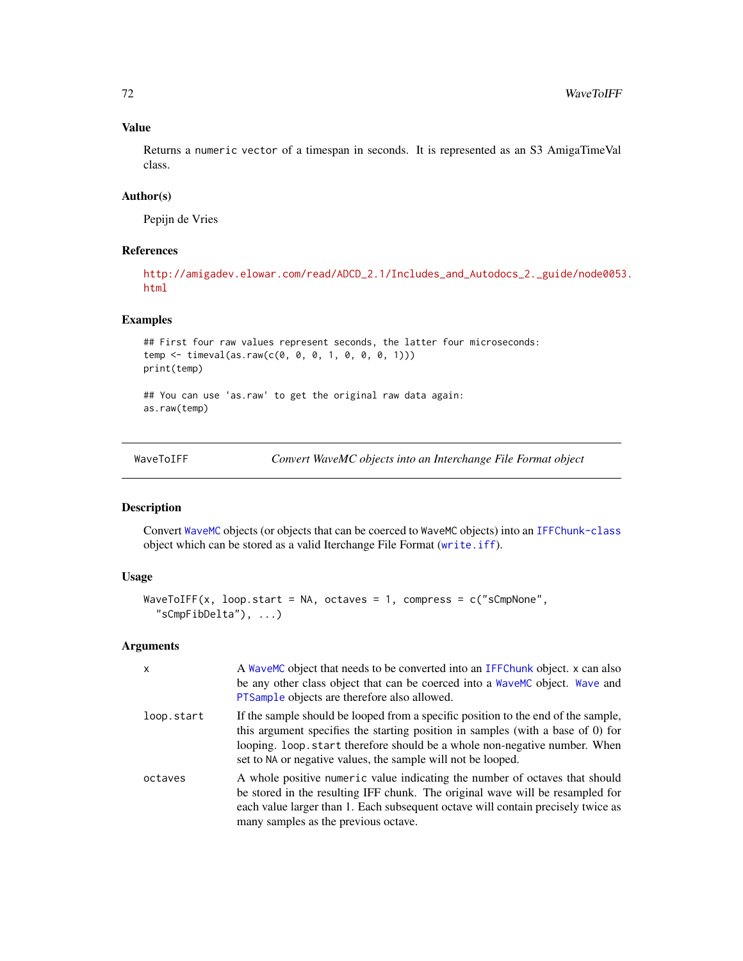## Value

Returns a numeric vector of a timespan in seconds. It is represented as an S3 AmigaTimeVal class.

# Author(s)

Pepijn de Vries

## References

```
http://amigadev.elowar.com/read/ADCD_2.1/Includes_and_Autodocs_2._guide/node0053.
html
```
# Examples

```
## First four raw values represent seconds, the latter four microseconds:
temp <- timeval(as.raw(c(0, 0, 0, 1, 0, 0, 0, 1)))
print(temp)
```

```
## You can use 'as.raw' to get the original raw data again:
as.raw(temp)
```
<span id="page-71-0"></span>

| WaveToIFF |  |
|-----------|--|
|           |  |

Convert WaveMC objects into an Interchange File Format object

# Description

Convert [WaveMC](#page-0-0) objects (or objects that can be coerced to WaveMC objects) into an [IFFChunk-class](#page-28-0) object which can be stored as a valid Iterchange File Format ([write.iff](#page-76-0)).

## Usage

```
WaveToIFF(x, loop.start = NA, octaves = 1, compress = c("sCmpNone","sCmpFibDelta"), ...)
```
#### Arguments

| $\mathsf{x}$ | A WaveMC object that needs to be converted into an IFFChunk object. x can also<br>be any other class object that can be coerced into a WaveMC object. Wave and<br>PTSample objects are therefore also allowed.                                                                                                    |
|--------------|-------------------------------------------------------------------------------------------------------------------------------------------------------------------------------------------------------------------------------------------------------------------------------------------------------------------|
| loop.start   | If the sample should be looped from a specific position to the end of the sample,<br>this argument specifies the starting position in samples (with a base of 0) for<br>looping. loop start therefore should be a whole non-negative number. When<br>set to NA or negative values, the sample will not be looped. |
| octaves      | A whole positive numeric value indicating the number of octaves that should<br>be stored in the resulting IFF chunk. The original wave will be resampled for<br>each value larger than 1. Each subsequent octave will contain precisely twice as<br>many samples as the previous octave.                          |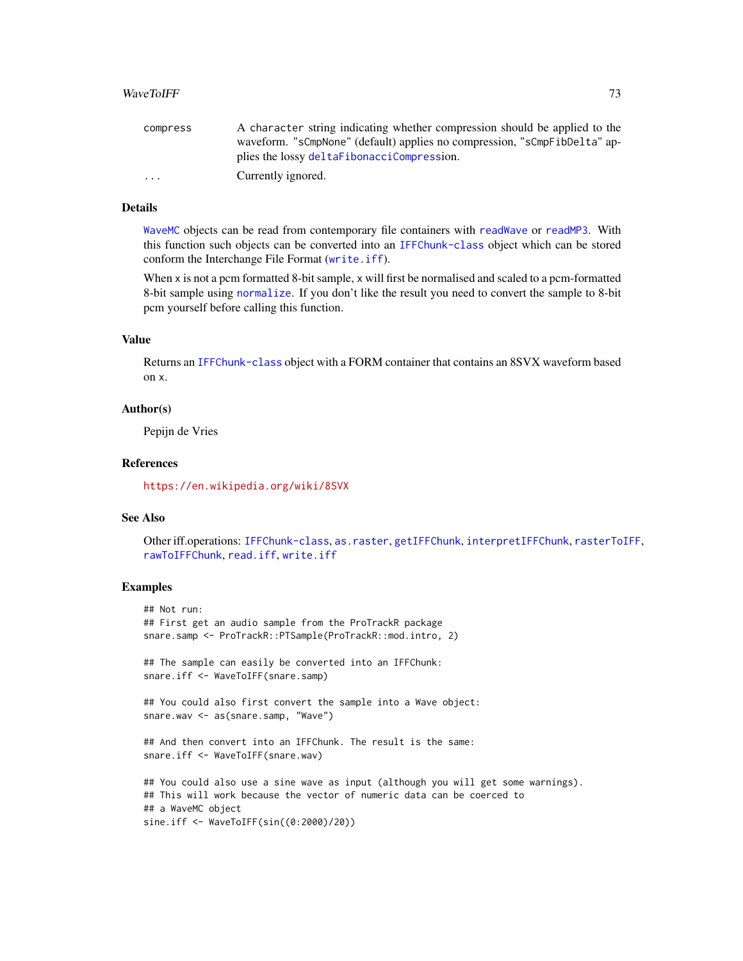## <span id="page-72-0"></span>WaveToIFF 73

| compress                | A character string indicating whether compression should be applied to the |
|-------------------------|----------------------------------------------------------------------------|
|                         | waveform. "sCmpNone" (default) applies no compression, "sCmpFibDelta" ap-  |
|                         | plies the lossy deltaFibonacciCompression.                                 |
| $\cdot$ $\cdot$ $\cdot$ | Currently ignored.                                                         |

## Details

[WaveMC](#page-0-0) objects can be read from contemporary file containers with [readWave](#page-0-0) or [readMP3](#page-0-0). With this function such objects can be converted into an [IFFChunk-class](#page-28-0) object which can be stored conform the Interchange File Format ([write.iff](#page-76-0)).

When x is not a pcm formatted 8-bit sample, x will first be normalised and scaled to a pcm-formatted 8-bit sample using [normalize](#page-0-0). If you don't like the result you need to convert the sample to 8-bit pcm yourself before calling this function.

#### Value

Returns an [IFFChunk-class](#page-28-0) object with a FORM container that contains an 8SVX waveform based on x.

#### Author(s)

Pepijn de Vries

#### References

<https://en.wikipedia.org/wiki/8SVX>

## See Also

Other iff.operations: [IFFChunk-class](#page-28-0), [as.raster](#page-10-0), [getIFFChunk](#page-25-0), [interpretIFFChunk](#page-39-0), [rasterToIFF](#page-52-0), [rawToIFFChunk](#page-58-0), [read.iff](#page-65-0), [write.iff](#page-76-0)

## Examples

```
## Not run:
## First get an audio sample from the ProTrackR package
snare.samp <- ProTrackR::PTSample(ProTrackR::mod.intro, 2)
## The sample can easily be converted into an IFFChunk:
snare.iff <- WaveToIFF(snare.samp)
## You could also first convert the sample into a Wave object:
snare.wav <- as(snare.samp, "Wave")
## And then convert into an IFFChunk. The result is the same:
snare.iff <- WaveToIFF(snare.wav)
## You could also use a sine wave as input (although you will get some warnings).
## This will work because the vector of numeric data can be coerced to
## a WaveMC object
sine.iff <- WaveToIFF(sin((0:2000)/20))
```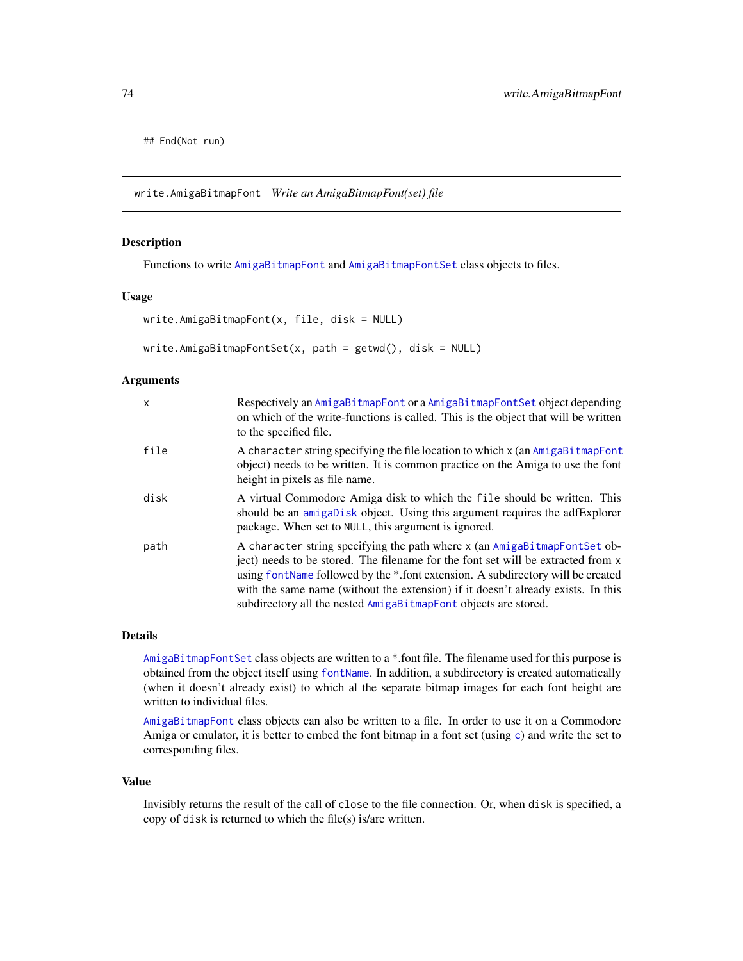<span id="page-73-1"></span>## End(Not run)

<span id="page-73-0"></span>write.AmigaBitmapFont *Write an AmigaBitmapFont(set) file*

## Description

Functions to write [AmigaBitmapFont](#page-2-0) and [AmigaBitmapFontSet](#page-2-1) class objects to files.

#### Usage

```
write.AmigaBitmapFont(x, file, disk = NULL)
```

```
write.AmigaBitmapFontSet(x, path = getwd(), disk = NULL)
```
## Arguments

| $\mathsf{x}$ | Respectively an AmigaBitmapFont or a AmigaBitmapFontSet object depending<br>on which of the write-functions is called. This is the object that will be written<br>to the specified file.                                                                                                                                                                                                                 |
|--------------|----------------------------------------------------------------------------------------------------------------------------------------------------------------------------------------------------------------------------------------------------------------------------------------------------------------------------------------------------------------------------------------------------------|
| file         | A character string specifying the file location to which x (an AmigaBi tmapFont<br>object) needs to be written. It is common practice on the Amiga to use the font<br>height in pixels as file name.                                                                                                                                                                                                     |
| disk         | A virtual Commodore Amiga disk to which the file should be written. This<br>should be an amigabisk object. Using this argument requires the adfExplorer<br>package. When set to NULL, this argument is ignored.                                                                                                                                                                                          |
| path         | A character string specifying the path where x (an AmigaBitmapFontSet ob-<br>ject) needs to be stored. The filename for the font set will be extracted from x<br>using font Name followed by the *.font extension. A subdirectory will be created<br>with the same name (without the extension) if it doesn't already exists. In this<br>subdirectory all the nested AmigaBitmapFont objects are stored. |

#### Details

[AmigaBitmapFontSet](#page-2-1) class objects are written to a \*.font file. The filename used for this purpose is obtained from the object itself using [fontName](#page-23-0). In addition, a subdirectory is created automatically (when it doesn't already exist) to which al the separate bitmap images for each font height are written to individual files.

[AmigaBitmapFont](#page-2-0) class objects can also be written to a file. In order to use it on a Commodore Amiga or emulator, it is better to embed the font bitmap in a font set (using [c](#page-16-0)) and write the set to corresponding files.

#### Value

Invisibly returns the result of the call of close to the file connection. Or, when disk is specified, a copy of disk is returned to which the file(s) is/are written.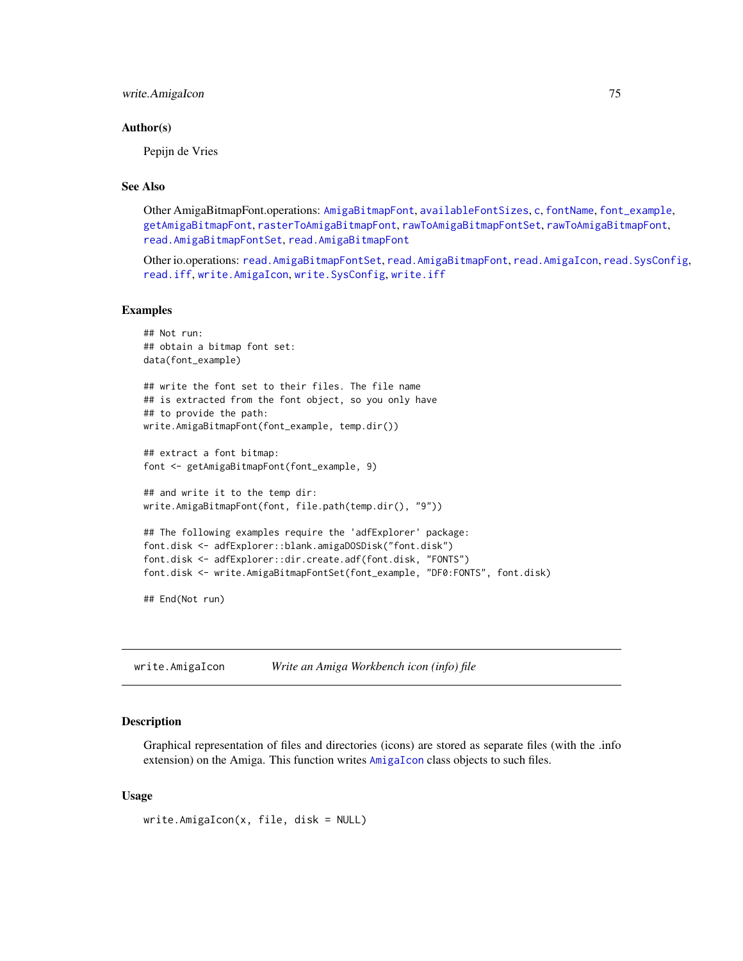## <span id="page-74-1"></span>write.AmigaIcon 75

#### Author(s)

Pepijn de Vries

## See Also

Other AmigaBitmapFont.operations: [AmigaBitmapFont](#page-2-0), [availableFontSizes](#page-13-0), [c](#page-16-0), [fontName](#page-23-0), [font\\_example](#page-24-0), [getAmigaBitmapFont](#page-24-1), [rasterToAmigaBitmapFont](#page-45-0), [rawToAmigaBitmapFontSet](#page-54-0), [rawToAmigaBitmapFont](#page-53-0), [read.AmigaBitmapFontSet](#page-62-0), [read.AmigaBitmapFont](#page-61-0)

Other io.operations: [read.AmigaBitmapFontSet](#page-62-0), [read.AmigaBitmapFont](#page-61-0), [read.AmigaIcon](#page-63-0), [read.SysConfig](#page-66-0), [read.iff](#page-65-0), [write.AmigaIcon](#page-74-0), [write.SysConfig](#page-77-0), [write.iff](#page-76-0)

#### Examples

```
## Not run:
## obtain a bitmap font set:
data(font_example)
## write the font set to their files. The file name
## is extracted from the font object, so you only have
## to provide the path:
write.AmigaBitmapFont(font_example, temp.dir())
## extract a font bitmap:
font <- getAmigaBitmapFont(font_example, 9)
## and write it to the temp dir:
write.AmigaBitmapFont(font, file.path(temp.dir(), "9"))
## The following examples require the 'adfExplorer' package:
font.disk <- adfExplorer::blank.amigaDOSDisk("font.disk")
font.disk <- adfExplorer::dir.create.adf(font.disk, "FONTS")
font.disk <- write.AmigaBitmapFontSet(font_example, "DF0:FONTS", font.disk)
```
## End(Not run)

<span id="page-74-0"></span>write.AmigaIcon *Write an Amiga Workbench icon (info) file*

## Description

Graphical representation of files and directories (icons) are stored as separate files (with the .info extension) on the Amiga. This function writes [AmigaIcon](#page-5-0) class objects to such files.

#### Usage

```
write.AmigaIcon(x, file, disk = NULL)
```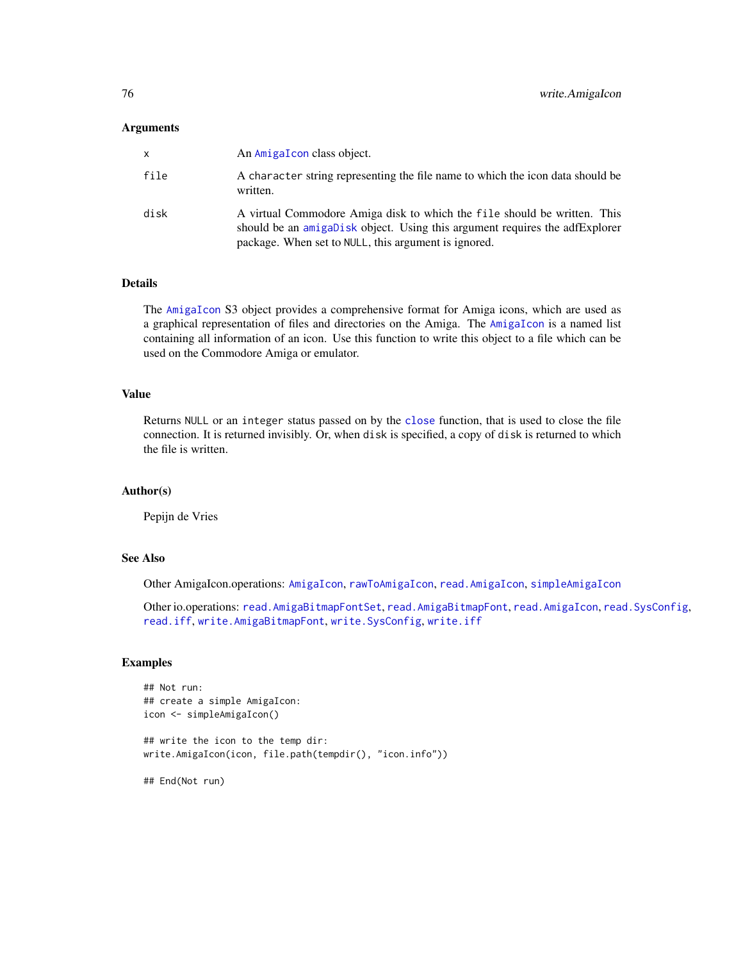#### <span id="page-75-0"></span>Arguments

| x    | An AmigaTcon class object.                                                                                                                                                                                      |
|------|-----------------------------------------------------------------------------------------------------------------------------------------------------------------------------------------------------------------|
| file | A character string representing the file name to which the icon data should be<br>written.                                                                                                                      |
| disk | A virtual Commodore Amiga disk to which the file should be written. This<br>should be an amigaDisk object. Using this argument requires the adfExplorer<br>package. When set to NULL, this argument is ignored. |

## Details

The [AmigaIcon](#page-5-0) S3 object provides a comprehensive format for Amiga icons, which are used as a graphical representation of files and directories on the Amiga. The [AmigaIcon](#page-5-0) is a named list containing all information of an icon. Use this function to write this object to a file which can be used on the Commodore Amiga or emulator.

## Value

Returns NULL or an integer status passed on by the [close](#page-0-0) function, that is used to close the file connection. It is returned invisibly. Or, when disk is specified, a copy of disk is returned to which the file is written.

## Author(s)

Pepijn de Vries

## See Also

Other AmigaIcon.operations: [AmigaIcon](#page-5-0), [rawToAmigaIcon](#page-56-0), [read.AmigaIcon](#page-63-0), [simpleAmigaIcon](#page-67-0)

Other io.operations: [read.AmigaBitmapFontSet](#page-62-0), [read.AmigaBitmapFont](#page-61-0), [read.AmigaIcon](#page-63-0), [read.SysConfig](#page-66-0), [read.iff](#page-65-0), [write.AmigaBitmapFont](#page-73-0), [write.SysConfig](#page-77-0), [write.iff](#page-76-0)

#### Examples

```
## Not run:
## create a simple AmigaIcon:
icon <- simpleAmigaIcon()
## write the icon to the temp dir:
write.AmigaIcon(icon, file.path(tempdir(), "icon.info"))
## End(Not run)
```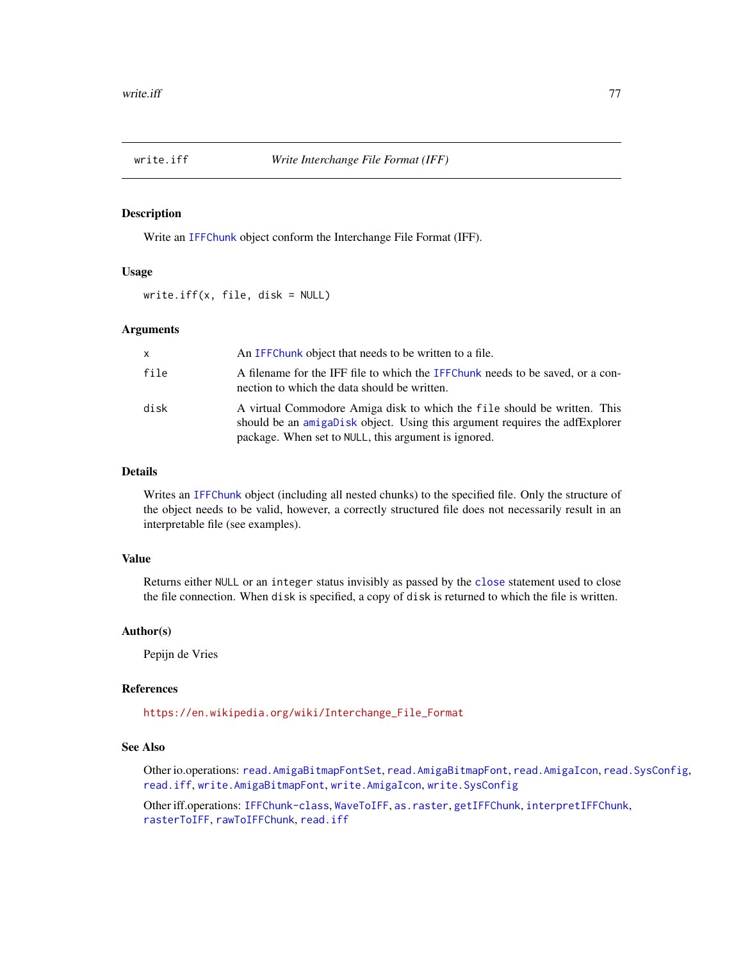<span id="page-76-1"></span><span id="page-76-0"></span>

## Description

Write an [IFFChunk](#page-30-0) object conform the Interchange File Format (IFF).

#### Usage

write.iff(x, file, disk = NULL)

#### Arguments

| x    | An IFFC hunk object that needs to be written to a file.                                                                                                                                                         |
|------|-----------------------------------------------------------------------------------------------------------------------------------------------------------------------------------------------------------------|
| file | A filename for the IFF file to which the IFFChunk needs to be saved, or a con-<br>nection to which the data should be written.                                                                                  |
| disk | A virtual Commodore Amiga disk to which the file should be written. This<br>should be an amigaDisk object. Using this argument requires the adfExplorer<br>package. When set to NULL, this argument is ignored. |

## Details

Writes an [IFFChunk](#page-30-0) object (including all nested chunks) to the specified file. Only the structure of the object needs to be valid, however, a correctly structured file does not necessarily result in an interpretable file (see examples).

## Value

Returns either NULL or an integer status invisibly as passed by the [close](#page-0-0) statement used to close the file connection. When disk is specified, a copy of disk is returned to which the file is written.

#### Author(s)

Pepijn de Vries

## References

[https://en.wikipedia.org/wiki/Interchange\\_File\\_Format](https://en.wikipedia.org/wiki/Interchange_File_Format)

## See Also

Other io.operations: [read.AmigaBitmapFontSet](#page-62-0), [read.AmigaBitmapFont](#page-61-0), [read.AmigaIcon](#page-63-0), [read.SysConfig](#page-66-0), [read.iff](#page-65-0), [write.AmigaBitmapFont](#page-73-0), [write.AmigaIcon](#page-74-0), [write.SysConfig](#page-77-0)

Other iff.operations: [IFFChunk-class](#page-28-0), [WaveToIFF](#page-71-0), [as.raster](#page-10-0), [getIFFChunk](#page-25-0), [interpretIFFChunk](#page-39-0), [rasterToIFF](#page-52-0), [rawToIFFChunk](#page-58-0), [read.iff](#page-65-0)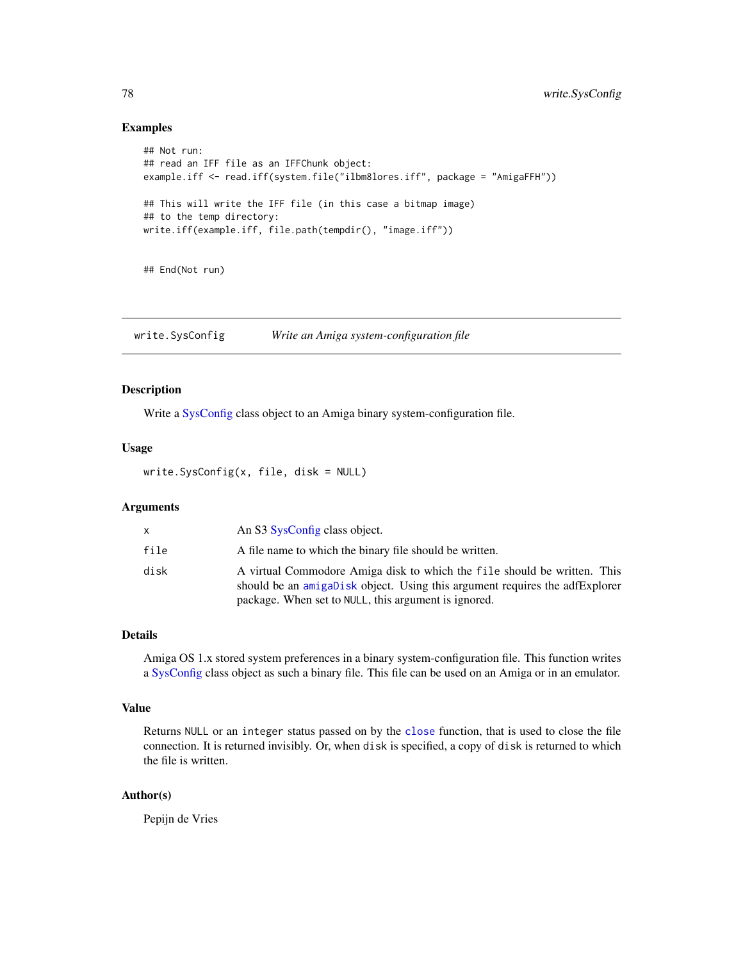## Examples

```
## Not run:
## read an IFF file as an IFFChunk object:
example.iff <- read.iff(system.file("ilbm8lores.iff", package = "AmigaFFH"))
## This will write the IFF file (in this case a bitmap image)
## to the temp directory:
write.iff(example.iff, file.path(tempdir(), "image.iff"))
```
## End(Not run)

<span id="page-77-0"></span>write.SysConfig *Write an Amiga system-configuration file*

## Description

Write a [SysConfig](#page-69-0) class object to an Amiga binary system-configuration file.

#### Usage

```
write.SysConfig(x, file, disk = NULL)
```
## Arguments

| X    | An S3 SysConfig class object.                                                                                                                                                                                   |
|------|-----------------------------------------------------------------------------------------------------------------------------------------------------------------------------------------------------------------|
| file | A file name to which the binary file should be written.                                                                                                                                                         |
| disk | A virtual Commodore Amiga disk to which the file should be written. This<br>should be an amigabisk object. Using this argument requires the adfExplorer<br>package. When set to NULL, this argument is ignored. |

## Details

Amiga OS 1.x stored system preferences in a binary system-configuration file. This function writes a [SysConfig](#page-69-0) class object as such a binary file. This file can be used on an Amiga or in an emulator.

#### Value

Returns NULL or an integer status passed on by the [close](#page-0-0) function, that is used to close the file connection. It is returned invisibly. Or, when disk is specified, a copy of disk is returned to which the file is written.

## Author(s)

Pepijn de Vries

<span id="page-77-1"></span>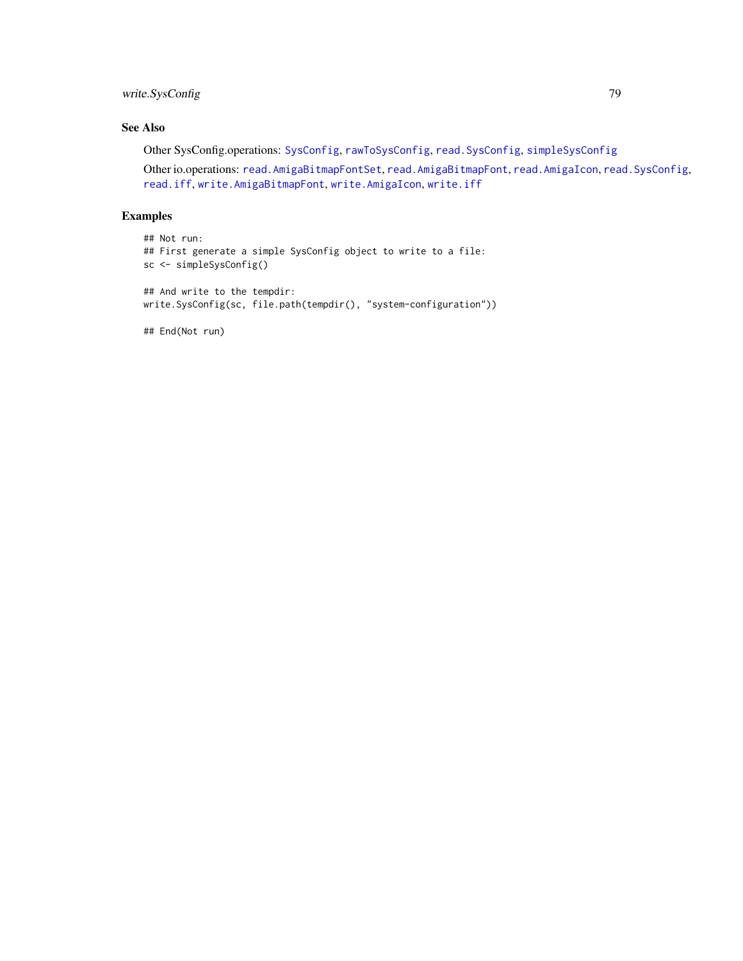## <span id="page-78-0"></span>write.SysConfig 79

# See Also

Other SysConfig.operations: [SysConfig](#page-69-0), [rawToSysConfig](#page-59-0), [read.SysConfig](#page-66-0), [simpleSysConfig](#page-68-0)

Other io.operations: [read.AmigaBitmapFontSet](#page-62-0), [read.AmigaBitmapFont](#page-61-0), [read.AmigaIcon](#page-63-0), [read.SysConfig](#page-66-0), [read.iff](#page-65-0), [write.AmigaBitmapFont](#page-73-0), [write.AmigaIcon](#page-74-0), [write.iff](#page-76-0)

# Examples

```
## Not run:
## First generate a simple SysConfig object to write to a file:
sc <- simpleSysConfig()
## And write to the tempdir:
write.SysConfig(sc, file.path(tempdir(), "system-configuration"))
```
## End(Not run)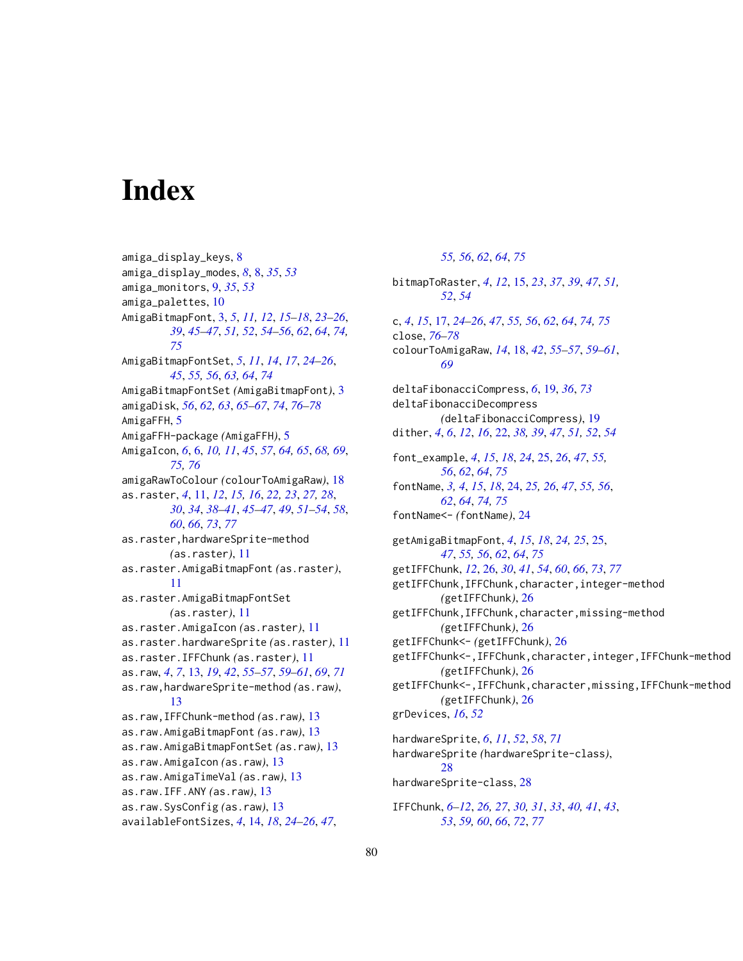# **Index**

amiga\_display\_keys, [8](#page-7-0) amiga\_display\_modes, *[8](#page-7-0)*, [8,](#page-7-0) *[35](#page-34-0)*, *[53](#page-52-1)* amiga\_monitors, [9,](#page-8-0) *[35](#page-34-0)*, *[53](#page-52-1)* amiga\_palettes, [10](#page-9-0) AmigaBitmapFont, [3,](#page-2-2) *[5](#page-4-0)*, *[11,](#page-10-1) [12](#page-11-0)*, *[15–](#page-14-0)[18](#page-17-0)*, *[23–](#page-22-0)[26](#page-25-1)*, *[39](#page-38-0)*, *[45](#page-44-0)[–47](#page-46-0)*, *[51,](#page-50-0) [52](#page-51-0)*, *[54–](#page-53-1)[56](#page-55-0)*, *[62](#page-61-1)*, *[64](#page-63-1)*, *[74,](#page-73-1) [75](#page-74-1)* AmigaBitmapFontSet, *[5](#page-4-0)*, *[11](#page-10-1)*, *[14](#page-13-1)*, *[17](#page-16-1)*, *[24–](#page-23-1)[26](#page-25-1)*, *[45](#page-44-0)*, *[55,](#page-54-1) [56](#page-55-0)*, *[63,](#page-62-1) [64](#page-63-1)*, *[74](#page-73-1)* AmigaBitmapFontSet *(*AmigaBitmapFont*)*, [3](#page-2-2) amigaDisk, *[56](#page-55-0)*, *[62,](#page-61-1) [63](#page-62-1)*, *[65–](#page-64-0)[67](#page-66-1)*, *[74](#page-73-1)*, *[76–](#page-75-0)[78](#page-77-1)* AmigaFFH, [5](#page-4-0) AmigaFFH-package *(*AmigaFFH*)*, [5](#page-4-0) AmigaIcon, *[6](#page-5-1)*, [6,](#page-5-1) *[10,](#page-9-0) [11](#page-10-1)*, *[45](#page-44-0)*, *[57](#page-56-1)*, *[64,](#page-63-1) [65](#page-64-0)*, *[68,](#page-67-1) [69](#page-68-1)*, *[75,](#page-74-1) [76](#page-75-0)* amigaRawToColour *(*colourToAmigaRaw*)*, [18](#page-17-0) as.raster, *[4](#page-3-0)*, [11,](#page-10-1) *[12](#page-11-0)*, *[15,](#page-14-0) [16](#page-15-0)*, *[22,](#page-21-0) [23](#page-22-0)*, *[27,](#page-26-0) [28](#page-27-0)*, *[30](#page-29-0)*, *[34](#page-33-0)*, *[38](#page-37-0)[–41](#page-40-0)*, *[45–](#page-44-0)[47](#page-46-0)*, *[49](#page-48-0)*, *[51–](#page-50-0)[54](#page-53-1)*, *[58](#page-57-0)*, *[60](#page-59-1)*, *[66](#page-65-1)*, *[73](#page-72-0)*, *[77](#page-76-1)* as.raster,hardwareSprite-method *(*as.raster*)*, [11](#page-10-1) as.raster.AmigaBitmapFont *(*as.raster*)*, [11](#page-10-1) as.raster.AmigaBitmapFontSet *(*as.raster*)*, [11](#page-10-1) as.raster.AmigaIcon *(*as.raster*)*, [11](#page-10-1) as.raster.hardwareSprite *(*as.raster*)*, [11](#page-10-1) as.raster.IFFChunk *(*as.raster*)*, [11](#page-10-1) as.raw, *[4](#page-3-0)*, *[7](#page-6-0)*, [13,](#page-12-0) *[19](#page-18-1)*, *[42](#page-41-0)*, *[55–](#page-54-1)[57](#page-56-1)*, *[59–](#page-58-1)[61](#page-60-0)*, *[69](#page-68-1)*, *[71](#page-70-0)* as.raw,hardwareSprite-method *(*as.raw*)*, [13](#page-12-0) as.raw,IFFChunk-method *(*as.raw*)*, [13](#page-12-0) as.raw.AmigaBitmapFont *(*as.raw*)*, [13](#page-12-0) as.raw.AmigaBitmapFontSet *(*as.raw*)*, [13](#page-12-0) as.raw.AmigaIcon *(*as.raw*)*, [13](#page-12-0) as.raw.AmigaTimeVal *(*as.raw*)*, [13](#page-12-0) as.raw.IFF.ANY *(*as.raw*)*, [13](#page-12-0) as.raw.SysConfig *(*as.raw*)*, [13](#page-12-0) availableFontSizes, *[4](#page-3-0)*, [14,](#page-13-1) *[18](#page-17-0)*, *[24–](#page-23-1)[26](#page-25-1)*, *[47](#page-46-0)*,

*[55,](#page-54-1) [56](#page-55-0)*, *[62](#page-61-1)*, *[64](#page-63-1)*, *[75](#page-74-1)* bitmapToRaster, *[4](#page-3-0)*, *[12](#page-11-0)*, [15,](#page-14-0) *[23](#page-22-0)*, *[37](#page-36-0)*, *[39](#page-38-0)*, *[47](#page-46-0)*, *[51,](#page-50-0) [52](#page-51-0)*, *[54](#page-53-1)* c, *[4](#page-3-0)*, *[15](#page-14-0)*, [17,](#page-16-1) *[24](#page-23-1)[–26](#page-25-1)*, *[47](#page-46-0)*, *[55,](#page-54-1) [56](#page-55-0)*, *[62](#page-61-1)*, *[64](#page-63-1)*, *[74,](#page-73-1) [75](#page-74-1)* close, *[76](#page-75-0)[–78](#page-77-1)* colourToAmigaRaw, *[14](#page-13-1)*, [18,](#page-17-0) *[42](#page-41-0)*, *[55](#page-54-1)[–57](#page-56-1)*, *[59](#page-58-1)[–61](#page-60-0)*, *[69](#page-68-1)* deltaFibonacciCompress, *[6](#page-5-1)*, [19,](#page-18-1) *[36](#page-35-0)*, *[73](#page-72-0)* deltaFibonacciDecompress *(*deltaFibonacciCompress*)*, [19](#page-18-1) dither, *[4](#page-3-0)*, *[6](#page-5-1)*, *[12](#page-11-0)*, *[16](#page-15-0)*, [22,](#page-21-0) *[38,](#page-37-0) [39](#page-38-0)*, *[47](#page-46-0)*, *[51,](#page-50-0) [52](#page-51-0)*, *[54](#page-53-1)* font\_example, *[4](#page-3-0)*, *[15](#page-14-0)*, *[18](#page-17-0)*, *[24](#page-23-1)*, [25,](#page-24-2) *[26](#page-25-1)*, *[47](#page-46-0)*, *[55,](#page-54-1) [56](#page-55-0)*, *[62](#page-61-1)*, *[64](#page-63-1)*, *[75](#page-74-1)* fontName, *[3,](#page-2-2) [4](#page-3-0)*, *[15](#page-14-0)*, *[18](#page-17-0)*, [24,](#page-23-1) *[25,](#page-24-2) [26](#page-25-1)*, *[47](#page-46-0)*, *[55,](#page-54-1) [56](#page-55-0)*, *[62](#page-61-1)*, *[64](#page-63-1)*, *[74,](#page-73-1) [75](#page-74-1)* fontName<- *(*fontName*)*, [24](#page-23-1) getAmigaBitmapFont, *[4](#page-3-0)*, *[15](#page-14-0)*, *[18](#page-17-0)*, *[24,](#page-23-1) [25](#page-24-2)*, [25,](#page-24-2) *[47](#page-46-0)*, *[55,](#page-54-1) [56](#page-55-0)*, *[62](#page-61-1)*, *[64](#page-63-1)*, *[75](#page-74-1)* getIFFChunk, *[12](#page-11-0)*, [26,](#page-25-1) *[30](#page-29-0)*, *[41](#page-40-0)*, *[54](#page-53-1)*, *[60](#page-59-1)*, *[66](#page-65-1)*, *[73](#page-72-0)*, *[77](#page-76-1)* getIFFChunk,IFFChunk,character,integer-method *(*getIFFChunk*)*, [26](#page-25-1) getIFFChunk,IFFChunk,character,missing-method *(*getIFFChunk*)*, [26](#page-25-1) getIFFChunk<- *(*getIFFChunk*)*, [26](#page-25-1) getIFFChunk<-,IFFChunk,character,integer,IFFChunk-method *(*getIFFChunk*)*, [26](#page-25-1) getIFFChunk<-,IFFChunk,character,missing,IFFChunk-method *(*getIFFChunk*)*, [26](#page-25-1) grDevices, *[16](#page-15-0)*, *[52](#page-51-0)* hardwareSprite, *[6](#page-5-1)*, *[11](#page-10-1)*, *[52](#page-51-0)*, *[58](#page-57-0)*, *[71](#page-70-0)* hardwareSprite *(*hardwareSprite-class*)*, [28](#page-27-0) hardwareSprite-class, [28](#page-27-0) IFFChunk, *[6](#page-5-1)[–12](#page-11-0)*, *[26,](#page-25-1) [27](#page-26-0)*, *[30,](#page-29-0) [31](#page-30-1)*, *[33](#page-32-0)*, *[40,](#page-39-1) [41](#page-40-0)*, *[43](#page-42-0)*,

*[53](#page-52-1)*, *[59,](#page-58-1) [60](#page-59-1)*, *[66](#page-65-1)*, *[72](#page-71-1)*, *[77](#page-76-1)*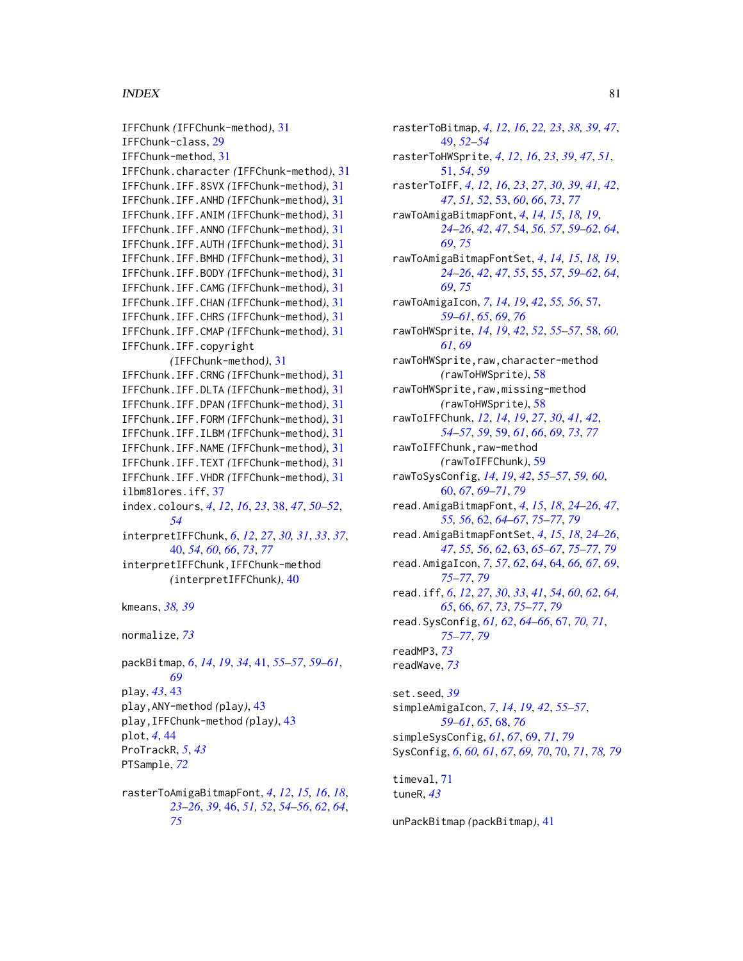## INDEX  $81$

IFFChunk *(*IFFChunk-method*)*, [31](#page-30-1) IFFChunk-class, [29](#page-28-1) IFFChunk-method, [31](#page-30-1) IFFChunk.character *(*IFFChunk-method*)*, [31](#page-30-1) IFFChunk.IFF.8SVX *(*IFFChunk-method*)*, [31](#page-30-1) IFFChunk.IFF.ANHD *(*IFFChunk-method*)*, [31](#page-30-1) IFFChunk.IFF.ANIM *(*IFFChunk-method*)*, [31](#page-30-1) IFFChunk.IFF.ANNO *(*IFFChunk-method*)*, [31](#page-30-1) IFFChunk.IFF.AUTH *(*IFFChunk-method*)*, [31](#page-30-1) IFFChunk.IFF.BMHD *(*IFFChunk-method*)*, [31](#page-30-1) IFFChunk.IFF.BODY *(*IFFChunk-method*)*, [31](#page-30-1) IFFChunk.IFF.CAMG *(*IFFChunk-method*)*, [31](#page-30-1) IFFChunk.IFF.CHAN *(*IFFChunk-method*)*, [31](#page-30-1) IFFChunk.IFF.CHRS *(*IFFChunk-method*)*, [31](#page-30-1) IFFChunk.IFF.CMAP *(*IFFChunk-method*)*, [31](#page-30-1) IFFChunk.IFF.copyright *(*IFFChunk-method*)*, [31](#page-30-1) IFFChunk.IFF.CRNG *(*IFFChunk-method*)*, [31](#page-30-1) IFFChunk.IFF.DLTA *(*IFFChunk-method*)*, [31](#page-30-1) IFFChunk.IFF.DPAN *(*IFFChunk-method*)*, [31](#page-30-1) IFFChunk.IFF.FORM *(*IFFChunk-method*)*, [31](#page-30-1) IFFChunk.IFF.ILBM *(*IFFChunk-method*)*, [31](#page-30-1) IFFChunk.IFF.NAME *(*IFFChunk-method*)*, [31](#page-30-1) IFFChunk.IFF.TEXT *(*IFFChunk-method*)*, [31](#page-30-1) IFFChunk.IFF.VHDR *(*IFFChunk-method*)*, [31](#page-30-1) ilbm8lores.iff, [37](#page-36-0) index.colours, *[4](#page-3-0)*, *[12](#page-11-0)*, *[16](#page-15-0)*, *[23](#page-22-0)*, [38,](#page-37-0) *[47](#page-46-0)*, *[50–](#page-49-0)[52](#page-51-0)*, *[54](#page-53-1)* interpretIFFChunk, *[6](#page-5-1)*, *[12](#page-11-0)*, *[27](#page-26-0)*, *[30,](#page-29-0) [31](#page-30-1)*, *[33](#page-32-0)*, *[37](#page-36-0)*, [40,](#page-39-1) *[54](#page-53-1)*, *[60](#page-59-1)*, *[66](#page-65-1)*, *[73](#page-72-0)*, *[77](#page-76-1)* interpretIFFChunk,IFFChunk-method *(*interpretIFFChunk*)*, [40](#page-39-1) kmeans, *[38,](#page-37-0) [39](#page-38-0)* normalize, *[73](#page-72-0)* packBitmap, *[6](#page-5-1)*, *[14](#page-13-1)*, *[19](#page-18-1)*, *[34](#page-33-0)*, [41,](#page-40-0) *[55–](#page-54-1)[57](#page-56-1)*, *[59–](#page-58-1)[61](#page-60-0)*, *[69](#page-68-1)*

play, *[43](#page-42-0)*, [43](#page-42-0) play,ANY-method *(*play*)*, [43](#page-42-0) play,IFFChunk-method *(*play*)*, [43](#page-42-0) plot, *[4](#page-3-0)*, [44](#page-43-0) ProTrackR, *[5](#page-4-0)*, *[43](#page-42-0)* PTSample, *[72](#page-71-1)*

rasterToAmigaBitmapFont, *[4](#page-3-0)*, *[12](#page-11-0)*, *[15,](#page-14-0) [16](#page-15-0)*, *[18](#page-17-0)*, *[23](#page-22-0)[–26](#page-25-1)*, *[39](#page-38-0)*, [46,](#page-45-1) *[51,](#page-50-0) [52](#page-51-0)*, *[54–](#page-53-1)[56](#page-55-0)*, *[62](#page-61-1)*, *[64](#page-63-1)*, *[75](#page-74-1)*

rasterToBitmap, *[4](#page-3-0)*, *[12](#page-11-0)*, *[16](#page-15-0)*, *[22,](#page-21-0) [23](#page-22-0)*, *[38,](#page-37-0) [39](#page-38-0)*, *[47](#page-46-0)*, [49,](#page-48-0) *[52](#page-51-0)[–54](#page-53-1)* rasterToHWSprite, *[4](#page-3-0)*, *[12](#page-11-0)*, *[16](#page-15-0)*, *[23](#page-22-0)*, *[39](#page-38-0)*, *[47](#page-46-0)*, *[51](#page-50-0)*, [51,](#page-50-0) *[54](#page-53-1)*, *[59](#page-58-1)* rasterToIFF, *[4](#page-3-0)*, *[12](#page-11-0)*, *[16](#page-15-0)*, *[23](#page-22-0)*, *[27](#page-26-0)*, *[30](#page-29-0)*, *[39](#page-38-0)*, *[41,](#page-40-0) [42](#page-41-0)*, *[47](#page-46-0)*, *[51,](#page-50-0) [52](#page-51-0)*, [53,](#page-52-1) *[60](#page-59-1)*, *[66](#page-65-1)*, *[73](#page-72-0)*, *[77](#page-76-1)* rawToAmigaBitmapFont, *[4](#page-3-0)*, *[14,](#page-13-1) [15](#page-14-0)*, *[18,](#page-17-0) [19](#page-18-1)*, *[24](#page-23-1)[–26](#page-25-1)*, *[42](#page-41-0)*, *[47](#page-46-0)*, [54,](#page-53-1) *[56,](#page-55-0) [57](#page-56-1)*, *[59](#page-58-1)[–62](#page-61-1)*, *[64](#page-63-1)*, *[69](#page-68-1)*, *[75](#page-74-1)* rawToAmigaBitmapFontSet, *[4](#page-3-0)*, *[14,](#page-13-1) [15](#page-14-0)*, *[18,](#page-17-0) [19](#page-18-1)*, *[24](#page-23-1)[–26](#page-25-1)*, *[42](#page-41-0)*, *[47](#page-46-0)*, *[55](#page-54-1)*, [55,](#page-54-1) *[57](#page-56-1)*, *[59](#page-58-1)[–62](#page-61-1)*, *[64](#page-63-1)*, *[69](#page-68-1)*, *[75](#page-74-1)* rawToAmigaIcon, *[7](#page-6-0)*, *[14](#page-13-1)*, *[19](#page-18-1)*, *[42](#page-41-0)*, *[55,](#page-54-1) [56](#page-55-0)*, [57,](#page-56-1) *[59](#page-58-1)[–61](#page-60-0)*, *[65](#page-64-0)*, *[69](#page-68-1)*, *[76](#page-75-0)* rawToHWSprite, *[14](#page-13-1)*, *[19](#page-18-1)*, *[42](#page-41-0)*, *[52](#page-51-0)*, *[55](#page-54-1)[–57](#page-56-1)*, [58,](#page-57-0) *[60,](#page-59-1) [61](#page-60-0)*, *[69](#page-68-1)* rawToHWSprite,raw,character-method *(*rawToHWSprite*)*, [58](#page-57-0) rawToHWSprite,raw,missing-method *(*rawToHWSprite*)*, [58](#page-57-0) rawToIFFChunk, *[12](#page-11-0)*, *[14](#page-13-1)*, *[19](#page-18-1)*, *[27](#page-26-0)*, *[30](#page-29-0)*, *[41,](#page-40-0) [42](#page-41-0)*, *[54](#page-53-1)[–57](#page-56-1)*, *[59](#page-58-1)*, [59,](#page-58-1) *[61](#page-60-0)*, *[66](#page-65-1)*, *[69](#page-68-1)*, *[73](#page-72-0)*, *[77](#page-76-1)* rawToIFFChunk,raw-method *(*rawToIFFChunk*)*, [59](#page-58-1) rawToSysConfig, *[14](#page-13-1)*, *[19](#page-18-1)*, *[42](#page-41-0)*, *[55](#page-54-1)[–57](#page-56-1)*, *[59,](#page-58-1) [60](#page-59-1)*, [60,](#page-59-1) *[67](#page-66-1)*, *[69](#page-68-1)[–71](#page-70-0)*, *[79](#page-78-0)* read.AmigaBitmapFont, *[4](#page-3-0)*, *[15](#page-14-0)*, *[18](#page-17-0)*, *[24](#page-23-1)[–26](#page-25-1)*, *[47](#page-46-0)*, *[55,](#page-54-1) [56](#page-55-0)*, [62,](#page-61-1) *[64](#page-63-1)[–67](#page-66-1)*, *[75](#page-74-1)[–77](#page-76-1)*, *[79](#page-78-0)* read.AmigaBitmapFontSet, *[4](#page-3-0)*, *[15](#page-14-0)*, *[18](#page-17-0)*, *[24](#page-23-1)[–26](#page-25-1)*, *[47](#page-46-0)*, *[55,](#page-54-1) [56](#page-55-0)*, *[62](#page-61-1)*, [63,](#page-62-1) *[65](#page-64-0)[–67](#page-66-1)*, *[75](#page-74-1)[–77](#page-76-1)*, *[79](#page-78-0)* read.AmigaIcon, *[7](#page-6-0)*, *[57](#page-56-1)*, *[62](#page-61-1)*, *[64](#page-63-1)*, [64,](#page-63-1) *[66,](#page-65-1) [67](#page-66-1)*, *[69](#page-68-1)*, *[75](#page-74-1)[–77](#page-76-1)*, *[79](#page-78-0)* read.iff, *[6](#page-5-1)*, *[12](#page-11-0)*, *[27](#page-26-0)*, *[30](#page-29-0)*, *[33](#page-32-0)*, *[41](#page-40-0)*, *[54](#page-53-1)*, *[60](#page-59-1)*, *[62](#page-61-1)*, *[64,](#page-63-1) [65](#page-64-0)*, [66,](#page-65-1) *[67](#page-66-1)*, *[73](#page-72-0)*, *[75](#page-74-1)[–77](#page-76-1)*, *[79](#page-78-0)* read.SysConfig, *[61,](#page-60-0) [62](#page-61-1)*, *[64](#page-63-1)[–66](#page-65-1)*, [67,](#page-66-1) *[70,](#page-69-1) [71](#page-70-0)*, *[75](#page-74-1)[–77](#page-76-1)*, *[79](#page-78-0)* readMP3, *[73](#page-72-0)* readWave, *[73](#page-72-0)* set.seed, *[39](#page-38-0)* simpleAmigaIcon, *[7](#page-6-0)*, *[14](#page-13-1)*, *[19](#page-18-1)*, *[42](#page-41-0)*, *[55](#page-54-1)[–57](#page-56-1)*, *[59](#page-58-1)[–61](#page-60-0)*, *[65](#page-64-0)*, [68,](#page-67-1) *[76](#page-75-0)* simpleSysConfig, *[61](#page-60-0)*, *[67](#page-66-1)*, [69,](#page-68-1) *[71](#page-70-0)*, *[79](#page-78-0)* SysConfig, *[6](#page-5-1)*, *[60,](#page-59-1) [61](#page-60-0)*, *[67](#page-66-1)*, *[69,](#page-68-1) [70](#page-69-1)*, [70,](#page-69-1) *[71](#page-70-0)*, *[78,](#page-77-1) [79](#page-78-0)*

timeval, [71](#page-70-0) tuneR, *[43](#page-42-0)*

unPackBitmap *(*packBitmap*)*, [41](#page-40-0)